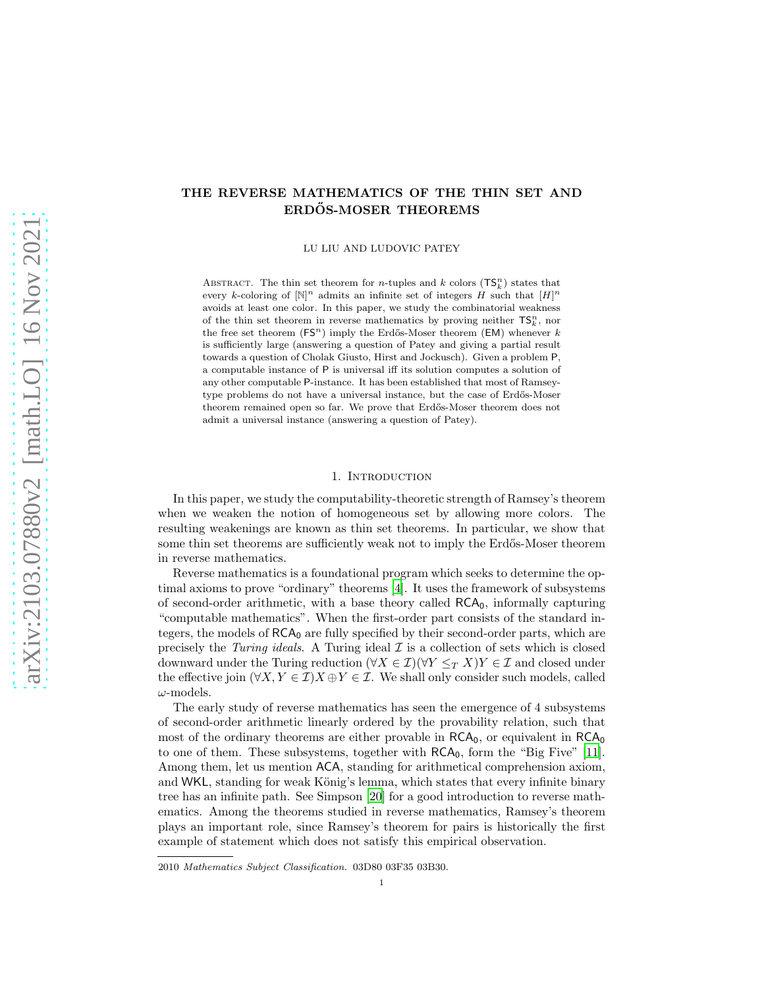# arXiv:2103.07880v2 [math.LO] 16 Nov 2021 [arXiv:2103.07880v2 \[math.LO\] 16 Nov 2021](http://arxiv.org/abs/2103.07880v2)

# THE REVERSE MATHEMATICS OF THE THIN SET AND ERDŐS-MOSER THEOREMS

LU LIU AND LUDOVIC PATEY

ABSTRACT. The thin set theorem for *n*-tuples and *k* colors  $(\mathsf{TS}_{k}^{n})$  states that every k-coloring of  $[N]^n$  admits an infinite set of integers H such that  $[H]^n$ avoids at least one color. In this paper, we study the combinatorial weakness of the thin set theorem in reverse mathematics by proving neither  $\mathsf{TS}_{k}^n$ , nor the free set theorem  $(FS^n)$  imply the Erdős-Moser theorem  $(EM)$  whenever k is sufficiently large (answering a question of Patey and giving a partial result towards a question of Cholak Giusto, Hirst and Jockusch). Given a problem P, a computable instance of P is universal iff its solution computes a solution of any other computable P-instance. It has been established that most of Ramseytype problems do not have a universal instance, but the case of Erdős-Moser theorem remained open so far. We prove that Erd˝os-Moser theorem does not admit a universal instance (answering a question of Patey).

#### 1. INTRODUCTION

In this paper, we study the computability-theoretic strength of Ramsey's theorem when we weaken the notion of homogeneous set by allowing more colors. The resulting weakenings are known as thin set theorems. In particular, we show that some thin set theorems are sufficiently weak not to imply the Erdős-Moser theorem in reverse mathematics.

Reverse mathematics is a foundational program which seeks to determine the optimal axioms to prove "ordinary" theorems [\[4](#page-32-0)]. It uses the framework of subsystems of second-order arithmetic, with a base theory called  $RCA<sub>0</sub>$ , informally capturing "computable mathematics". When the first-order part consists of the standard integers, the models of  $RCA_0$  are fully specified by their second-order parts, which are precisely the Turing ideals. A Turing ideal  $\mathcal I$  is a collection of sets which is closed downward under the Turing reduction  $(\forall X \in \mathcal{I})(\forall Y \leq_T X)Y \in \mathcal{I}$  and closed under the effective join  $(\forall X, Y \in \mathcal{I}) X \oplus Y \in \mathcal{I}$ . We shall only consider such models, called  $\omega$ -models.

The early study of reverse mathematics has seen the emergence of 4 subsystems of second-order arithmetic linearly ordered by the provability relation, such that most of the ordinary theorems are either provable in  $RCA_0$ , or equivalent in  $RCA_0$ to one of them. These subsystems, together with  $RCA<sub>0</sub>$ , form the "Big Five" [\[11\]](#page-32-1). Among them, let us mention ACA, standing for arithmetical comprehension axiom, and WKL, standing for weak König's lemma, which states that every infinite binary tree has an infinite path. See Simpson [\[20](#page-32-2)] for a good introduction to reverse mathematics. Among the theorems studied in reverse mathematics, Ramsey's theorem plays an important role, since Ramsey's theorem for pairs is historically the first example of statement which does not satisfy this empirical observation.

<sup>2010</sup> Mathematics Subject Classification. 03D80 03F35 03B30.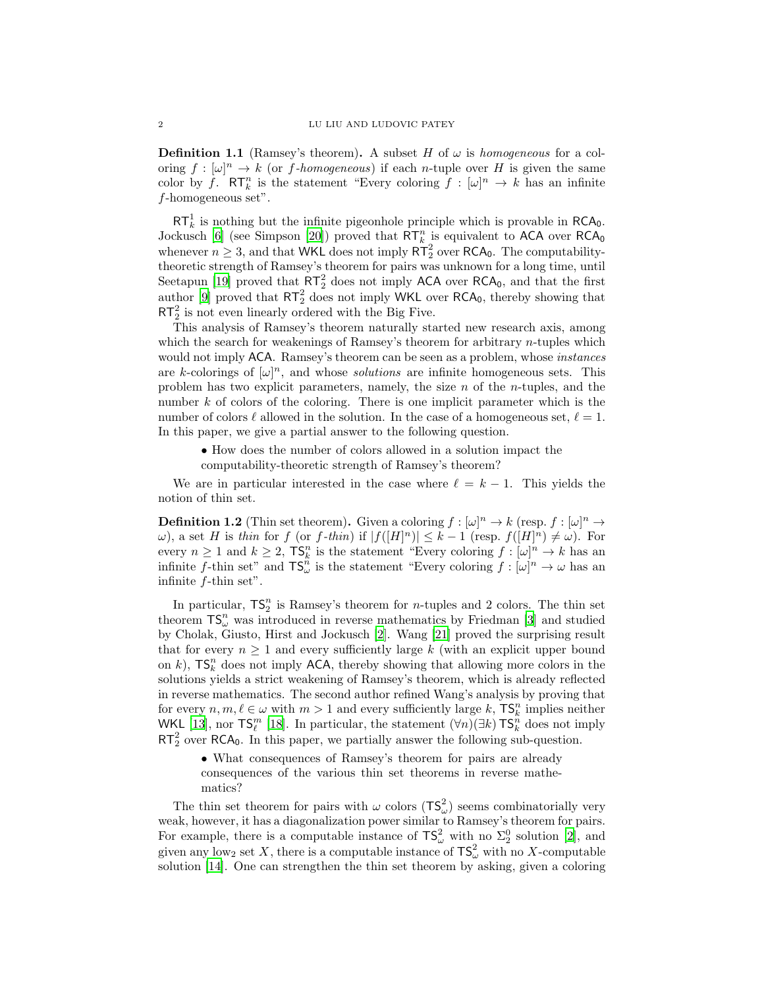**Definition 1.1** (Ramsey's theorem). A subset H of  $\omega$  is homogeneous for a coloring  $f : [\omega]^n \to k$  (or f-homogeneous) if each n-tuple over H is given the same color by f.  $\mathsf{RT}_k^n$  is the statement "Every coloring  $f : [\omega]^n \to k$  has an infinite  $f$ -homogeneous set".

 $RT_k^1$  is nothing but the infinite pigeonhole principle which is provable in RCA<sub>0</sub>. Jockusch [\[6](#page-32-3)] (see Simpson [\[20\]](#page-32-2)) proved that  $\mathsf{RT}_{k}^{n}$  is equivalent to ACA over  $\mathsf{RCA}_{0}$ whenever  $n \geq 3$ , and that WKL does not imply  $R\overline{T}_2^2$  over RCA<sub>0</sub>. The computabilitytheoretic strength of Ramsey's theorem for pairs was unknown for a long time, until Seetapun [\[19\]](#page-32-4) proved that  $\overline{RT}_2^2$  does not imply ACA over RCA<sub>0</sub>, and that the first author [\[9\]](#page-32-5) proved that  $RT_2^2$  does not imply WKL over RCA<sub>0</sub>, thereby showing that  $RT_2^2$  is not even linearly ordered with the Big Five.

This analysis of Ramsey's theorem naturally started new research axis, among which the search for weakenings of Ramsey's theorem for arbitrary  $n$ -tuples which would not imply ACA. Ramsey's theorem can be seen as a problem, whose *instances* are k-colorings of  $[\omega]^n$ , and whose *solutions* are infinite homogeneous sets. This problem has two explicit parameters, namely, the size  $n$  of the *n*-tuples, and the number k of colors of the coloring. There is one implicit parameter which is the number of colors  $\ell$  allowed in the solution. In the case of a homogeneous set,  $\ell = 1$ . In this paper, we give a partial answer to the following question.

• How does the number of colors allowed in a solution impact the computability-theoretic strength of Ramsey's theorem?

We are in particular interested in the case where  $\ell = k - 1$ . This yields the notion of thin set.

**Definition 1.2** (Thin set theorem). Given a coloring  $f : [\omega]^n \to k$  (resp.  $f : [\omega]^n \to$  $ω$ ), a set H is thin for f (or f-thin) if  $|f([H]^n)| ≤ k - 1$  (resp.  $f([H]^n) ≠ ω$ ). For every  $n \geq 1$  and  $k \geq 2$ ,  $\mathsf{TS}_k^n$  is the statement "Every coloring  $f : [\omega]^n \to k$  has an infinite f-thin set" and  $TS_{\omega}^n$  is the statement "Every coloring  $f : [\omega]^n \to \omega$  has an infinite f-thin set".

In particular,  $TS_2^n$  is Ramsey's theorem for *n*-tuples and 2 colors. The thin set theorem  $\mathsf{TS}^n_\omega$  was introduced in reverse mathematics by Friedman [\[3\]](#page-32-6) and studied by Cholak, Giusto, Hirst and Jockusch [\[2\]](#page-31-0). Wang [\[21\]](#page-32-7) proved the surprising result that for every  $n \geq 1$  and every sufficiently large k (with an explicit upper bound on k),  $\mathsf{TS}_{k}^{n}$  does not imply ACA, thereby showing that allowing more colors in the solutions yields a strict weakening of Ramsey's theorem, which is already reflected in reverse mathematics. The second author refined Wang's analysis by proving that for every  $n, m, \ell \in \omega$  with  $m > 1$  and every sufficiently large k,  $\mathsf{TS}_k^n$  implies neither WKL [\[13](#page-32-8)], nor  $\mathsf{TS}_{\ell}^m$  [\[18](#page-32-9)]. In particular, the statement  $(\forall n)(\exists k)\mathsf{TS}_{k}^n$  does not imply  $RT_2^2$  over RCA<sub>0</sub>. In this paper, we partially answer the following sub-question.

• What consequences of Ramsey's theorem for pairs are already consequences of the various thin set theorems in reverse mathematics?

The thin set theorem for pairs with  $\omega$  colors  $(\mathsf{TS}_{\omega}^2)$  seems combinatorially very weak, however, it has a diagonalization power similar to Ramsey's theorem for pairs. For example, there is a computable instance of  $\mathsf{TS}_{\omega}^2$  with no  $\Sigma_2^0$  solution [\[2\]](#page-31-0), and given any low<sub>2</sub> set X, there is a computable instance of  $\mathsf{TS}_{\omega}^2$  with no X-computable solution [\[14](#page-32-10)]. One can strengthen the thin set theorem by asking, given a coloring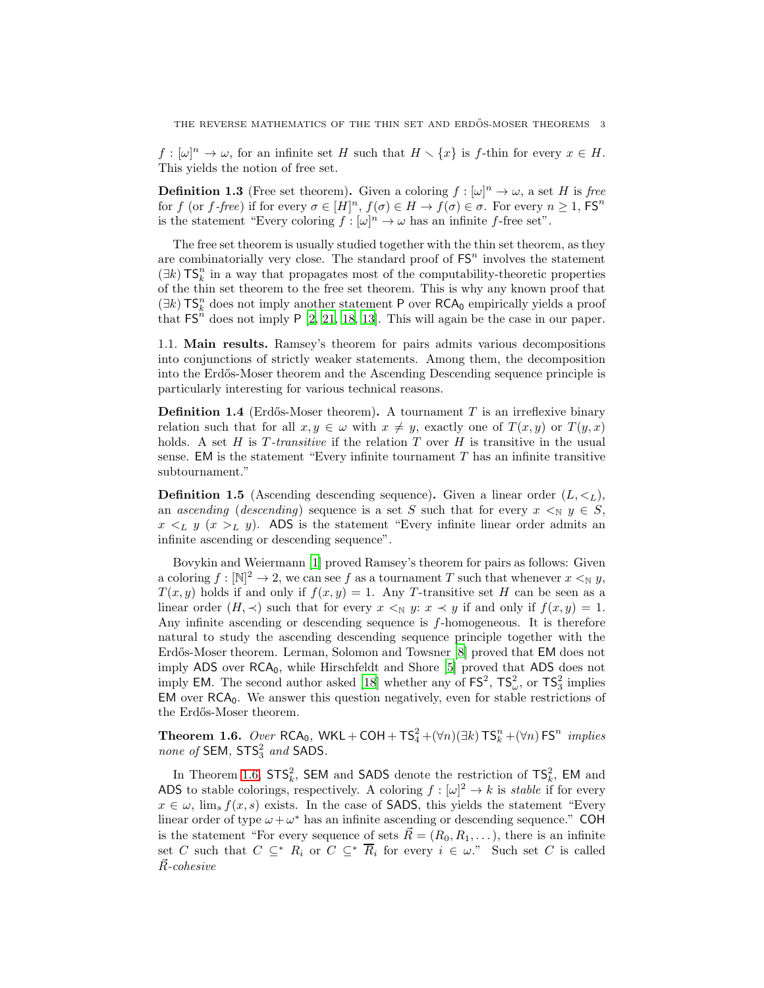$f : [\omega]^n \to \omega$ , for an infinite set H such that  $H \setminus \{x\}$  is f-thin for every  $x \in H$ . This yields the notion of free set.

**Definition 1.3** (Free set theorem). Given a coloring  $f : [\omega]^n \to \omega$ , a set H is free for f (or f-free) if for every  $\sigma \in [H]^n$ ,  $f(\sigma) \in H \to f(\sigma) \in \sigma$ . For every  $n \geq 1$ , FS<sup>n</sup> is the statement "Every coloring  $f : [\omega]^n \to \omega$  has an infinite f-free set".

The free set theorem is usually studied together with the thin set theorem, as they are combinatorially very close. The standard proof of  $FS<sup>n</sup>$  involves the statement  $(\exists k)$  TS<sup>n</sup><sub>k</sub> in a way that propagates most of the computability-theoretic properties of the thin set theorem to the free set theorem. This is why any known proof that  $(\exists k)$ TS<sup>n</sup> does not imply another statement P over RCA<sub>0</sub> empirically yields a proof that  $\mathsf{FS}^n$  does not imply P [\[2,](#page-31-0) [21,](#page-32-7) [18,](#page-32-9) [13](#page-32-8)]. This will again be the case in our paper.

1.1. Main results. Ramsey's theorem for pairs admits various decompositions into conjunctions of strictly weaker statements. Among them, the decomposition into the Erdős-Moser theorem and the Ascending Descending sequence principle is particularly interesting for various technical reasons.

**Definition 1.4** (Erdős-Moser theorem). A tournament  $T$  is an irreflexive binary relation such that for all  $x, y \in \omega$  with  $x \neq y$ , exactly one of  $T(x, y)$  or  $T(y, x)$ holds. A set  $H$  is  $T$ -transitive if the relation  $T$  over  $H$  is transitive in the usual sense. EM is the statement "Every infinite tournament  $T$  has an infinite transitive subtournament."

**Definition 1.5** (Ascending descending sequence). Given a linear order  $(L, \lt_L)$ , an ascending (descending) sequence is a set S such that for every  $x \leq_N y \in S$ ,  $x \leq_L y$   $(x >_L y)$ . ADS is the statement "Every infinite linear order admits an infinite ascending or descending sequence".

Bovykin and Weiermann [\[1](#page-31-1)] proved Ramsey's theorem for pairs as follows: Given a coloring  $f: [\mathbb{N}]^2 \to \mathbb{N}$ , we can see f as a tournament T such that whenever  $x \leq_{\mathbb{N}} y$ ,  $T(x, y)$  holds if and only if  $f(x, y) = 1$ . Any T-transitive set H can be seen as a linear order  $(H, \prec)$  such that for every  $x \leq_N y: x \prec y$  if and only if  $f(x, y) = 1$ . Any infinite ascending or descending sequence is f-homogeneous. It is therefore natural to study the ascending descending sequence principle together with the Erdős-Moser theorem. Lerman, Solomon and Towsner [\[8](#page-32-11)] proved that EM does not imply  $ADS$  over  $RCA<sub>0</sub>$ , while Hirschfeldt and Shore [\[5\]](#page-32-12) proved that  $ADS$  does not imply EM. The second author asked [\[18\]](#page-32-9) whether any of  $\text{FS}^2$ ,  $\text{TS}^2_{\omega}$ , or  $\text{TS}^2_3$  implies  $EM$  over  $RCA<sub>0</sub>$ . We answer this question negatively, even for stable restrictions of the Erdős-Moser theorem.

<span id="page-2-0"></span>**Theorem 1.6.** Over RCA<sub>0</sub>, WKL + COH +  $TS_4^2 + (\forall n)(\exists k) TS_k^n + (\forall n) FS^n$  implies none of SEM,  $STS_3^2$  and SADS.

In Theorem [1.6,](#page-2-0)  $STS_k^2$ , SEM and SADS denote the restriction of  $TS_k^2$ , EM and ADS to stable colorings, respectively. A coloring  $f : [\omega]^2 \to k$  is *stable* if for every  $x \in \omega$ , lim<sub>s</sub>  $f(x, s)$  exists. In the case of **SADS**, this yields the statement "Every" linear order of type  $\omega + \omega^*$  has an infinite ascending or descending sequence." COH is the statement "For every sequence of sets  $\vec{R} = (R_0, R_1, \ldots)$ , there is an infinite set C such that  $C \subseteq^* R_i$  or  $C \subseteq^* \overline{R}_i$  for every  $i \in \omega$ ." Such set C is called  $\vec{R}$ -cohesive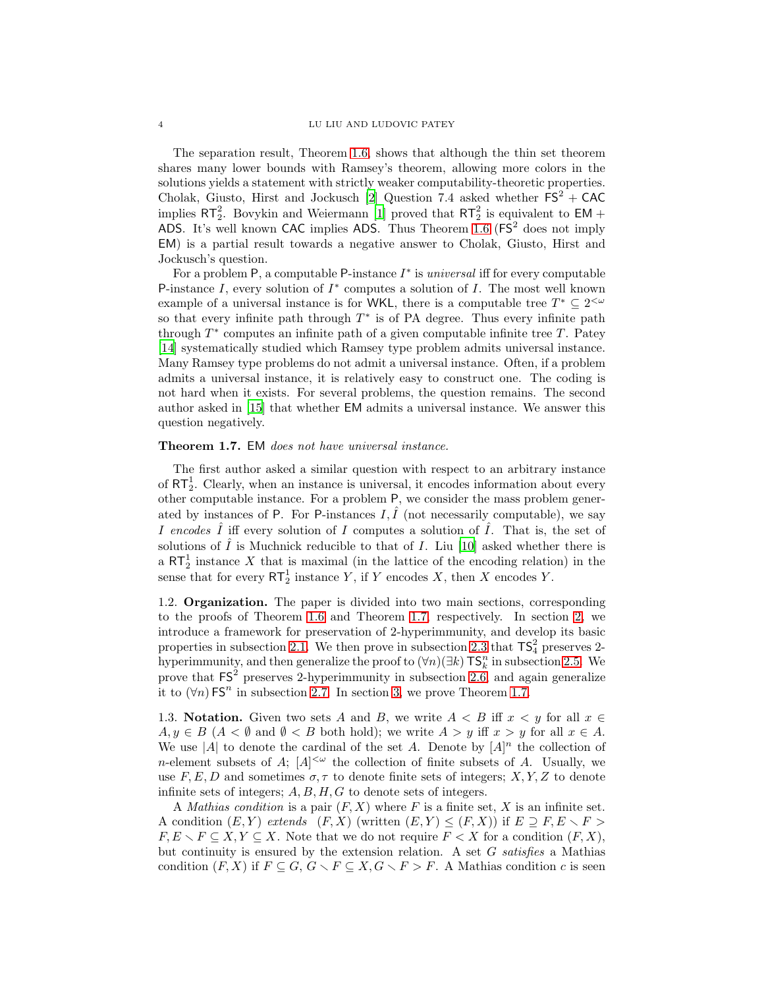The separation result, Theorem [1.6,](#page-2-0) shows that although the thin set theorem shares many lower bounds with Ramsey's theorem, allowing more colors in the solutions yields a statement with strictly weaker computability-theoretic properties. Cholak, Giusto, Hirst and Jockusch [\[2](#page-31-0)] Question 7.4 asked whether  $FS^2 + CAC$ implies  $RT_2^2$ . Bovykin and Weiermann [\[1](#page-31-1)] proved that  $RT_2^2$  is equivalent to EM + ADS. It's well known CAC implies ADS. Thus Theorem [1.6](#page-2-0)  $(FS^2$  does not imply EM) is a partial result towards a negative answer to Cholak, Giusto, Hirst and Jockusch's question.

For a problem  $P$ , a computable  $P$ -instance  $I^*$  is *universal* iff for every computable P-instance  $I$ , every solution of  $I^*$  computes a solution of  $I$ . The most well known example of a universal instance is for WKL, there is a computable tree  $T^* \subseteq 2^{<\omega}$ so that every infinite path through  $T^*$  is of PA degree. Thus every infinite path through  $T^*$  computes an infinite path of a given computable infinite tree  $T$ . Patey [\[14\]](#page-32-10) systematically studied which Ramsey type problem admits universal instance. Many Ramsey type problems do not admit a universal instance. Often, if a problem admits a universal instance, it is relatively easy to construct one. The coding is not hard when it exists. For several problems, the question remains. The second author asked in [\[15](#page-32-13)] that whether EM admits a universal instance. We answer this question negatively.

# <span id="page-3-0"></span>Theorem 1.7. EM does not have universal instance.

The first author asked a similar question with respect to an arbitrary instance of  $RT<sub>2</sub><sup>1</sup>$ . Clearly, when an instance is universal, it encodes information about every other computable instance. For a problem P, we consider the mass problem generated by instances of P. For P-instances  $I, \hat{I}$  (not necessarily computable), we say I encodes  $\hat{I}$  iff every solution of I computes a solution of  $\hat{I}$ . That is, the set of solutions of  $\hat{I}$  is Muchnick reducible to that of I. Liu [\[10\]](#page-32-14) asked whether there is a  $RT_2^1$  instance X that is maximal (in the lattice of the encoding relation) in the sense that for every  $\mathsf{RT}_2^1$  instance Y, if Y encodes X, then X encodes Y.

1.2. Organization. The paper is divided into two main sections, corresponding to the proofs of Theorem [1.6](#page-2-0) and Theorem [1.7,](#page-3-0) respectively. In section [2,](#page-4-0) we introduce a framework for preservation of 2-hyperimmunity, and develop its basic properties in subsection [2.1.](#page-5-0) We then prove in subsection [2.3](#page-8-0) that  $\mathsf{TS}_4^2$  preserves 2hyperimmunity, and then generalize the proof to  $(\forall n)(\exists k)$  TS<sup>n</sup> in subsection [2.5.](#page-13-0) We prove that  $FS^2$  preserves 2-hyperimmunity in subsection [2.6,](#page-18-0) and again generalize it to  $(\forall n)$  FS<sup>n</sup> in subsection [2.7.](#page-21-0) In section [3,](#page-25-0) we prove Theorem [1.7.](#page-3-0)

1.3. Notation. Given two sets A and B, we write  $A < B$  iff  $x < y$  for all  $x \in$  $A, y \in B$  ( $A < \emptyset$  and  $\emptyset < B$  both hold); we write  $A > y$  iff  $x > y$  for all  $x \in A$ . We use |A| to denote the cardinal of the set A. Denote by  $[A]^n$  the collection of *n*-element subsets of A;  $[A]^{<\omega}$  the collection of finite subsets of A. Usually, we use F, E, D and sometimes  $\sigma, \tau$  to denote finite sets of integers; X, Y, Z to denote infinite sets of integers;  $A, B, H, G$  to denote sets of integers.

A *Mathias condition* is a pair  $(F, X)$  where F is a finite set, X is an infinite set. A condition  $(E, Y)$  extends  $(F, X)$  (written  $(E, Y) \leq (F, X)$ ) if  $E \supseteq F, E \supset F >$  $F, E \setminus F \subseteq X, Y \subseteq X$ . Note that we do not require  $F < X$  for a condition  $(F, X)$ , but continuity is ensured by the extension relation. A set G satisfies a Mathias condition  $(F, X)$  if  $F \subseteq G, G \setminus F \subseteq X, G \setminus F > F$ . A Mathias condition c is seen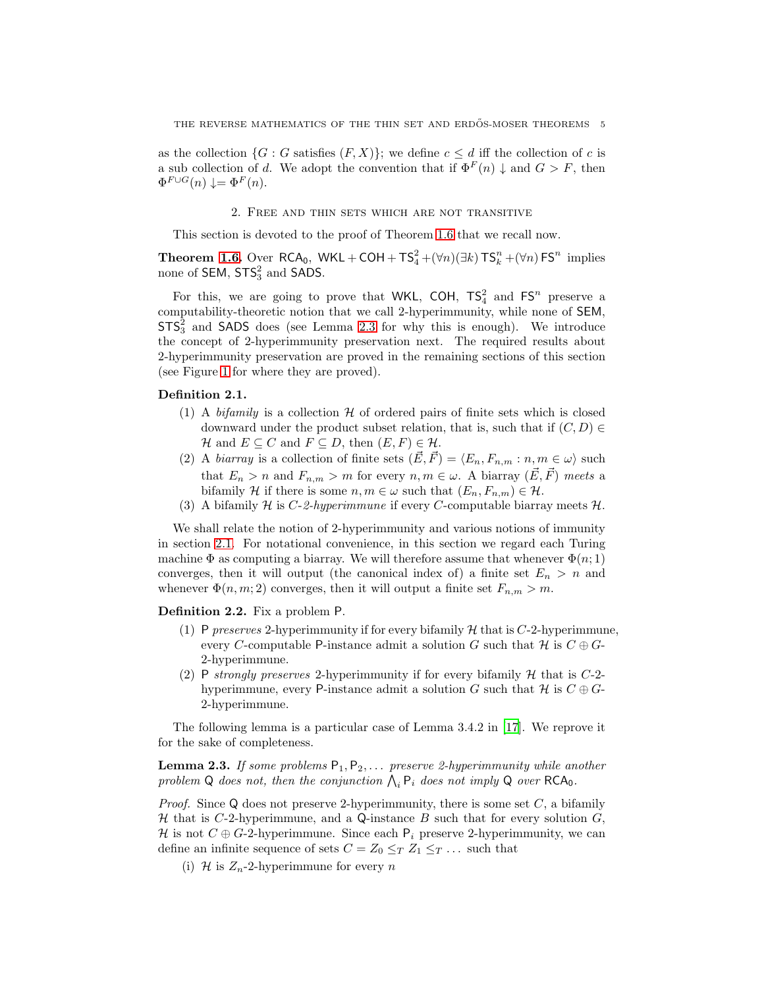as the collection  $\{G : G \text{ satisfies } (F, X)\}$ ; we define  $c \leq d$  iff the collection of c is a sub collection of d. We adopt the convention that if  $\Phi^F(n) \downarrow$  and  $G > F$ , then  $\Phi^{F \cup G}(n) \downarrow = \Phi^{F}(n).$ 

# 2. Free and thin sets which are not transitive

<span id="page-4-0"></span>This section is devoted to the proof of Theorem [1.6](#page-2-0) that we recall now.

**Theorem [1.6.](#page-2-0)** Over  $RCA_0$ ,  $WKL + COH + TS_4^2 + (\forall n)(\exists k) TS_k^n + (\forall n) FS^n$  implies none of  $SEM$ ,  $STS_3^2$  and  $SADS$ .

For this, we are going to prove that WKL, COH,  $TS_4^2$  and  $FS^n$  preserve a computability-theoretic notion that we call 2-hyperimmunity, while none of SEM,  $STS_3^2$  and SADS does (see Lemma [2.3](#page-4-1) for why this is enough). We introduce the concept of 2-hyperimmunity preservation next. The required results about 2-hyperimmunity preservation are proved in the remaining sections of this section (see Figure [1](#page-5-1) for where they are proved).

## Definition 2.1.

- (1) A *bifamily* is a collection  $H$  of ordered pairs of finite sets which is closed downward under the product subset relation, that is, such that if  $(C, D) \in$ H and  $E \subseteq C$  and  $F \subseteq D$ , then  $(E, F) \in \mathcal{H}$ .
- (2) A *biarray* is a collection of finite sets  $(\vec{E}, \vec{F}) = \langle E_n, F_{n,m} : n, m \in \omega \rangle$  such that  $E_n > n$  and  $F_{n,m} > m$  for every  $n, m \in \omega$ . A biarray  $(\vec{E}, \vec{F})$  meets a bifamily H if there is some  $n, m \in \omega$  such that  $(E_n, F_{n,m}) \in \mathcal{H}$ .
- (3) A bifamily H is C-2-hyperimmune if every C-computable biarray meets  $H$ .

We shall relate the notion of 2-hyperimmunity and various notions of immunity in section [2.1.](#page-5-0) For notational convenience, in this section we regard each Turing machine  $\Phi$  as computing a biarray. We will therefore assume that whenever  $\Phi(n; 1)$ converges, then it will output (the canonical index of) a finite set  $E_n > n$  and whenever  $\Phi(n, m; 2)$  converges, then it will output a finite set  $F_{n,m} > m$ .

Definition 2.2. Fix a problem P.

- (1) P preserves 2-hyperimmunity if for every bifamily  $H$  that is C-2-hyperimmune, every C-computable P-instance admit a solution G such that  $\mathcal H$  is  $C \oplus G$ -2-hyperimmune.
- (2) P strongly preserves 2-hyperimmunity if for every bifamily  $\mathcal H$  that is C-2hyperimmune, every P-instance admit a solution G such that  $\mathcal{H}$  is  $C \oplus G$ -2-hyperimmune.

The following lemma is a particular case of Lemma 3.4.2 in [\[17\]](#page-32-15). We reprove it for the sake of completeness.

<span id="page-4-1"></span>**Lemma 2.3.** If some problems  $P_1, P_2, \ldots$  preserve 2-hyperimmunity while another problem Q does not, then the conjunction  $\bigwedge_i P_i$  does not imply Q over RCA<sub>0</sub>.

*Proof.* Since Q does not preserve 2-hyperimmunity, there is some set  $C$ , a bifamily H that is C-2-hyperimmune, and a Q-instance B such that for every solution  $G$ , H is not  $C \oplus G$ -2-hyperimmune. Since each  $P_i$  preserve 2-hyperimmunity, we can define an infinite sequence of sets  $C = Z_0 \leq_T Z_1 \leq_T \ldots$  such that

(i) H is  $Z_n$ -2-hyperimmune for every n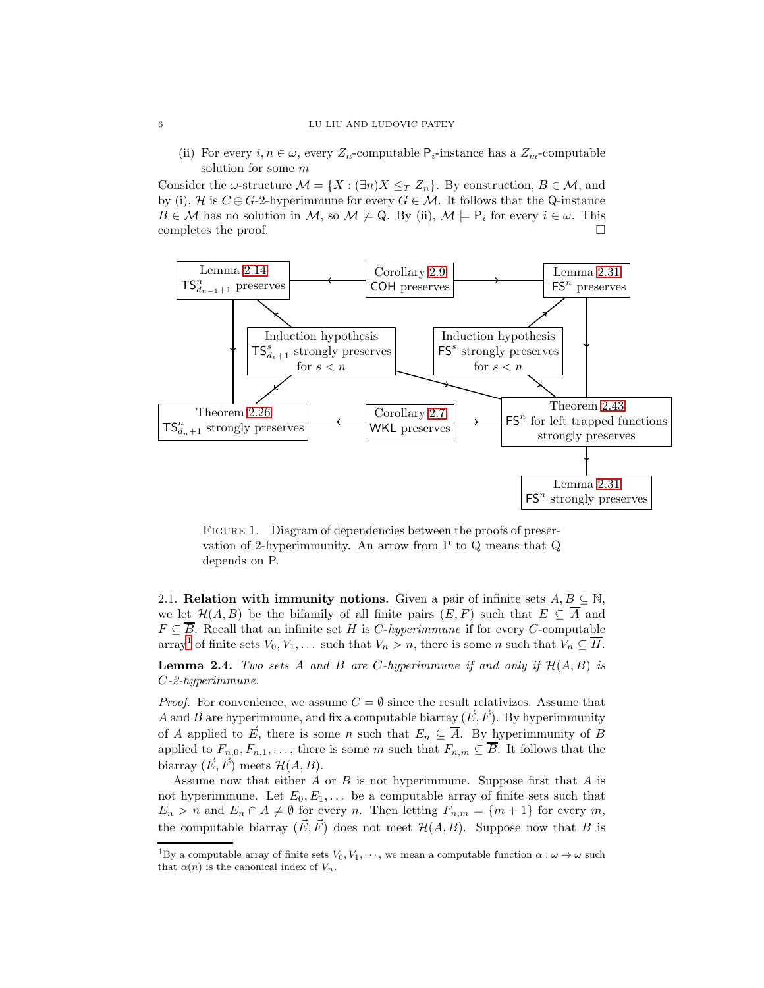(ii) For every  $i, n \in \omega$ , every  $Z_n$ -computable  $P_i$ -instance has a  $Z_m$ -computable solution for some m

Consider the  $\omega$ -structure  $\mathcal{M} = \{X : (\exists n)X \leq_T Z_n\}$ . By construction,  $B \in \mathcal{M}$ , and by (i), H is  $C \oplus G$ -2-hyperimmune for every  $G \in \mathcal{M}$ . It follows that the Q-instance  $B \in \mathcal{M}$  has no solution in  $\mathcal{M}$ , so  $\mathcal{M} \not\models Q$ . By (ii),  $\mathcal{M} \models P_i$  for every  $i \in \omega$ . This completes the proof.  $\Box$ 



<span id="page-5-1"></span>FIGURE 1. Diagram of dependencies between the proofs of preservation of 2-hyperimmunity. An arrow from P to Q means that Q depends on P.

<span id="page-5-0"></span>2.1. Relation with immunity notions. Given a pair of infinite sets  $A, B \subseteq \mathbb{N}$ , we let  $\mathcal{H}(A, B)$  be the bifamily of all finite pairs  $(E, F)$  such that  $E \subseteq \overline{A}$  and  $F \subseteq \overline{B}$ . Recall that an infinite set H is C-hyperimmune if for every C-computable array<sup>[1](#page-5-2)</sup> of finite sets  $V_0, V_1, \ldots$  such that  $V_n > n$ , there is some n such that  $V_n \subseteq \overline{H}$ .

<span id="page-5-3"></span>**Lemma 2.4.** Two sets A and B are C-hyperimmune if and only if  $\mathcal{H}(A, B)$  is C-2-hyperimmune.

*Proof.* For convenience, we assume  $C = \emptyset$  since the result relativizes. Assume that A and B are hyperimmune, and fix a computable biarray  $(\vec{E}, \vec{F})$ . By hyperimmunity of A applied to  $\vec{E}$ , there is some n such that  $E_n \subseteq \overline{A}$ . By hyperimmunity of B applied to  $F_{n,0}, F_{n,1}, \ldots$ , there is some m such that  $F_{n,m} \subseteq \overline{B}$ . It follows that the biarray  $(\vec{E}, \vec{F})$  meets  $\mathcal{H}(A, B)$ .

Assume now that either  $A$  or  $B$  is not hyperimmune. Suppose first that  $A$  is not hyperimmune. Let  $E_0, E_1, \ldots$  be a computable array of finite sets such that  $E_n > n$  and  $E_n \cap A \neq \emptyset$  for every n. Then letting  $F_{n,m} = \{m+1\}$  for every m, the computable biarray  $(\vec{E}, \vec{F})$  does not meet  $\mathcal{H}(A, B)$ . Suppose now that B is

<span id="page-5-2"></span><sup>&</sup>lt;sup>1</sup>By a computable array of finite sets  $V_0, V_1, \dots$ , we mean a computable function  $\alpha : \omega \to \omega$  such that  $\alpha(n)$  is the canonical index of  $V_n$ .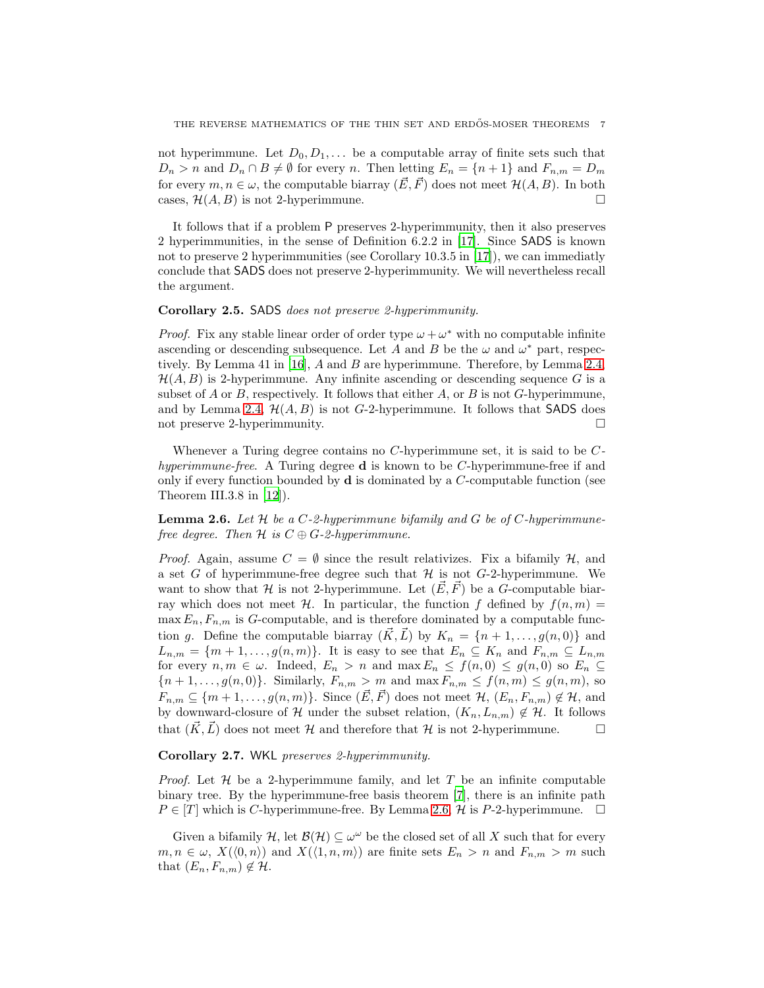not hyperimmune. Let  $D_0, D_1, \ldots$  be a computable array of finite sets such that  $D_n > n$  and  $D_n \cap B \neq \emptyset$  for every n. Then letting  $E_n = \{n+1\}$  and  $F_{n,m} = D_m$ for every  $m, n \in \omega$ , the computable biarray  $(\vec{E}, \vec{F})$  does not meet  $\mathcal{H}(A, B)$ . In both cases,  $\mathcal{H}(A, B)$  is not 2-hyperimmune.

It follows that if a problem P preserves 2-hyperimmunity, then it also preserves 2 hyperimmunities, in the sense of Definition 6.2.2 in [\[17](#page-32-15)]. Since SADS is known not to preserve 2 hyperimmunities (see Corollary 10.3.5 in [\[17](#page-32-15)]), we can immediatly conclude that SADS does not preserve 2-hyperimmunity. We will nevertheless recall the argument.

## Corollary 2.5. SADS does not preserve 2-hyperimmunity.

*Proof.* Fix any stable linear order of order type  $\omega + \omega^*$  with no computable infinite ascending or descending subsequence. Let A and B be the  $\omega$  and  $\omega^*$  part, respectively. By Lemma 41 in [\[16\]](#page-32-16), A and B are hyperimmune. Therefore, by Lemma [2.4,](#page-5-3)  $\mathcal{H}(A, B)$  is 2-hyperimmune. Any infinite ascending or descending sequence G is a subset of A or B, respectively. It follows that either A, or B is not G-hyperimmune, and by Lemma [2.4,](#page-5-3)  $\mathcal{H}(A, B)$  is not G-2-hyperimmune. It follows that SADS does not preserve 2-hyperimmunity.

Whenever a Turing degree contains no  $C$ -hyperimmune set, it is said to be  $C$ hyperimmune-free. A Turing degree **d** is known to be C-hyperimmune-free if and only if every function bounded by  $\bf{d}$  is dominated by a *C*-computable function (see Theorem III.3.8 in [\[12](#page-32-17)]).

<span id="page-6-1"></span>**Lemma 2.6.** Let  $H$  be a C-2-hyperimmune bifamily and G be of C-hyperimmunefree degree. Then  $H$  is  $C \oplus G$ -2-hyperimmune.

*Proof.* Again, assume  $C = \emptyset$  since the result relativizes. Fix a bifamily  $\mathcal{H}$ , and a set G of hyperimmune-free degree such that  $\mathcal H$  is not G-2-hyperimmune. We want to show that H is not 2-hyperimmune. Let  $(\vec{E}, \vec{F})$  be a G-computable biarray which does not meet H. In particular, the function f defined by  $f(n, m) =$  $\max E_n, F_{n,m}$  is G-computable, and is therefore dominated by a computable function g. Define the computable biarray  $(\vec{K}, \vec{L})$  by  $K_n = \{n + 1, \ldots, g(n, 0)\}\$ and  $L_{n,m} = \{m+1,\ldots,g(n,m)\}.$  It is easy to see that  $E_n \subseteq K_n$  and  $F_{n,m} \subseteq L_{n,m}$ for every  $n, m \in \omega$ . Indeed,  $E_n > n$  and  $\max E_n \le f(n, 0) \le g(n, 0)$  so  $E_n \subseteq$  ${n + 1, \ldots, g(n, 0)}$ . Similarly,  $F_{n,m} > m$  and  $\max F_{n,m} \le f(n,m) \le g(n,m)$ , so  $F_{n,m} \subseteq \{m+1,\ldots,g(n,m)\}.$  Since  $(\vec{E}, \vec{F})$  does not meet  $\mathcal{H}, (E_n, F_{n,m}) \notin \mathcal{H}$ , and by downward-closure of H under the subset relation,  $(K_n, L_{n,m}) \notin \mathcal{H}$ . It follows that  $(\vec{K}, \vec{L})$  does not meet H and therefore that H is not 2-hyperimmune.

# <span id="page-6-0"></span>Corollary 2.7. WKL preserves 2-hyperimmunity.

*Proof.* Let  $\mathcal H$  be a 2-hyperimmune family, and let  $T$  be an infinite computable binary tree. By the hyperimmune-free basis theorem [\[7](#page-32-18)], there is an infinite path  $P \in [T]$  which is C-hyperimmune-free. By Lemma [2.6,](#page-6-1) H is P-2-hyperimmune.  $\Box$ 

Given a bifamily  $\mathcal{H}$ , let  $\mathcal{B}(\mathcal{H}) \subseteq \omega^{\omega}$  be the closed set of all X such that for every  $m, n \in \omega$ ,  $X(\langle 0, n \rangle)$  and  $X(\langle 1, n, m \rangle)$  are finite sets  $E_n > n$  and  $F_{n,m} > m$  such that  $(E_n, F_{n,m}) \notin \mathcal{H}$ .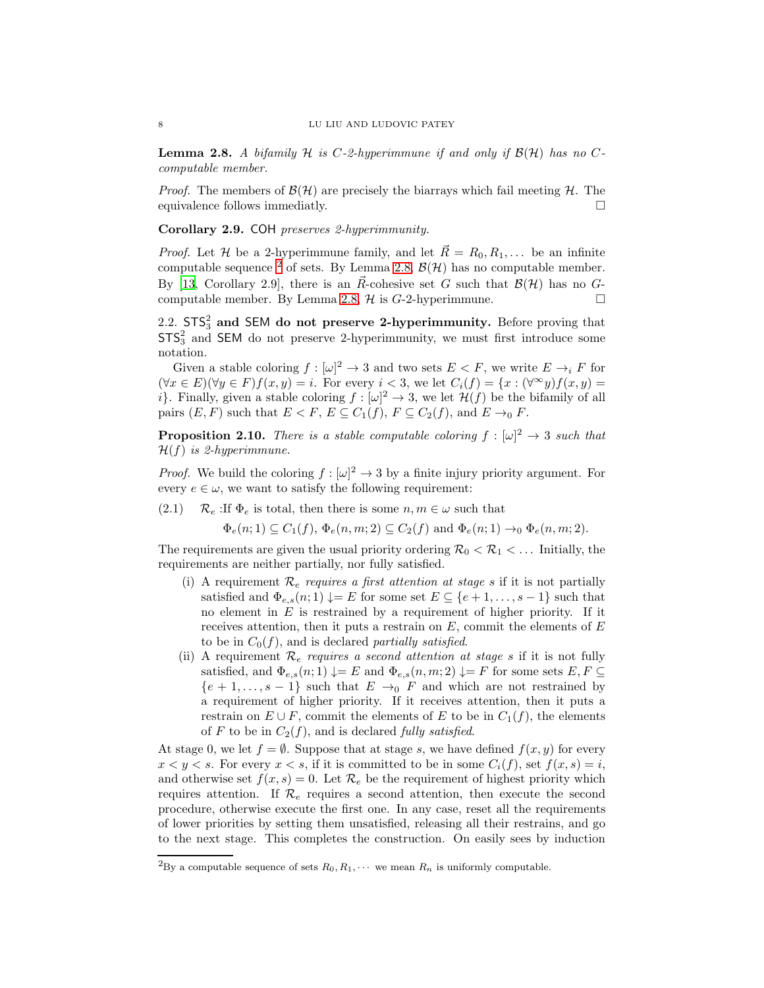<span id="page-7-2"></span>**Lemma 2.8.** A bifamily H is C-2-hyperimmune if and only if  $\mathcal{B}(\mathcal{H})$  has no Ccomputable member.

*Proof.* The members of  $\mathcal{B}(\mathcal{H})$  are precisely the biarrays which fail meeting  $\mathcal{H}$ . The equivalence follows immediatly.  $\Box$ 

<span id="page-7-0"></span>Corollary 2.9. COH preserves 2-hyperimmunity.

*Proof.* Let H be a 2-hyperimmune family, and let  $\vec{R} = R_0, R_1, \ldots$  be an infinite computable sequence <sup>[2](#page-7-1)</sup> of sets. By Lemma [2.8,](#page-7-2)  $\mathcal{B}(\mathcal{H})$  has no computable member. By [\[13](#page-32-8), Corollary 2.9], there is an  $\vec{R}$ -cohesive set G such that  $\mathcal{B}(\mathcal{H})$  has no G-computable member. By Lemma [2.8,](#page-7-2)  $\mathcal{H}$  is  $G$ -2-hyperimmune.

2.2.  $STS_3^2$  and SEM do not preserve 2-hyperimmunity. Before proving that  $STS<sub>3</sub><sup>2</sup>$  and SEM do not preserve 2-hyperimmunity, we must first introduce some notation.

Given a stable coloring  $f : [\omega]^2 \to 3$  and two sets  $E < F$ , we write  $E \to_i F$  for  $(\forall x \in E)(\forall y \in F)f(x, y) = i.$  For every  $i < 3$ , we let  $C_i(f) = \{x : (\forall^{\infty} y)f(x, y) = i\}$ i. Finally, given a stable coloring  $f : [\omega]^2 \to 3$ , we let  $\mathcal{H}(f)$  be the bifamily of all pairs  $(E, F)$  such that  $E < F$ ,  $E \subseteq C_1(f)$ ,  $F \subseteq C_2(f)$ , and  $E \to_0 F$ .

<span id="page-7-3"></span>**Proposition 2.10.** There is a stable computable coloring  $f : [\omega]^2 \to 3$  such that  $\mathcal{H}(f)$  is 2-hyperimmune.

*Proof.* We build the coloring  $f : [\omega]^2 \to 3$  by a finite injury priority argument. For every  $e \in \omega$ , we want to satisfy the following requirement:

(2.1)  $\mathcal{R}_e$ : If  $\Phi_e$  is total, then there is some  $n, m \in \omega$  such that

 $\Phi_e(n;1) \subseteq C_1(f), \Phi_e(n,m;2) \subseteq C_2(f)$  and  $\Phi_e(n;1) \rightarrow_0 \Phi_e(n,m;2)$ .

The requirements are given the usual priority ordering  $\mathcal{R}_0 < \mathcal{R}_1 < \dots$  Initially, the requirements are neither partially, nor fully satisfied.

- (i) A requirement  $\mathcal{R}_e$  requires a first attention at stage s if it is not partially satisfied and  $\Phi_{e,s}(n;1) \downarrow=E$  for some set  $E \subseteq \{e+1,\ldots,s-1\}$  such that no element in  $E$  is restrained by a requirement of higher priority. If it receives attention, then it puts a restrain on  $E$ , commit the elements of  $E$ to be in  $C_0(f)$ , and is declared partially satisfied.
- (ii) A requirement  $\mathcal{R}_e$  requires a second attention at stage s if it is not fully satisfied, and  $\Phi_{e,s}(n;1) \downarrow = E$  and  $\Phi_{e,s}(n,m;2) \downarrow = F$  for some sets  $E, F \subseteq$  ${e+1,..., s-1}$  such that  $E \rightarrow_0 F$  and which are not restrained by a requirement of higher priority. If it receives attention, then it puts a restrain on  $E \cup F$ , commit the elements of E to be in  $C_1(f)$ , the elements of F to be in  $C_2(f)$ , and is declared fully satisfied.

At stage 0, we let  $f = \emptyset$ . Suppose that at stage s, we have defined  $f(x, y)$  for every  $x < y < s$ . For every  $x < s$ , if it is committed to be in some  $C_i(f)$ , set  $f(x, s) = i$ , and otherwise set  $f(x, s) = 0$ . Let  $\mathcal{R}_e$  be the requirement of highest priority which requires attention. If  $\mathcal{R}_e$  requires a second attention, then execute the second procedure, otherwise execute the first one. In any case, reset all the requirements of lower priorities by setting them unsatisfied, releasing all their restrains, and go to the next stage. This completes the construction. On easily sees by induction

<span id="page-7-1"></span><sup>&</sup>lt;sup>2</sup>By a computable sequence of sets  $R_0, R_1, \cdots$  we mean  $R_n$  is uniformly computable.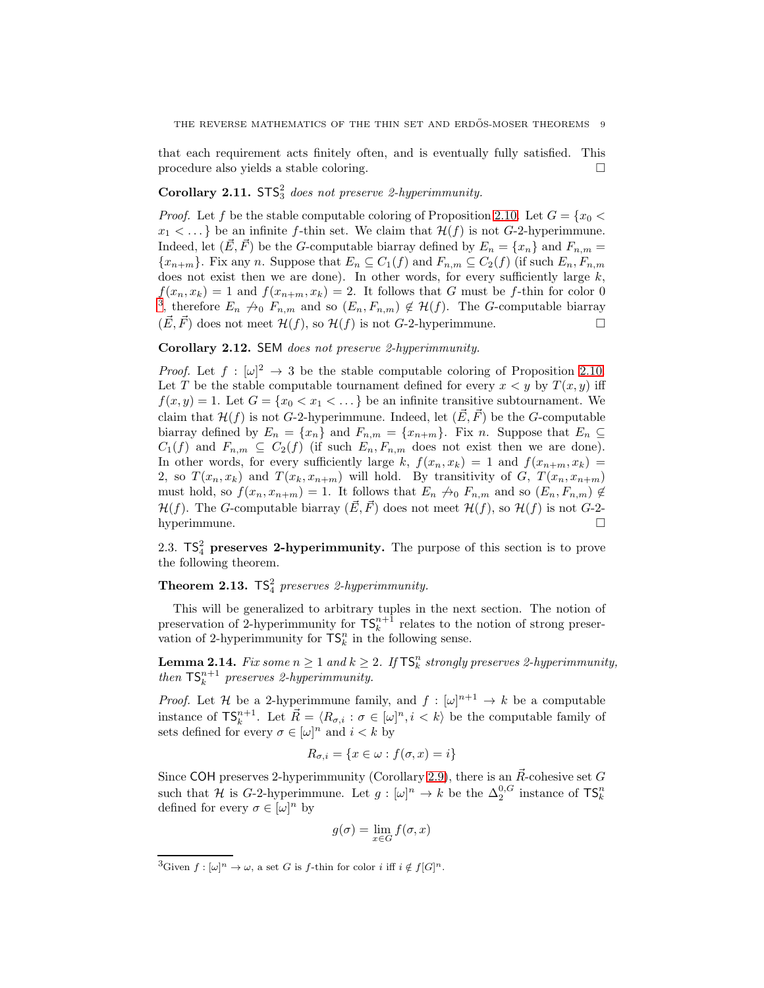that each requirement acts finitely often, and is eventually fully satisfied. This procedure also yields a stable coloring.

# Corollary 2.11.  $STS<sub>3</sub><sup>2</sup>$  does not preserve 2-hyperimmunity.

*Proof.* Let f be the stable computable coloring of Proposition [2.10.](#page-7-3) Let  $G = \{x_0 <$  $x_1 < \dots$  be an infinite f-thin set. We claim that  $\mathcal{H}(f)$  is not G-2-hyperimmune. Indeed, let  $(\vec{E}, \vec{F})$  be the G-computable biarray defined by  $E_n = \{x_n\}$  and  $F_{n,m}$  ${x_{n+m}}$ . Fix any n. Suppose that  $E_n \subseteq C_1(f)$  and  $F_{n,m} \subseteq C_2(f)$  (if such  $E_n, F_{n,m}$ ) does not exist then we are done). In other words, for every sufficiently large  $k$ ,  $f(x_n, x_k) = 1$  and  $f(x_{n+m}, x_k) = 2$ . It follows that G must be f-thin for color 0<br>[3](#page-8-2), therefore  $E_n \nrightarrow_0 F_{n,m}$  and so  $(E_n, F_{n,m}) \notin \mathcal{H}(f)$ . The G-computable biarray  $(\vec{E}, \vec{F})$  does not meet  $\mathcal{H}(f)$ , so  $\mathcal{H}(f)$  is not G-2-hyperimmune.

# Corollary 2.12. SEM does not preserve 2-hyperimmunity.

*Proof.* Let  $f : [\omega]^2 \to 3$  be the stable computable coloring of Proposition [2.10.](#page-7-3) Let T be the stable computable tournament defined for every  $x < y$  by  $T(x, y)$  iff  $f(x, y) = 1$ . Let  $G = \{x_0 < x_1 < \dots\}$  be an infinite transitive subtournament. We claim that  $\mathcal{H}(f)$  is not G-2-hyperimmune. Indeed, let  $(\vec{E}, \vec{F})$  be the G-computable biarray defined by  $E_n = \{x_n\}$  and  $F_{n,m} = \{x_{n+m}\}\$ . Fix n. Suppose that  $E_n \subseteq$  $C_1(f)$  and  $F_{n,m} \subseteq C_2(f)$  (if such  $E_n, F_{n,m}$  does not exist then we are done). In other words, for every sufficiently large k,  $f(x_n, x_k) = 1$  and  $f(x_{n+m}, x_k) =$ 2, so  $T(x_n, x_k)$  and  $T(x_k, x_{n+m})$  will hold. By transitivity of G,  $T(x_n, x_{n+m})$ must hold, so  $f(x_n, x_{n+m}) = 1$ . It follows that  $E_n \nrightarrow 0$   $F_{n,m}$  and so  $(E_n, F_{n,m}) \notin$  $\mathcal{H}(f)$ . The G-computable biarray  $(\vec{E}, \vec{F})$  does not meet  $\mathcal{H}(f)$ , so  $\mathcal{H}(f)$  is not G-2hyperimmune.

<span id="page-8-0"></span>2.3.  $TS<sub>4</sub><sup>2</sup>$  preserves 2-hyperimmunity. The purpose of this section is to prove the following theorem.

**Theorem 2.13.**  $TS_4^2$  preserves 2-hyperimmunity.

This will be generalized to arbitrary tuples in the next section. The notion of preservation of 2-hyperimmunity for  $\mathsf{TS}_k^{n+1}$  relates to the notion of strong preservation of 2-hyperimmunity for  $\mathsf{TS}_k^n$  in the following sense.

<span id="page-8-1"></span>**Lemma 2.14.** Fix some  $n \geq 1$  and  $k \geq 2$ . If  $\mathsf{TS}_k^n$  strongly preserves 2-hyperimmunity, then  $\mathsf{TS}^{n+1}_k$  preserves 2-hyperimmunity.

*Proof.* Let H be a 2-hyperimmune family, and  $f : [\omega]^{n+1} \to k$  be a computable instance of  $\mathsf{TS}_k^{n+1}$ . Let  $\vec{R} = \langle R_{\sigma,i} : \sigma \in [\omega]^n, i \langle k \rangle$  be the computable family of sets defined for every  $\sigma \in [\omega]^n$  and  $i < k$  by

$$
R_{\sigma,i} = \{x \in \omega : f(\sigma, x) = i\}
$$

Since COH preserves 2-hyperimmunity (Corollary [2.9\)](#page-7-0), there is an  $\vec{R}$ -cohesive set G such that H is G-2-hyperimmune. Let  $g: [\omega]^n \to k$  be the  $\Delta_2^{0,G}$  instance of  $\mathsf{TS}_k^n$ defined for every  $\sigma \in [\omega]^n$  by

$$
g(\sigma) = \lim_{x \in G} f(\sigma, x)
$$

<span id="page-8-2"></span><sup>&</sup>lt;sup>3</sup>Given  $f : [\omega]^n \to \omega$ , a set G is f-thin for color i iff  $i \notin f[G]^n$ .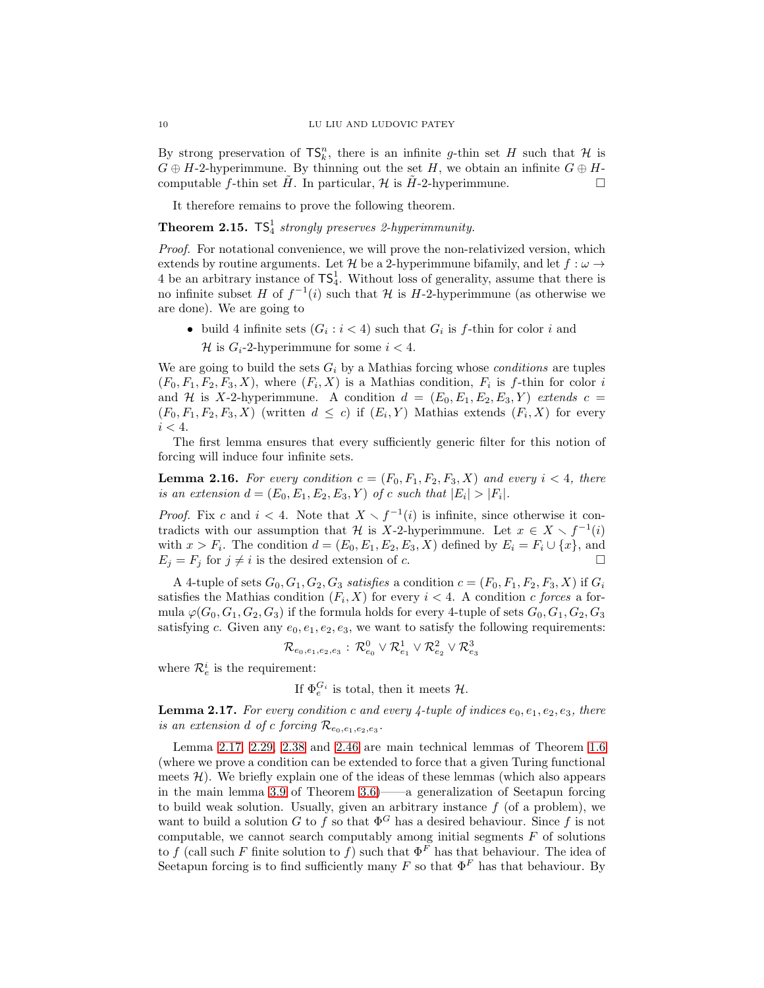By strong preservation of  $\mathsf{TS}_k^n$ , there is an infinite g-thin set H such that H is  $G \oplus H$ -2-hyperimmune. By thinning out the set H, we obtain an infinite  $G \oplus H$ computable f-thin set  $\hat{H}$ . In particular,  $\mathcal{H}$  is  $\hat{H}$ -2-hyperimmune.

It therefore remains to prove the following theorem.

<span id="page-9-2"></span>**Theorem 2.15.**  $TS_4^1$  strongly preserves 2-hyperimmunity.

Proof. For notational convenience, we will prove the non-relativized version, which extends by routine arguments. Let H be a 2-hyperimmune bifamily, and let  $f : \omega \rightarrow$ 4 be an arbitrary instance of  $\mathsf{TS}_4^1$ . Without loss of generality, assume that there is no infinite subset H of  $f^{-1}(i)$  such that H is H-2-hyperimmune (as otherwise we are done). We are going to

• build 4 infinite sets  $(G_i : i < 4)$  such that  $G_i$  is f-thin for color i and H is  $G_i$ -2-hyperimmune for some  $i < 4$ .

We are going to build the sets  $G_i$  by a Mathias forcing whose *conditions* are tuples  $(F_0, F_1, F_2, F_3, X)$ , where  $(F_i, X)$  is a Mathias condition,  $F_i$  is f-thin for color i and H is X-2-hyperimmune. A condition  $d = (E_0, E_1, E_2, E_3, Y)$  extends  $c =$  $(F_0, F_1, F_2, F_3, X)$  (written  $d \leq c$ ) if  $(E_i, Y)$  Mathias extends  $(F_i, X)$  for every  $i < 4$ .

The first lemma ensures that every sufficiently generic filter for this notion of forcing will induce four infinite sets.

<span id="page-9-1"></span>**Lemma 2.16.** For every condition  $c = (F_0, F_1, F_2, F_3, X)$  and every  $i < 4$ , there is an extension  $d = (E_0, E_1, E_2, E_3, Y)$  of c such that  $|E_i| > |F_i|$ .

*Proof.* Fix c and  $i < 4$ . Note that  $X \setminus f^{-1}(i)$  is infinite, since otherwise it contradicts with our assumption that H is X-2-hyperimmune. Let  $x \in X \setminus f^{-1}(i)$ with  $x > F_i$ . The condition  $d = (E_0, E_1, E_2, E_3, X)$  defined by  $E_i = F_i \cup \{x\}$ , and  $E_j = F_j$  for  $j \neq i$  is the desired extension of c.

A 4-tuple of sets  $G_0, G_1, G_2, G_3$  satisfies a condition  $c = (F_0, F_1, F_2, F_3, X)$  if  $G_i$ satisfies the Mathias condition  $(F_i, X)$  for every  $i < 4$ . A condition c forces a formula  $\varphi(G_0, G_1, G_2, G_3)$  if the formula holds for every 4-tuple of sets  $G_0, G_1, G_2, G_3$ satisfying c. Given any  $e_0, e_1, e_2, e_3$ , we want to satisfy the following requirements:

$$
\mathcal{R}_{e_0,e_1,e_2,e_3}:\,\mathcal{R}_{e_0}^0\vee\mathcal{R}_{e_1}^1\vee\mathcal{R}_{e_2}^2\vee\mathcal{R}_{e_3}^3
$$

where  $\mathcal{R}_e^i$  is the requirement:

If  $\Phi_e^{G_i}$  is total, then it meets  $\mathcal{H}$ .

<span id="page-9-0"></span>**Lemma 2.17.** For every condition c and every 4-tuple of indices  $e_0, e_1, e_2, e_3$ , there is an extension d of c forcing  $\mathcal{R}_{e_0,e_1,e_2,e_3}$ .

Lemma [2.17,](#page-9-0) [2.29,](#page-16-0) [2.38](#page-19-0) and [2.46](#page-23-0) are main technical lemmas of Theorem [1.6](#page-2-0) (where we prove a condition can be extended to force that a given Turing functional meets  $\mathcal{H}$ ). We briefly explain one of the ideas of these lemmas (which also appears in the main lemma [3.9](#page-29-0) of Theorem [3.6\)](#page-28-0)——a generalization of Seetapun forcing to build weak solution. Usually, given an arbitrary instance  $f$  (of a problem), we want to build a solution G to f so that  $\Phi^G$  has a desired behaviour. Since f is not computable, we cannot search computably among initial segments  $F$  of solutions to f (call such F finite solution to f) such that  $\Phi^F$  has that behaviour. The idea of Seetapun forcing is to find sufficiently many F so that  $\Phi^F$  has that behaviour. By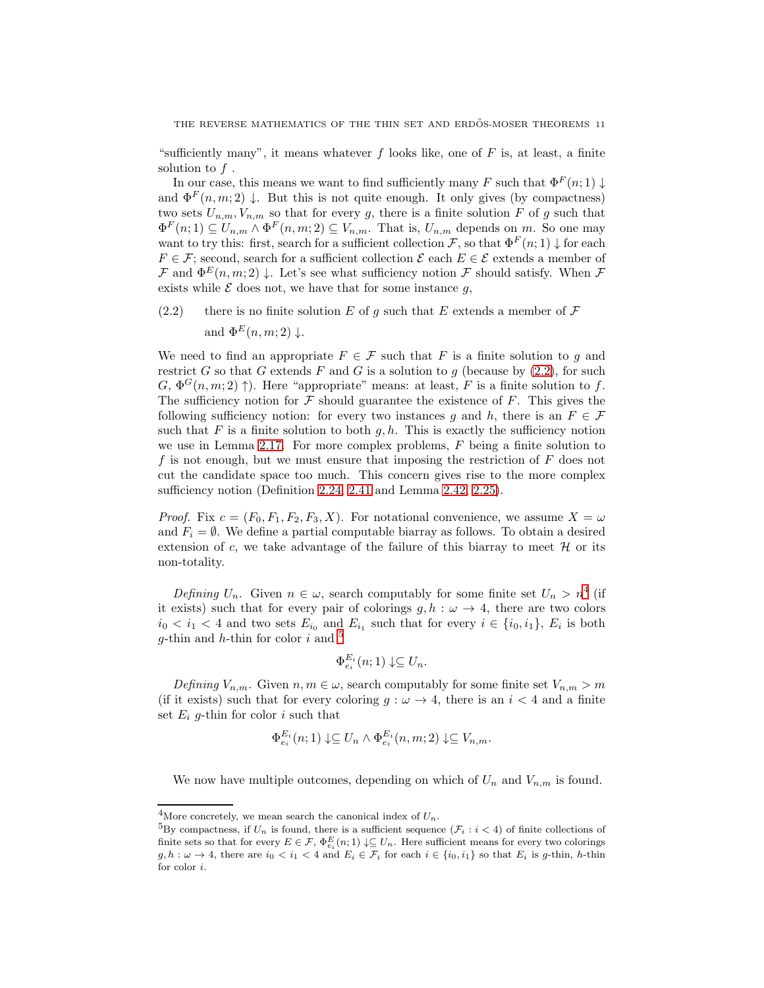"sufficiently many", it means whatever  $f$  looks like, one of  $F$  is, at least, a finite solution to  $f$ .

In our case, this means we want to find sufficiently many F such that  $\Phi^F(n;1) \downarrow$ and  $\Phi^F(n,m;2) \downarrow$ . But this is not quite enough. It only gives (by compactness) two sets  $U_{n,m}$ ,  $V_{n,m}$  so that for every g, there is a finite solution F of g such that  $\Phi^F(n;1) \subseteq U_{n,m} \wedge \Phi^F(n,m;2) \subseteq V_{n,m}$ . That is,  $U_{n,m}$  depends on m. So one may want to try this: first, search for a sufficient collection F, so that  $\Phi^F(n; 1) \downarrow$  for each  $F \in \mathcal{F}$ ; second, search for a sufficient collection  $\mathcal{E}$  each  $E \in \mathcal{E}$  extends a member of  $\mathcal F$  and  $\Phi^E(n,m;2) \downarrow$ . Let's see what sufficiency notion  $\mathcal F$  should satisfy. When  $\mathcal F$ exists while  $\mathcal E$  does not, we have that for some instance  $g$ ,

<span id="page-10-0"></span>(2.2) there is no finite solution E of q such that E extends a member of  $\mathcal F$ and  $\Phi^E(n, m; 2) \downarrow$ .

We need to find an appropriate  $F \in \mathcal{F}$  such that F is a finite solution to g and restrict G so that G extends F and G is a solution to g (because by  $(2.2)$ , for such  $G, \Phi^G(n,m; 2) \uparrow$ . Here "appropriate" means: at least, F is a finite solution to f. The sufficiency notion for  $\mathcal F$  should guarantee the existence of  $F$ . This gives the following sufficiency notion: for every two instances g and h, there is an  $F \in \mathcal{F}$ such that F is a finite solution to both  $g, h$ . This is exactly the sufficiency notion we use in Lemma [2.17.](#page-9-0) For more complex problems, F being a finite solution to f is not enough, but we must ensure that imposing the restriction of  $F$  does not cut the candidate space too much. This concern gives rise to the more complex sufficiency notion (Definition [2.24,](#page-14-0) [2.41](#page-22-1) and Lemma [2.42,](#page-22-2) [2.25\)](#page-14-1).

*Proof.* Fix  $c = (F_0, F_1, F_2, F_3, X)$ . For notational convenience, we assume  $X = \omega$ and  $F_i = \emptyset$ . We define a partial computable biarray as follows. To obtain a desired extension of c, we take advantage of the failure of this biarray to meet  $\mathcal H$  or its non-totality.

Defining  $U_n$ . Given  $n \in \omega$ , search computably for some finite set  $U_n > n^4$  $U_n > n^4$  (if it exists) such that for every pair of colorings  $g, h : \omega \to 4$ , there are two colors  $i_0 < i_1 < 4$  and two sets  $E_{i_0}$  and  $E_{i_1}$  such that for every  $i \in \{i_0, i_1\}$ ,  $E_i$  is both g-thin and  $h$ -thin for color  $i$  and  $5$ 

$$
\Phi_{e_i}^{E_i}(n;1) \downarrow \subseteq U_n.
$$

Defining  $V_{n,m}$ . Given  $n, m \in \omega$ , search computably for some finite set  $V_{n,m} > m$ (if it exists) such that for every coloring  $g : \omega \to 4$ , there is an  $i < 4$  and a finite set  $E_i$  g-thin for color i such that

$$
\Phi_{e_i}^{E_i}(n;1) \downarrow \subseteq U_n \wedge \Phi_{e_i}^{E_i}(n,m;2) \downarrow \subseteq V_{n,m}.
$$

We now have multiple outcomes, depending on which of  $U_n$  and  $V_{n,m}$  is found.

<sup>&</sup>lt;sup>4</sup>More concretely, we mean search the canonical index of  $U_n$ .

<span id="page-10-2"></span><span id="page-10-1"></span><sup>&</sup>lt;sup>5</sup>By compactness, if  $U_n$  is found, there is a sufficient sequence  $(\mathcal{F}_i : i < 4)$  of finite collections of finite sets so that for every  $E \in \mathcal{F}$ ,  $\Phi_{e_i}^E(n; 1) \downarrow \subseteq U_n$ . Here sufficient means for every two colorings  $g, h : \omega \to 4$ , there are  $i_0 < i_1 < 4$  and  $E_i \in \mathcal{F}_i$  for each  $i \in \{i_0, i_1\}$  so that  $E_i$  is g-thin, h-thin for color i.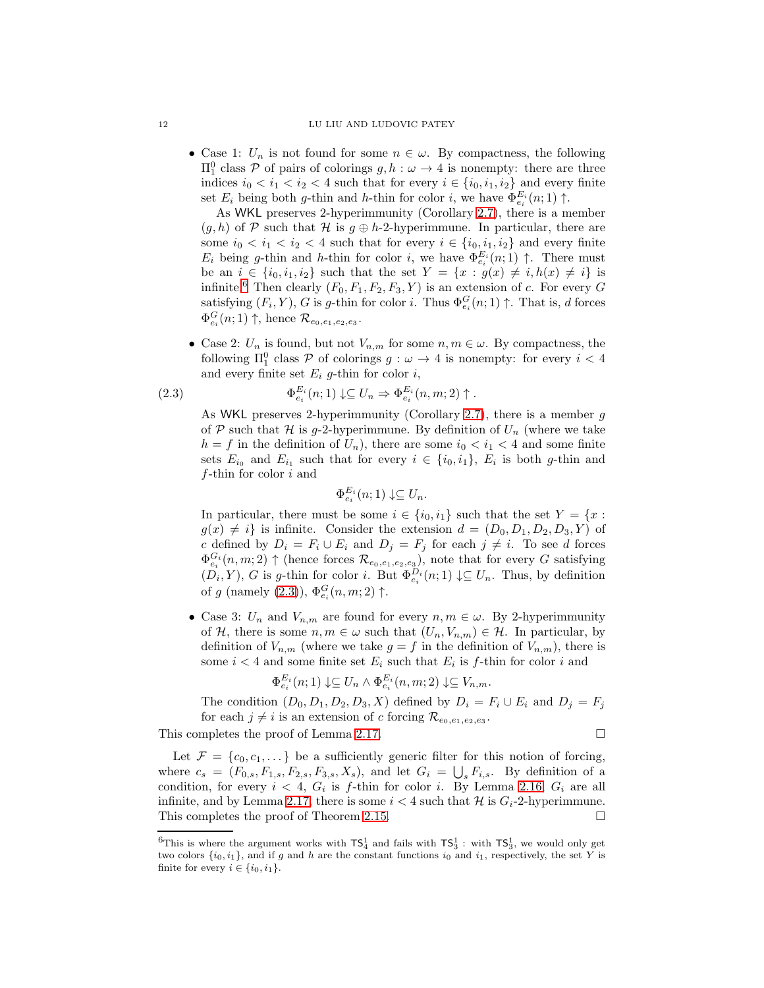#### 12 LU LIU AND LUDOVIC PATEY

• Case 1:  $U_n$  is not found for some  $n \in \omega$ . By compactness, the following  $\Pi<sub>1</sub><sup>0</sup>$  class *P* of pairs of colorings *g*, *h* : *ω* → 4 is nonempty: there are three indices  $i_0 < i_1 < i_2 < 4$  such that for every  $i \in \{i_0, i_1, i_2\}$  and every finite set  $E_i$  being both g-thin and h-thin for color i, we have  $\Phi_{e_i}^{E_i}(n;1) \uparrow$ .

As WKL preserves 2-hyperimmunity (Corollary [2.7\)](#page-6-0), there is a member  $(g, h)$  of P such that H is  $g \oplus h$ -2-hyperimmune. In particular, there are some  $i_0 < i_1 < i_2 < 4$  such that for every  $i \in \{i_0, i_1, i_2\}$  and every finite  $E_i$  being g-thin and h-thin for color i, we have  $\Phi_{e_i}^{E_i}(n;1) \uparrow$ . There must be an  $i \in \{i_0, i_1, i_2\}$  such that the set  $Y = \{x : g(x) \neq i, h(x) \neq i\}$  is infinite.<sup>[6](#page-11-0)</sup> Then clearly  $(F_0, F_1, F_2, F_3, Y)$  is an extension of c. For every G satisfying  $(F_i, Y)$ , G is g-thin for color i. Thus  $\Phi_{e_i}^G(n; 1) \uparrow$ . That is, d forces  $\Phi_{e_i}^G(n;1) \uparrow$ , hence  $\mathcal{R}_{e_0,e_1,e_2,e_3}$ .

• Case 2:  $U_n$  is found, but not  $V_{n,m}$  for some  $n, m \in \omega$ . By compactness, the following  $\Pi_1^0$  class  $P$  of colorings  $g: \omega \to 4$  is nonempty: for every  $i < 4$ and every finite set  $E_i$  g-thin for color i,

<span id="page-11-1"></span>(2.3) 
$$
\Phi_{e_i}^{E_i}(n;1) \downarrow \subseteq U_n \Rightarrow \Phi_{e_i}^{E_i}(n,m;2) \uparrow.
$$

As WKL preserves 2-hyperimmunity (Corollary [2.7\)](#page-6-0), there is a member  $g$ of P such that H is g-2-hyperimmune. By definition of  $U_n$  (where we take  $h = f$  in the definition of  $U_n$ ), there are some  $i_0 < i_1 < 4$  and some finite sets  $E_{i_0}$  and  $E_{i_1}$  such that for every  $i \in \{i_0, i_1\}$ ,  $E_i$  is both g-thin and  $f$ -thin for color  $i$  and

$$
\Phi_{e_i}^{E_i}(n;1) \downarrow \subseteq U_n.
$$

In particular, there must be some  $i \in \{i_0, i_1\}$  such that the set  $Y = \{x :$  $g(x) \neq i$  is infinite. Consider the extension  $d = (D_0, D_1, D_2, D_3, Y)$  of c defined by  $D_i = F_i \cup E_i$  and  $D_j = F_j$  for each  $j \neq i$ . To see d forces  $\Phi_{e_i}^{G_i}(n,m;2) \uparrow$  (hence forces  $\mathcal{R}_{e_0,e_1,e_2,e_3}$ ), note that for every G satisfying  $(D_i, Y)$ , G is g-thin for color i. But  $\Phi_{e_i}^{D_i}(n; 1) \downarrow \subseteq U_n$ . Thus, by definition of g (namely  $(2.3)$ ),  $\Phi_{e_i}^G(n,m;2)$   $\uparrow$ .

• Case 3:  $U_n$  and  $V_{n,m}$  are found for every  $n, m \in \omega$ . By 2-hyperimmunity of H, there is some  $n, m \in \omega$  such that  $(U_n, V_{n,m}) \in \mathcal{H}$ . In particular, by definition of  $V_{n,m}$  (where we take  $g = f$  in the definition of  $V_{n,m}$ ), there is some  $i < 4$  and some finite set  $E_i$  such that  $E_i$  is f-thin for color i and

$$
\Phi_{e_i}^{E_i}(n;1) \downarrow \subseteq U_n \wedge \Phi_{e_i}^{E_i}(n,m;2) \downarrow \subseteq V_{n,m}.
$$

The condition  $(D_0, D_1, D_2, D_3, X)$  defined by  $D_i = F_i \cup E_i$  and  $D_i = F_i$ for each  $j \neq i$  is an extension of c forcing  $\mathcal{R}_{e_0,e_1,e_2,e_3}$ .

This completes the proof of Lemma [2.17.](#page-9-0)

$$
\Box
$$

Let  $\mathcal{F} = \{c_0, c_1, \dots\}$  be a sufficiently generic filter for this notion of forcing, where  $c_s = (F_{0,s}, F_{1,s}, F_{2,s}, F_{3,s}, X_s)$ , and let  $G_i = \bigcup_s F_{i,s}$ . By definition of a condition, for every  $i < 4$ ,  $G_i$  is f-thin for color i. By Lemma [2.16,](#page-9-1)  $G_i$  are all infinite, and by Lemma [2.17,](#page-9-0) there is some  $i < 4$  such that H is  $G_i$ -2-hyperimmune. This completes the proof of Theorem [2.15.](#page-9-2)

<span id="page-11-0"></span><sup>&</sup>lt;sup>6</sup>This is where the argument works with  $TS_4^1$  and fails with  $TS_3^1$ : with  $TS_3^1$ , we would only get two colors  $\{i_0, i_1\}$ , and if g and h are the constant functions  $i_0$  and  $i_1$ , respectively, the set Y is finite for every  $i \in \{i_0, i_1\}.$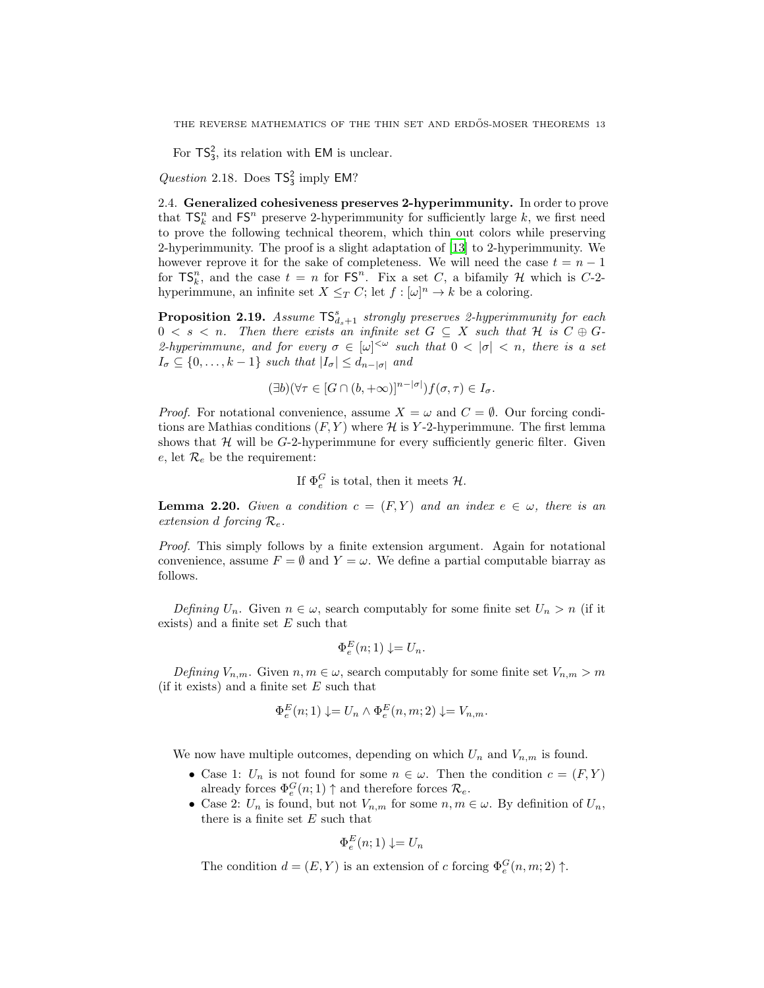For  $\mathsf{TS}_3^2$ , its relation with EM is unclear.

Question 2.18. Does  $TS_3^2$  imply EM?

2.4. Generalized cohesiveness preserves 2-hyperimmunity. In order to prove that  $TS_k^n$  and  $FS^n$  preserve 2-hyperimmunity for sufficiently large k, we first need to prove the following technical theorem, which thin out colors while preserving 2-hyperimmunity. The proof is a slight adaptation of [\[13\]](#page-32-8) to 2-hyperimmunity. We however reprove it for the sake of completeness. We will need the case  $t = n - 1$ for  $\mathsf{TS}_k^n$ , and the case  $t = n$  for  $\mathsf{FS}^n$ . Fix a set C, a bifamily H which is C-2hyperimmune, an infinite set  $X \leq_T C$ ; let  $f : [\omega]^n \to k$  be a coloring.

<span id="page-12-1"></span>**Proposition 2.19.** Assume  $TS_{d_s+1}^s$  strongly preserves 2-hyperimmunity for each  $0 < s < n$ . Then there exists an infinite set  $G \subseteq X$  such that H is  $C \oplus G$ -2-hyperimmune, and for every  $\sigma \in [\omega]^{<\omega}$  such that  $0 < |\sigma| < n$ , there is a set  $I_{\sigma} \subseteq \{0, \ldots, k-1\}$  such that  $|I_{\sigma}| \leq d_{n-|\sigma|}$  and

$$
(\exists b)(\forall \tau \in [G \cap (b, +\infty)]^{n-|\sigma|})f(\sigma, \tau) \in I_{\sigma}.
$$

*Proof.* For notational convenience, assume  $X = \omega$  and  $C = \emptyset$ . Our forcing conditions are Mathias conditions  $(F, Y)$  where  $\mathcal H$  is Y-2-hyperimmune. The first lemma shows that  $H$  will be G-2-hyperimmune for every sufficiently generic filter. Given e, let  $\mathcal{R}_e$  be the requirement:

If  $\Phi_e^G$  is total, then it meets  $\mathcal{H}$ .

<span id="page-12-0"></span>**Lemma 2.20.** Given a condition  $c = (F, Y)$  and an index  $e \in \omega$ , there is an extension d forcing  $\mathcal{R}_e$ .

Proof. This simply follows by a finite extension argument. Again for notational convenience, assume  $F = \emptyset$  and  $Y = \omega$ . We define a partial computable biarray as follows.

Defining  $U_n$ . Given  $n \in \omega$ , search computably for some finite set  $U_n > n$  (if it exists) and a finite set  $E$  such that

$$
\Phi_e^E(n;1) \downarrow = U_n.
$$

Defining  $V_{n,m}$ . Given  $n, m \in \omega$ , search computably for some finite set  $V_{n,m} > m$ (if it exists) and a finite set  $E$  such that

$$
\Phi_e^E(n;1) \downarrow = U_n \wedge \Phi_e^E(n,m;2) \downarrow = V_{n,m}.
$$

We now have multiple outcomes, depending on which  $U_n$  and  $V_{n,m}$  is found.

- Case 1:  $U_n$  is not found for some  $n \in \omega$ . Then the condition  $c = (F, Y)$ already forces  $\Phi_e^G(n;1) \uparrow$  and therefore forces  $\mathcal{R}_e$ .
- Case 2:  $U_n$  is found, but not  $V_{n,m}$  for some  $n, m \in \omega$ . By definition of  $U_n$ , there is a finite set  $E$  such that

$$
\Phi_e^E(n;1) \downarrow = U_n
$$

The condition  $d = (E, Y)$  is an extension of c forcing  $\Phi_e^G(n, m; 2) \uparrow$ .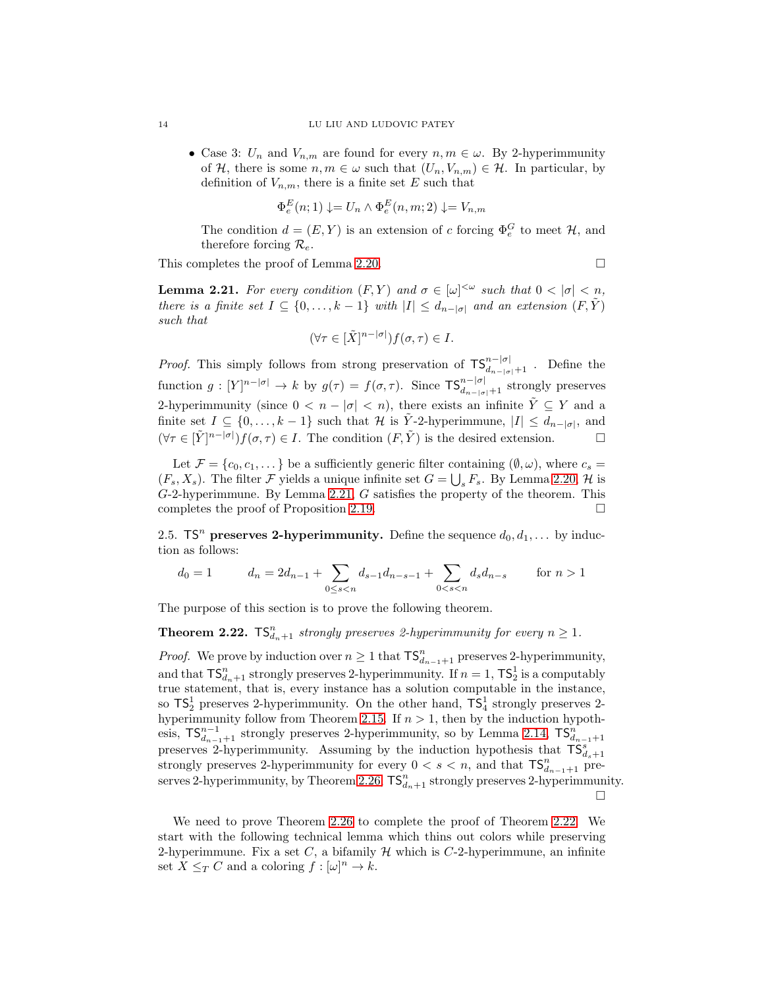• Case 3:  $U_n$  and  $V_{n,m}$  are found for every  $n, m \in \omega$ . By 2-hyperimmunity of H, there is some  $n, m \in \omega$  such that  $(U_n, V_{n,m}) \in \mathcal{H}$ . In particular, by definition of  $V_{n,m}$ , there is a finite set E such that

$$
\Phi_e^E(n;1) \downarrow = U_n \wedge \Phi_e^E(n,m;2) \downarrow = V_{n,m}
$$

The condition  $d = (E, Y)$  is an extension of c forcing  $\Phi_e^G$  to meet  $\mathcal{H}$ , and therefore forcing  $\mathcal{R}_e$ .

This completes the proof of Lemma [2.20.](#page-12-0)  $\Box$ 

<span id="page-13-1"></span>**Lemma 2.21.** For every condition  $(F, Y)$  and  $\sigma \in [\omega]^{<\omega}$  such that  $0 < |\sigma| < n$ , there is a finite set  $I \subseteq \{0, \ldots, k-1\}$  with  $|I| \leq d_{n-|\sigma|}$  and an extension  $(F, Y)$ such that

$$
(\forall \tau \in [\tilde{X}]^{n-|\sigma|})f(\sigma, \tau) \in I.
$$

*Proof.* This simply follows from strong preservation of  $\text{TS}_{d_{n-|\sigma|+1}}^{n-|\sigma|}$ . Define the function  $g: [Y]^{n-|\sigma|} \to k$  by  $g(\tau) = f(\sigma, \tau)$ . Since  $\mathsf{TS}_{d_{n-|\sigma|}+1}^{n-|\sigma|}$  strongly preserves 2-hyperimmunity (since  $0 < n - |\sigma| < n$ ), there exists an infinite  $\tilde{Y} \subseteq Y$  and a finite set  $I \subseteq \{0, \ldots, k-1\}$  such that  $\mathcal H$  is  $\tilde Y$ -2-hyperimmune,  $|I| \leq d_{n-|\sigma|}$ , and  $(\forall \tau \in [\tilde{Y}]^{n-|\sigma|}) f(\sigma, \tau) \in I$ . The condition  $(F, \tilde{Y})$  is the desired extension.

Let  $\mathcal{F} = \{c_0, c_1, \dots\}$  be a sufficiently generic filter containing  $(\emptyset, \omega)$ , where  $c_s =$  $(F_s, X_s)$ . The filter F yields a unique infinite set  $G = \bigcup_s F_s$ . By Lemma [2.20,](#page-12-0) H is  $G-2$ -hyperimmune. By Lemma [2.21,](#page-13-1)  $G$  satisfies the property of the theorem. This completes the proof of Proposition [2.19.](#page-12-1)

<span id="page-13-0"></span>2.5. TS<sup>n</sup> preserves 2-hyperimmunity. Define the sequence  $d_0, d_1, \ldots$  by induction as follows:

$$
d_0 = 1 \t d_n = 2d_{n-1} + \sum_{0 \le s < n} d_{s-1}d_{n-s-1} + \sum_{0 < s < n} d_s d_{n-s} \t \text{for } n > 1
$$

The purpose of this section is to prove the following theorem.

<span id="page-13-2"></span>**Theorem 2.22.**  $TS_{d_n+1}^n$  strongly preserves 2-hyperimmunity for every  $n \geq 1$ .

*Proof.* We prove by induction over  $n \geq 1$  that  $\mathsf{TS}_{d_{n-1}+1}^n$  preserves 2-hyperimmunity, and that  $\mathsf{TS}_{d_n+1}^n$  strongly preserves 2-hyperimmunity. If  $n=1$ ,  $\mathsf{TS}_2^1$  is a computably true statement, that is, every instance has a solution computable in the instance, so  $\text{TS}_2^1$  preserves 2-hyperimmunity. On the other hand,  $\text{TS}_4^1$  strongly preserves 2-hyperimmunity follow from Theorem [2.15.](#page-9-2) If  $n > 1$ , then by the induction hypothesis,  $TS_{d_{n-1}+1}^{n-1}$  strongly preserves 2-hyperimmunity, so by Lemma [2.14,](#page-8-1)  $TS_{d_{n-1}+1}^n$ preserves 2-hyperimmunity. Assuming by the induction hypothesis that  $\mathsf{TS}_{d_s+1}^s$ strongly preserves 2-hyperimmunity for every  $0 < s < n$ , and that  $TS_{d_{n-1}+1}^n$  pre-serves 2-hyperimmunity, by Theorem [2.26,](#page-15-0)  $\mathsf{TS}_{d_n+1}^n$  strongly preserves 2-hyperimmunity.  $\Box$ 

We need to prove Theorem [2.26](#page-15-0) to complete the proof of Theorem [2.22.](#page-13-2) We start with the following technical lemma which thins out colors while preserving 2-hyperimmune. Fix a set C, a bifamily  $\mathcal H$  which is C-2-hyperimmune, an infinite set  $X \leq_T C$  and a coloring  $f : [\omega]^n \to k$ .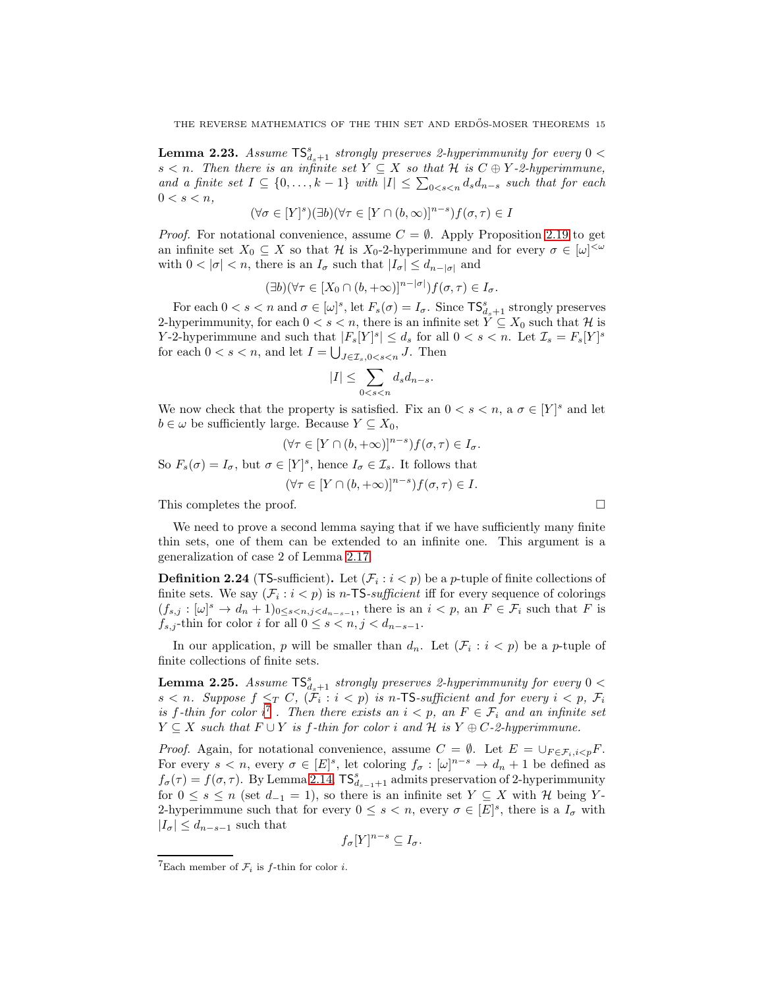<span id="page-14-3"></span>**Lemma 2.23.** Assume  $\mathsf{TS}_{d_s+1}^s$  strongly preserves 2-hyperimmunity for every  $0 <$ s  $\leq n$ . Then there is an infinite set  $Y \subseteq X$  so that H is  $C \oplus Y$ -2-hyperimmune, and a finite set  $I \subseteq \{0, \ldots, k-1\}$  with  $|I| \leq \sum_{0 \leq s \leq n} d_s d_{n-s}$  such that for each  $0 < s < n$ ,

$$
(\forall \sigma \in [Y]^s)(\exists b)(\forall \tau \in [Y \cap (b,\infty)]^{n-s})f(\sigma, \tau) \in I
$$

*Proof.* For notational convenience, assume  $C = \emptyset$ . Apply Proposition [2.19](#page-12-1) to get an infinite set  $X_0 \subseteq X$  so that H is  $X_0$ -2-hyperimmune and for every  $\sigma \in [\omega]^{<\omega}$ with  $0 < |\sigma| < n$ , there is an  $I_{\sigma}$  such that  $|I_{\sigma}| \leq d_{n-|\sigma|}$  and

$$
(\exists b)(\forall \tau \in [X_0 \cap (b, +\infty)]^{n-|\sigma|})f(\sigma, \tau) \in I_{\sigma}.
$$

For each  $0 < s < n$  and  $\sigma \in [\omega]^s$ , let  $F_s(\sigma) = I_{\sigma}$ . Since  $\mathsf{TS}^s_{d_s+1}$  strongly preserves 2-hyperimmunity, for each  $0 < s < n$ , there is an infinite set  $Y \subseteq X_0$  such that  $\mathcal H$  is Y-2-hyperimmune and such that  $|F_s[Y]^s| \leq d_s$  for all  $0 < s < n$ . Let  $\mathcal{I}_s = F_s[Y]^s$ for each  $0 < s < n$ , and let  $I = \bigcup_{J \in \mathcal{I}_s, 0 < s < n} J$ . Then

$$
|I|\leq \sum_{0
$$

We now check that the property is satisfied. Fix an  $0 < s < n$ , a  $\sigma \in [Y]^s$  and let  $b \in \omega$  be sufficiently large. Because  $Y \subseteq X_0$ ,

$$
(\forall \tau \in [Y \cap (b, +\infty)]^{n-s}) f(\sigma, \tau) \in I_{\sigma}.
$$

So  $F_s(\sigma) = I_{\sigma}$ , but  $\sigma \in [Y]^s$ , hence  $I_{\sigma} \in \mathcal{I}_s$ . It follows that

$$
(\forall \tau \in [Y \cap (b, +\infty)]^{n-s}) f(\sigma, \tau) \in I.
$$

This completes the proof.

We need to prove a second lemma saying that if we have sufficiently many finite thin sets, one of them can be extended to an infinite one. This argument is a generalization of case 2 of Lemma [2.17.](#page-9-0)

<span id="page-14-0"></span>**Definition 2.24** (TS-sufficient). Let  $(\mathcal{F}_i : i < p)$  be a *p*-tuple of finite collections of finite sets. We say  $(\mathcal{F}_i : i < p)$  is *n*-TS-sufficient iff for every sequence of colorings  $(f_{s,j}: [\omega]^s \to d_n + 1)_{0 \le s < n, j < d_{n-s-1}}$ , there is an  $i < p$ , an  $F \in \mathcal{F}_i$  such that F is  $f_{s,j}$ -thin for color i for all  $0 \leq s < n, j < d_{n-s-1}$ .

In our application, p will be smaller than  $d_n$ . Let  $(\mathcal{F}_i : i < p)$  be a p-tuple of finite collections of finite sets.

<span id="page-14-1"></span>**Lemma 2.25.** Assume  $\mathsf{TS}_{d_s+1}^s$  strongly preserves 2-hyperimmunity for every  $0 <$  $s < n$ . Suppose  $f \leq_T C$ ,  $(\mathcal{F}_i : i < p)$  is n-TS-sufficient and for every  $i < p$ ,  $\mathcal{F}_i$ is f-thin for color  $i^7$  $i^7$ . Then there exists an  $i < p$ , an  $F \in \mathcal{F}_i$  and an infinite set  $Y \subseteq X$  such that  $F \cup Y$  is f-thin for color i and H is  $Y \oplus C$ -2-hyperimmune.

*Proof.* Again, for notational convenience, assume  $C = \emptyset$ . Let  $E = \bigcup_{F \in \mathcal{F}_i, i < p} F$ . For every  $s < n$ , every  $\sigma \in [E]^s$ , let coloring  $f_{\sigma} : [\omega]^{n-s} \to d_n + 1$  be defined as  $f_{\sigma}(\tau) = f(\sigma, \tau)$ . By Lemma [2.14,](#page-8-1)  $\mathsf{TS}_{d_{s-1}+1}^s$  admits preservation of 2-hyperimmunity for  $0 \leq s \leq n$  (set  $d_{-1} = 1$ ), so there is an infinite set  $Y \subseteq X$  with  $\mathcal{H}$  being Y-2-hyperimmune such that for every  $0 \leq s < n$ , every  $\sigma \in [E]^s$ , there is a  $I_{\sigma}$  with  $|I_{\sigma}| \leq d_{n-s-1}$  such that

$$
f_{\sigma}[Y]^{n-s} \subseteq I_{\sigma}.
$$

<span id="page-14-2"></span><sup>&</sup>lt;sup>7</sup>Each member of  $\mathcal{F}_i$  is *f*-thin for color *i*.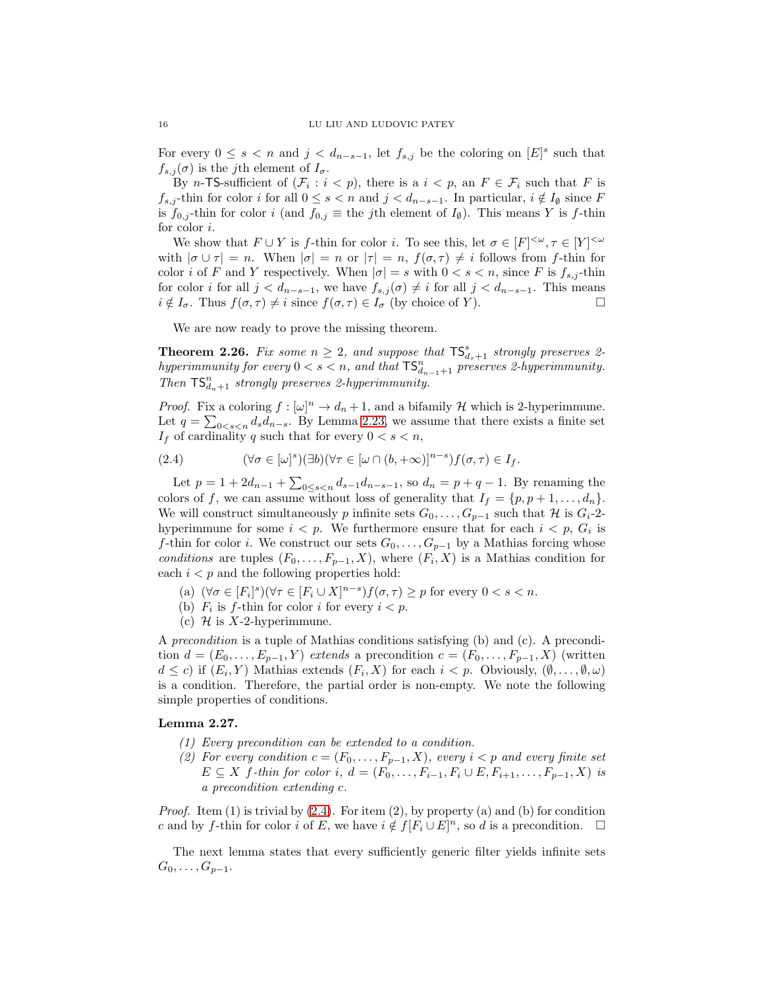For every  $0 \leq s < n$  and  $j < d_{n-s-1}$ , let  $f_{s,j}$  be the coloring on  $[E]^{s}$  such that  $f_{s,j}(\sigma)$  is the j<sup>th</sup> element of  $I_{\sigma}$ .

By *n*-TS-sufficient of  $(\mathcal{F}_i : i < p)$ , there is a  $i < p$ , an  $F \in \mathcal{F}_i$  such that F is  $f_{s,j}$ -thin for color i for all  $0 \leq s < n$  and  $j < d_{n-s-1}$ . In particular,  $i \notin I_{\emptyset}$  since F is  $f_{0,j}$ -thin for color i (and  $f_{0,j} \equiv$  the j<sup>th</sup> element of  $I_{\emptyset}$ ). This means Y is f-thin for color i.

We show that  $F \cup Y$  is f-thin for color i. To see this, let  $\sigma \in [F]^{<\omega}, \tau \in [Y]^{<\omega}$ with  $|\sigma \cup \tau| = n$ . When  $|\sigma| = n$  or  $|\tau| = n$ ,  $f(\sigma, \tau) \neq i$  follows from f-thin for color i of F and Y respectively. When  $|\sigma| = s$  with  $0 < s < n$ , since F is  $f_{s,j}$ -thin for color i for all  $j < d_{n-s-1}$ , we have  $f_{s,j}(\sigma) \neq i$  for all  $j < d_{n-s-1}$ . This means  $i \notin I_{\sigma}$ . Thus  $f(\sigma, \tau) \neq i$  since  $f(\sigma, \tau) \in I_{\sigma}$  (by choice of Y).

We are now ready to prove the missing theorem.

<span id="page-15-0"></span>**Theorem 2.26.** Fix some  $n \geq 2$ , and suppose that  $\mathsf{TS}_{d_s+1}^s$  strongly preserves 2hyperimmunity for every  $0 < s < n$ , and that  $TS_{d_{n-1}+1}^n$  preserves 2-hyperimmunity. Then  $\mathsf{TS}_{d_n+1}^n$  strongly preserves 2-hyperimmunity.

*Proof.* Fix a coloring  $f : [\omega]^n \to d_n + 1$ , and a bifamily H which is 2-hyperimmune. Let  $q = \sum_{0 \le s \le n} d_s d_{n-s}$ . By Lemma [2.23,](#page-14-3) we assume that there exists a finite set  $I_f$  of cardinality q such that for every  $0 < s < n$ ,

<span id="page-15-1"></span>(2.4) 
$$
(\forall \sigma \in [\omega]^s)(\exists b)(\forall \tau \in [\omega \cap (b, +\infty)]^{n-s})f(\sigma, \tau) \in I_f.
$$

Let  $p = 1 + 2d_{n-1} + \sum_{0 \le s < n} d_{s-1} d_{n-s-1}$ , so  $d_n = p + q - 1$ . By renaming the colors of f, we can assume without loss of generality that  $I_f = \{p, p+1, \ldots, d_n\}.$ We will construct simultaneously p infinite sets  $G_0, \ldots, G_{p-1}$  such that H is  $G_i$ -2hyperimmune for some  $i < p$ . We furthermore ensure that for each  $i < p$ ,  $G_i$  is f-thin for color *i*. We construct our sets  $G_0, \ldots, G_{p-1}$  by a Mathias forcing whose conditions are tuples  $(F_0, \ldots, F_{p-1}, X)$ , where  $(F_i, X)$  is a Mathias condition for each  $i < p$  and the following properties hold:

- (a)  $(\forall \sigma \in [F_i]^s)(\forall \tau \in [F_i \cup X]^{n-s})f(\sigma, \tau) \geq p$  for every  $0 < s < n$ .
- (b)  $F_i$  is f-thin for color i for every  $i < p$ .
- (c)  $\mathcal H$  is X-2-hyperimmune.

A precondition is a tuple of Mathias conditions satisfying (b) and (c). A precondition  $d = (E_0, \ldots, E_{p-1}, Y)$  extends a precondition  $c = (F_0, \ldots, F_{p-1}, X)$  (written  $d \leq c$ ) if  $(E_i, Y)$  Mathias extends  $(F_i, X)$  for each  $i < p$ . Obviously,  $(\emptyset, \ldots, \emptyset, \omega)$ is a condition. Therefore, the partial order is non-empty. We note the following simple properties of conditions.

### <span id="page-15-2"></span>Lemma 2.27.

- (1) Every precondition can be extended to a condition.
- (2) For every condition  $c = (F_0, \ldots, F_{p-1}, X)$ , every  $i < p$  and every finite set  $E \subseteq X$  f-thin for color i,  $d = (F_0, ..., F_{i-1}, F_i \cup E, F_{i+1}, ..., F_{p-1}, X)$  is a precondition extending c.

*Proof.* Item  $(1)$  is trivial by  $(2.4)$ . For item  $(2)$ , by property  $(a)$  and  $(b)$  for condition c and by f-thin for color i of E, we have  $i \notin f[F_i \cup E]^n$ , so d is a precondition.  $\Box$ 

The next lemma states that every sufficiently generic filter yields infinite sets  $G_0, \ldots, G_{p-1}.$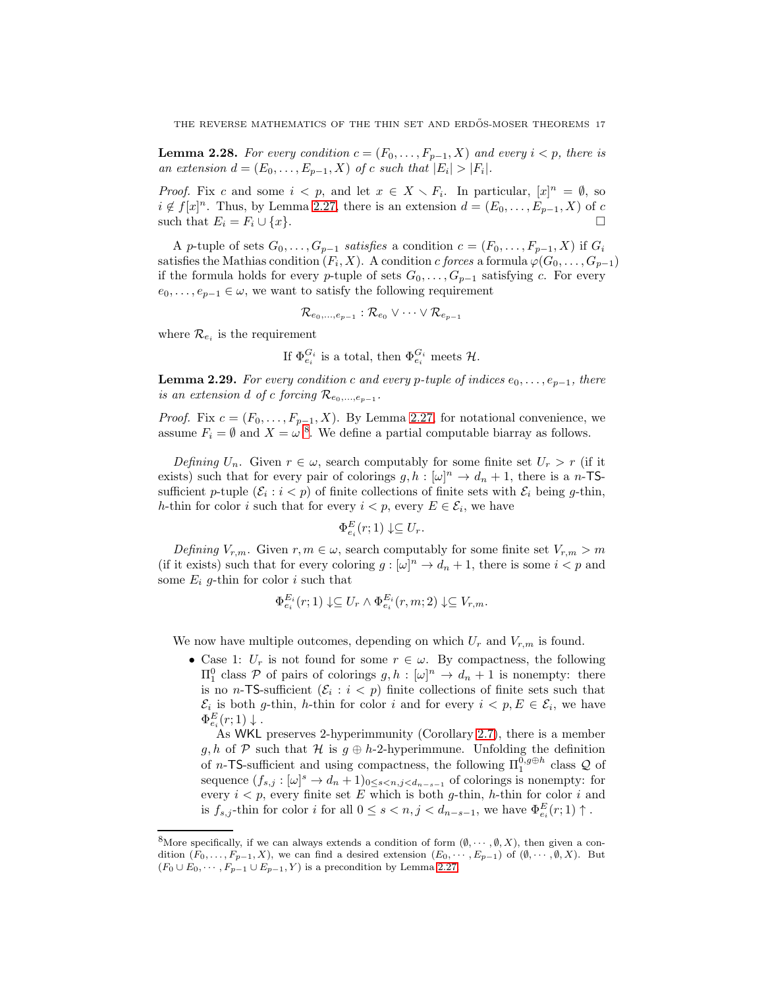<span id="page-16-2"></span>**Lemma 2.28.** For every condition  $c = (F_0, \ldots, F_{p-1}, X)$  and every  $i < p$ , there is an extension  $d = (E_0, \ldots, E_{p-1}, X)$  of c such that  $|E_i| > |F_i|$ .

*Proof.* Fix c and some  $i < p$ , and let  $x \in X \setminus F_i$ . In particular,  $[x]^n = \emptyset$ , so  $i \notin f[x]^n$ . Thus, by Lemma [2.27,](#page-15-2) there is an extension  $d = (E_0, \ldots, E_{p-1}, X)$  of c such that  $E_i = F_i \cup \{x\}.$ 

A p-tuple of sets  $G_0, \ldots, G_{p-1}$  satisfies a condition  $c = (F_0, \ldots, F_{p-1}, X)$  if  $G_i$ satisfies the Mathias condition  $(F_i, X)$ . A condition c forces a formula  $\varphi(G_0, \ldots, G_{p-1})$ if the formula holds for every p-tuple of sets  $G_0, \ldots, G_{p-1}$  satisfying c. For every  $e_0, \ldots, e_{p-1} \in \omega$ , we want to satisfy the following requirement

$$
\mathcal{R}_{e_0,\dots,e_{p-1}}:\mathcal{R}_{e_0}\vee\dots\vee\mathcal{R}_{e_{p-1}}
$$

where  $\mathcal{R}_{e_i}$  is the requirement

If 
$$
\Phi_{e_i}^{G_i}
$$
 is a total, then  $\Phi_{e_i}^{G_i}$  meets H.

<span id="page-16-0"></span>**Lemma 2.29.** For every condition c and every p-tuple of indices  $e_0, \ldots, e_{p-1}$ , there is an extension d of c forcing  $\mathcal{R}_{e_0,\dots,e_{p-1}}$ .

*Proof.* Fix  $c = (F_0, \ldots, F_{p-1}, X)$ . By Lemma [2.27,](#page-15-2) for notational convenience, we assume  $F_i = \emptyset$  and  $X = \omega^8$  $X = \omega^8$ . We define a partial computable biarray as follows.

Defining  $U_n$ . Given  $r \in \omega$ , search computably for some finite set  $U_r > r$  (if it exists) such that for every pair of colorings  $g, h : [\omega]^n \to d_n + 1$ , there is a n-TSsufficient p-tuple  $(\mathcal{E}_i : i < p)$  of finite collections of finite sets with  $\mathcal{E}_i$  being g-thin, h-thin for color i such that for every  $i < p$ , every  $E \in \mathcal{E}_i$ , we have

$$
\Phi_{e_i}^E(r;1) \downarrow \subseteq U_r.
$$

Defining  $V_{r,m}$ . Given  $r, m \in \omega$ , search computably for some finite set  $V_{r,m} > m$ (if it exists) such that for every coloring  $g : [\omega]^n \to d_n + 1$ , there is some  $i < p$  and some  $E_i$  g-thin for color i such that

$$
\Phi_{e_i}^{E_i}(r;1) \downarrow \subseteq U_r \wedge \Phi_{e_i}^{E_i}(r,m;2) \downarrow \subseteq V_{r,m}.
$$

We now have multiple outcomes, depending on which  $U_r$  and  $V_{r,m}$  is found.

• Case 1:  $U_r$  is not found for some  $r \in \omega$ . By compactness, the following  $\Pi_1^0$  class *P* of pairs of colorings *g*, *h* : [ω]<sup>*n*</sup> → *d<sub>n</sub>* + 1 is nonempty: there is no *n*-TS-sufficient  $(\mathcal{E}_i : i < p)$  finite collections of finite sets such that  $\mathcal{E}_i$  is both g-thin, h-thin for color i and for every  $i < p, E \in \mathcal{E}_i$ , we have  $\Phi_{e_i}^E(r;1) \downarrow$ .

As WKL preserves 2-hyperimmunity (Corollary [2.7\)](#page-6-0), there is a member g, h of P such that H is  $g \oplus h$ -2-hyperimmune. Unfolding the definition of *n*-TS-sufficient and using compactness, the following  $\Pi_1^{\overline{0},g\oplus h}$  class  $\mathcal Q$  of sequence  $(f_{s,j}: [\omega]^s \to d_n+1)_{0 \le s < n, j < d_{n-s-1}}$  of colorings is nonempty: for every  $i < p$ , every finite set E which is both g-thin, h-thin for color i and is  $f_{s,j}$ -thin for color i for all  $0 \le s < n, j < d_{n-s-1}$ , we have  $\Phi_{e_i}^E(r; 1) \uparrow$ .

<span id="page-16-1"></span><sup>&</sup>lt;sup>8</sup>More specifically, if we can always extends a condition of form  $(\emptyset, \dots, \emptyset, X)$ , then given a condition  $(F_0, \ldots, F_{p-1}, X)$ , we can find a desired extension  $(E_0, \cdots, E_{p-1})$  of  $(\emptyset, \cdots, \emptyset, X)$ . But  $(F_0 \cup E_0, \dots, F_{p-1} \cup E_{p-1}, Y)$  is a precondition by Lemma [2.27.](#page-15-2)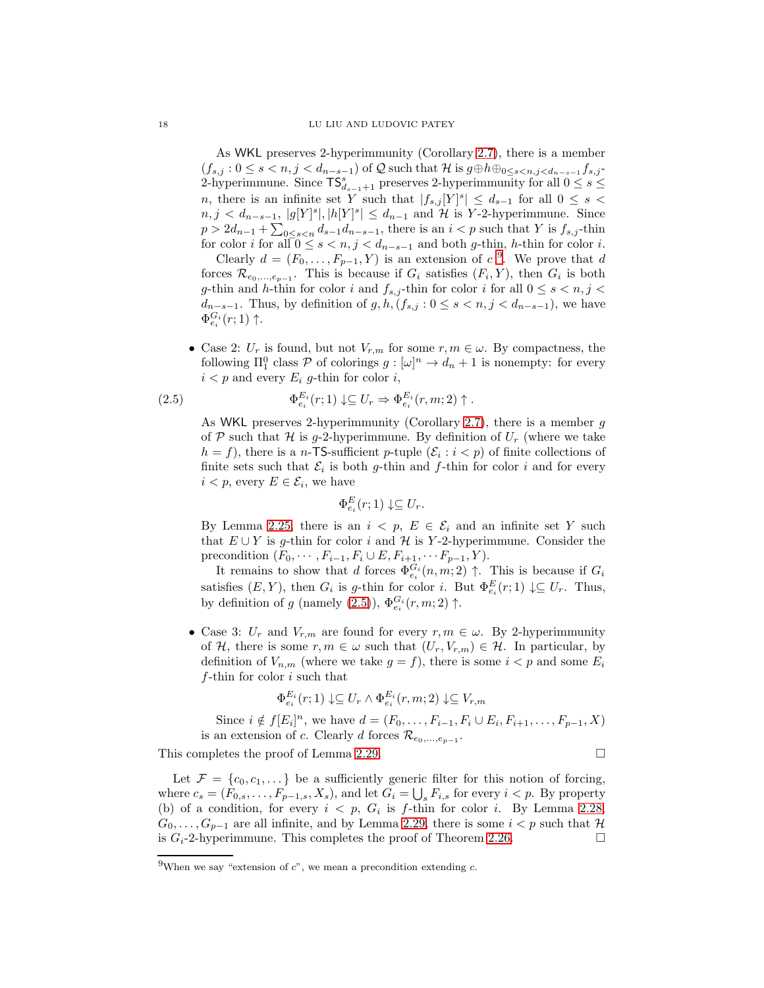As WKL preserves 2-hyperimmunity (Corollary [2.7\)](#page-6-0), there is a member  $(f_{s,j}: 0 \le s < n, j < d_{n-s-1}$  of Q such that H is  $g \oplus h \oplus_{0 \le s < n, j < d_{n-s-1}} f_{s,j}$ 2-hyperimmune. Since  $\mathsf{TS}_{d_{s-1}+1}^s$  preserves 2-hyperimmunity for all  $0 \leq s \leq$ n, there is an infinite set Y such that  $|f_{s,j}[Y]^s| \leq d_{s-1}$  for all  $0 \leq s <$  $n, j < d_{n-s-1}, |g[Y]^s|, |h[Y]^s| \leq d_{n-1}$  and H is Y-2-hyperimmune. Since  $p > 2d_{n-1} + \sum_{0 \le s < n} d_{s-1}d_{n-s-1}$ , there is an  $i < p$  such that Y is  $f_{s,j}$ -thin for color *i* for all  $0 \le s < n, j < d_{n-s-1}$  and both g-thin, h-thin for color *i*.

Clearly  $d = (F_0, \ldots, F_{p-1}, Y)$  is an extension of  $c<sup>9</sup>$  $c<sup>9</sup>$  $c<sup>9</sup>$ . We prove that d forces  $\mathcal{R}_{e_0,\dots,e_{p-1}}$ . This is because if  $G_i$  satisfies  $(F_i, Y)$ , then  $G_i$  is both g-thin and h-thin for color i and  $f_{s,j}$  -thin for color  $i$  for all  $0\leq s < n,j <$  $d_{n-s-1}$ . Thus, by definition of  $g, h, (f_{s,j} : 0 \le s < n, j < d_{n-s-1})$ , we have  $\Phi_{e_i}^{G_i}(r;1)$  †.

• Case 2:  $U_r$  is found, but not  $V_{r,m}$  for some  $r, m \in \omega$ . By compactness, the following  $\Pi_1^0$  class  $P$  of colorings  $g: [\omega]^n \to d_n + 1$  is nonempty: for every  $i < p$  and every  $E_i$  g-thin for color i,

<span id="page-17-1"></span>(2.5) 
$$
\Phi_{e_i}^{E_i}(r;1) \downarrow \subseteq U_r \Rightarrow \Phi_{e_i}^{E_i}(r,m;2) \uparrow.
$$

As WKL preserves 2-hyperimmunity (Corollary [2.7\)](#page-6-0), there is a member  $g$ of P such that H is g-2-hyperimmune. By definition of  $U_r$  (where we take  $h = f$ , there is a *n*-TS-sufficient *p*-tuple  $(\mathcal{E}_i : i < p)$  of finite collections of finite sets such that  $\mathcal{E}_i$  is both g-thin and f-thin for color i and for every  $i < p$ , every  $E \in \mathcal{E}_i$ , we have

$$
\Phi_{e_i}^E(r;1) \downarrow \subseteq U_r.
$$

By Lemma [2.25,](#page-14-1) there is an  $i < p$ ,  $E \in \mathcal{E}_i$  and an infinite set Y such that  $E \cup Y$  is g-thin for color i and  $H$  is Y-2-hyperimmune. Consider the precondition  $(F_0, \dots, F_{i-1}, F_i \cup E, F_{i+1}, \dots F_{p-1}, Y)$ .

It remains to show that d forces  $\Phi_{e_i}^{G_i}(n,m;2) \uparrow$ . This is because if  $G_i$ satisfies  $(E, Y)$ , then  $G_i$  is g-thin for color i. But  $\Phi_{e_i}^E(r; 1) \downarrow \subseteq U_r$ . Thus, by definition of g (namely [\(2.5\)](#page-17-1)),  $\Phi_{e_i}^{G_i}(r, m; 2)$   $\uparrow$ .

• Case 3:  $U_r$  and  $V_{r,m}$  are found for every  $r, m \in \omega$ . By 2-hyperimmunity of H, there is some  $r, m \in \omega$  such that  $(U_r, V_{r,m}) \in \mathcal{H}$ . In particular, by definition of  $V_{n,m}$  (where we take  $g = f$ ), there is some  $i < p$  and some  $E_i$ f-thin for color  $i$  such that

$$
\Phi_{e_i}^{E_i}(r;1) \downarrow \subseteq U_r \land \Phi_{e_i}^{E_i}(r,m;2) \downarrow \subseteq V_{r,m}
$$

Since  $i \notin f[E_i]^n$ , we have  $d = (F_0, \ldots, F_{i-1}, F_i \cup E_i, F_{i+1}, \ldots, F_{p-1}, X)$ is an extension of c. Clearly d forces  $\mathcal{R}_{e_0,\dots,e_{p-1}}$ .

This completes the proof of Lemma [2.29.](#page-16-0)  $\Box$ 

Let  $\mathcal{F} = \{c_0, c_1, \dots\}$  be a sufficiently generic filter for this notion of forcing, where  $c_s = (F_{0,s}, \ldots, F_{p-1,s}, X_s)$ , and let  $G_i = \bigcup_s F_{i,s}$  for every  $i < p$ . By property (b) of a condition, for every  $i < p$ ,  $G_i$  is f-thin for color i. By Lemma [2.28,](#page-16-2)  $G_0, \ldots, G_{p-1}$  are all infinite, and by Lemma [2.29,](#page-16-0) there is some  $i < p$  such that  $\mathcal H$ is  $G_i$ -2-hyperimmune. This completes the proof of Theorem [2.26.](#page-15-0)

$$
\mathbf{r}^{\prime}
$$

<span id="page-17-0"></span><sup>&</sup>lt;sup>9</sup>When we say "extension of  $c$ ", we mean a precondition extending  $c$ .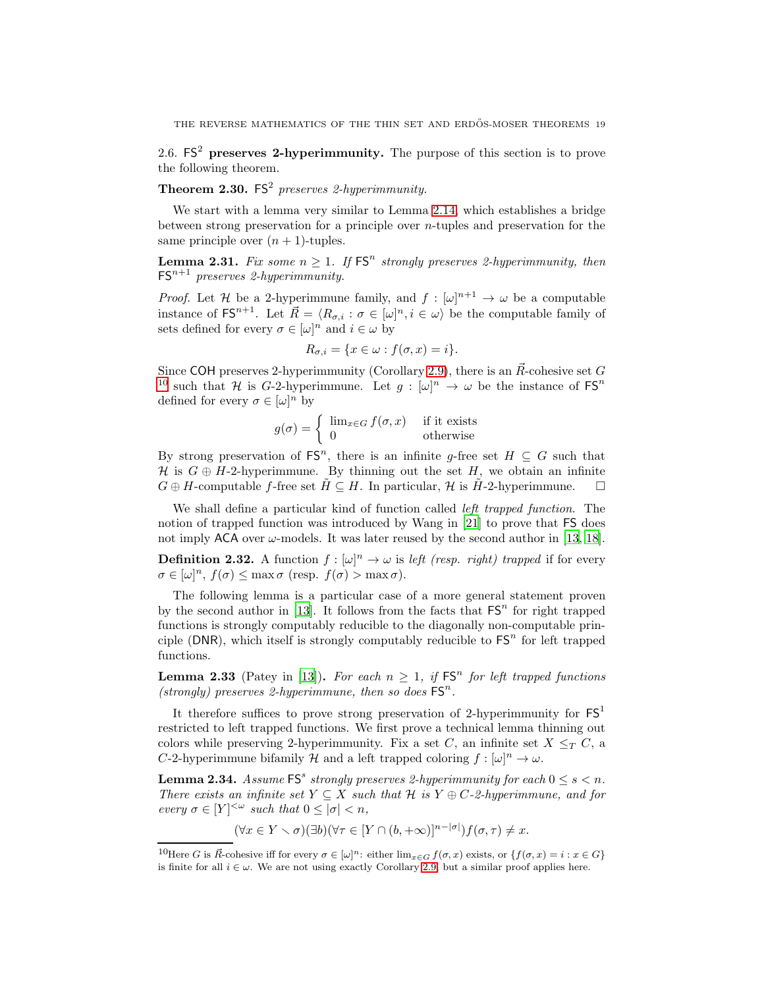<span id="page-18-0"></span>2.6.  $FS^2$  preserves 2-hyperimmunity. The purpose of this section is to prove the following theorem.

# **Theorem 2.30.** FS<sup>2</sup> preserves 2-hyperimmunity.

We start with a lemma very similar to Lemma [2.14,](#page-8-1) which establishes a bridge between strong preservation for a principle over  $n$ -tuples and preservation for the same principle over  $(n + 1)$ -tuples.

<span id="page-18-1"></span>**Lemma 2.31.** Fix some  $n \geq 1$ . If  $FS<sup>n</sup>$  strongly preserves 2-hyperimmunity, then  $FS^{n+1}$  preserves 2-hyperimmunity.

*Proof.* Let H be a 2-hyperimmune family, and  $f : [\omega]^{n+1} \to \omega$  be a computable instance of FS<sup>n+1</sup>. Let  $\vec{R} = \langle R_{\sigma,i} : \sigma \in [\omega]^n, i \in \omega \rangle$  be the computable family of sets defined for every  $\sigma \in [\omega]^n$  and  $i \in \omega$  by

$$
R_{\sigma,i} = \{x \in \omega : f(\sigma, x) = i\}.
$$

Since COH preserves 2-hyperimmunity (Corollary [2.9\)](#page-7-0), there is an  $\vec{R}$ -cohesive set G <sup>[10](#page-18-2)</sup> such that H is G-2-hyperimmune. Let  $g : [\omega]^n \to \omega$  be the instance of  $FS^n$ defined for every  $\sigma \in [\omega]^n$  by

$$
g(\sigma) = \begin{cases} \lim_{x \in G} f(\sigma, x) & \text{if it exists} \\ 0 & \text{otherwise} \end{cases}
$$

By strong preservation of  $\mathsf{FS}^n$ , there is an infinite g-free set  $H \subseteq G$  such that H is  $G \oplus H$ -2-hyperimmune. By thinning out the set H, we obtain an infinite  $G \oplus H$ -computable f-free set  $\tilde{H} \subseteq H$ . In particular, H is  $\tilde{H}$ -2-hyperimmune.  $\square$ 

We shall define a particular kind of function called *left trapped function*. The notion of trapped function was introduced by Wang in [\[21\]](#page-32-7) to prove that FS does not imply ACA over  $\omega$ -models. It was later reused by the second author in [\[13](#page-32-8), [18\]](#page-32-9).

**Definition 2.32.** A function  $f : [\omega]^n \to \omega$  is left (resp. right) trapped if for every  $\sigma \in [\omega]^n$ ,  $f(\sigma) \leq \max \sigma$  (resp.  $f(\sigma) > \max \sigma$ ).

The following lemma is a particular case of a more general statement proven by the second author in [\[13](#page-32-8)]. It follows from the facts that  $FS<sup>n</sup>$  for right trapped functions is strongly computably reducible to the diagonally non-computable principle (DNR), which itself is strongly computably reducible to  $FS<sup>n</sup>$  for left trapped functions.

<span id="page-18-4"></span>**Lemma 2.33** (Patey in [\[13\]](#page-32-8)). For each  $n \geq 1$ , if  $FS<sup>n</sup>$  for left trapped functions (strongly) preserves 2-hyperimmune, then so does  $FS<sup>n</sup>$ .

It therefore suffices to prove strong preservation of 2-hyperimmunity for  $FS<sup>1</sup>$ restricted to left trapped functions. We first prove a technical lemma thinning out colors while preserving 2-hyperimmunity. Fix a set C, an infinite set  $X \leq_T C$ , a C-2-hyperimmune bifamily H and a left trapped coloring  $f : [\omega]^n \to \omega$ .

<span id="page-18-3"></span>**Lemma 2.34.** Assume  $FS^s$  strongly preserves 2-hyperimmunity for each  $0 \le s < n$ . There exists an infinite set  $Y \subseteq X$  such that H is  $Y \oplus C$ -2-hyperimmune, and for every  $\sigma \in [Y]^{<\omega}$  such that  $0 \leq |\sigma| < n$ ,

$$
(\forall x \in Y \setminus \sigma)(\exists b)(\forall \tau \in [Y \cap (b, +\infty)]^{n-|\sigma|})f(\sigma, \tau) \neq x.
$$

<span id="page-18-2"></span><sup>&</sup>lt;sup>10</sup>Here G is  $\vec{R}$ -cohesive iff for every  $\sigma \in [\omega]^n$ : either  $\lim_{x \in G} f(\sigma, x)$  exists, or  $\{f(\sigma, x) = i : x \in G\}$ is finite for all  $i \in \omega$ . We are not using exactly Corollary [2.9,](#page-7-0) but a similar proof applies here.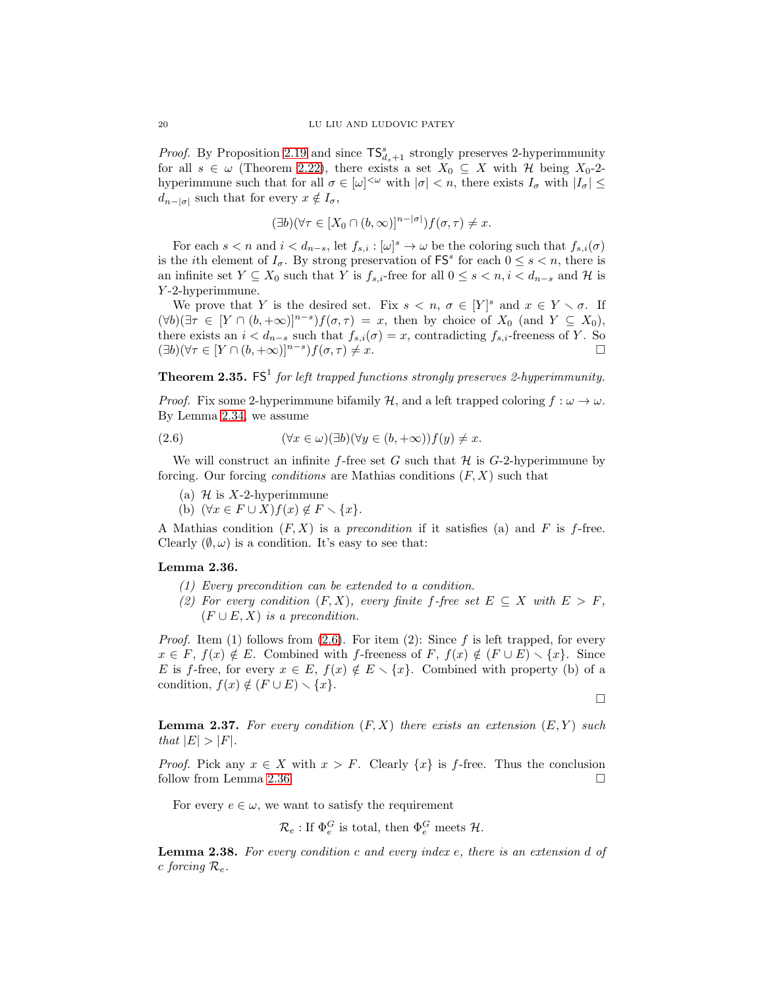*Proof.* By Proposition [2.19](#page-12-1) and since  $\mathsf{TS}_{d_s+1}^s$  strongly preserves 2-hyperimmunity for all  $s \in \omega$  (Theorem [2.22\)](#page-13-2), there exists a set  $X_0 \subseteq X$  with H being  $X_0$ -2hyperimmune such that for all  $\sigma \in [\omega]^{<\omega}$  with  $|\sigma| < n$ , there exists  $I_{\sigma}$  with  $|I_{\sigma}| \leq$  $d_{n-|\sigma|}$  such that for every  $x \notin I_{\sigma}$ ,

$$
(\exists b)(\forall \tau \in [X_0 \cap (b, \infty)]^{n-|\sigma|})f(\sigma, \tau) \neq x.
$$

For each  $s < n$  and  $i < d_{n-s}$ , let  $f_{s,i} : [\omega]^s \to \omega$  be the coloring such that  $f_{s,i}(\sigma)$ is the *i*th element of  $I_{\sigma}$ . By strong preservation of  $\mathsf{FS}^s$  for each  $0 \leq s < n$ , there is an infinite set  $Y \subseteq X_0$  such that Y is  $f_{s,i}$ -free for all  $0 \leq s < n, i < d_{n-s}$  and H is Y -2-hyperimmune.

We prove that Y is the desired set. Fix  $s < n, \sigma \in [Y]^s$  and  $x \in Y \setminus \sigma$ . If  $(\forall b)(\exists \tau \in [Y \cap (b, +\infty)]^{n-s})f(\sigma, \tau) = x$ , then by choice of  $X_0$  (and  $Y \subseteq X_0$ ), there exists an  $i < d_{n-s}$  such that  $f_{s,i}(\sigma) = x$ , contradicting  $f_{s,i}$ -freeness of Y. So  $(\exists b)(\forall \tau \in [Y \cap (b, +\infty)]^{n-s})f(\sigma, \tau) \neq x.$ 

<span id="page-19-4"></span>**Theorem 2.35.**  $FS^1$  for left trapped functions strongly preserves 2-hyperimmunity.

*Proof.* Fix some 2-hyperimmune bifamily H, and a left trapped coloring  $f : \omega \to \omega$ . By Lemma [2.34,](#page-18-3) we assume

<span id="page-19-1"></span>(2.6) 
$$
(\forall x \in \omega)(\exists b)(\forall y \in (b, +\infty))f(y) \neq x.
$$

We will construct an infinite f-free set G such that  $H$  is G-2-hyperimmune by forcing. Our forcing *conditions* are Mathias conditions  $(F, X)$  such that

- (a)  $H$  is X-2-hyperimmune
- (b)  $(\forall x \in F \cup X) f(x) \notin F \setminus \{x\}.$

A Mathias condition  $(F, X)$  is a precondition if it satisfies (a) and F is f-free. Clearly  $(\emptyset, \omega)$  is a condition. It's easy to see that:

## <span id="page-19-2"></span>Lemma 2.36.

- (1) Every precondition can be extended to a condition.
- (2) For every condition  $(F, X)$ , every finite f-free set  $E \subseteq X$  with  $E > F$ ,  $(F \cup E, X)$  is a precondition.

*Proof.* Item (1) follows from [\(2.6\)](#page-19-1). For item (2): Since f is left trapped, for every  $x \in F$ ,  $f(x) \notin E$ . Combined with f-freeness of  $F$ ,  $f(x) \notin (F \cup E) \setminus \{x\}$ . Since E is f-free, for every  $x \in E$ ,  $f(x) \notin E \setminus \{x\}$ . Combined with property (b) of a condition,  $f(x) \notin (F \cup E) \setminus \{x\}.$ 

 $\Box$ 

<span id="page-19-3"></span>**Lemma 2.37.** For every condition  $(F, X)$  there exists an extension  $(E, Y)$  such that  $|E| > |F|$ .

*Proof.* Pick any  $x \in X$  with  $x > F$ . Clearly  $\{x\}$  is f-free. Thus the conclusion follow from Lemma [2.36.](#page-19-2)

For every  $e \in \omega$ , we want to satisfy the requirement

$$
\mathcal{R}_e: \text{If } \Phi_e^G \text{ is total, then } \Phi_e^G \text{ meets } \mathcal{H}.
$$

<span id="page-19-0"></span>**Lemma 2.38.** For every condition c and every index e, there is an extension d of c forcing  $\mathcal{R}_e$ .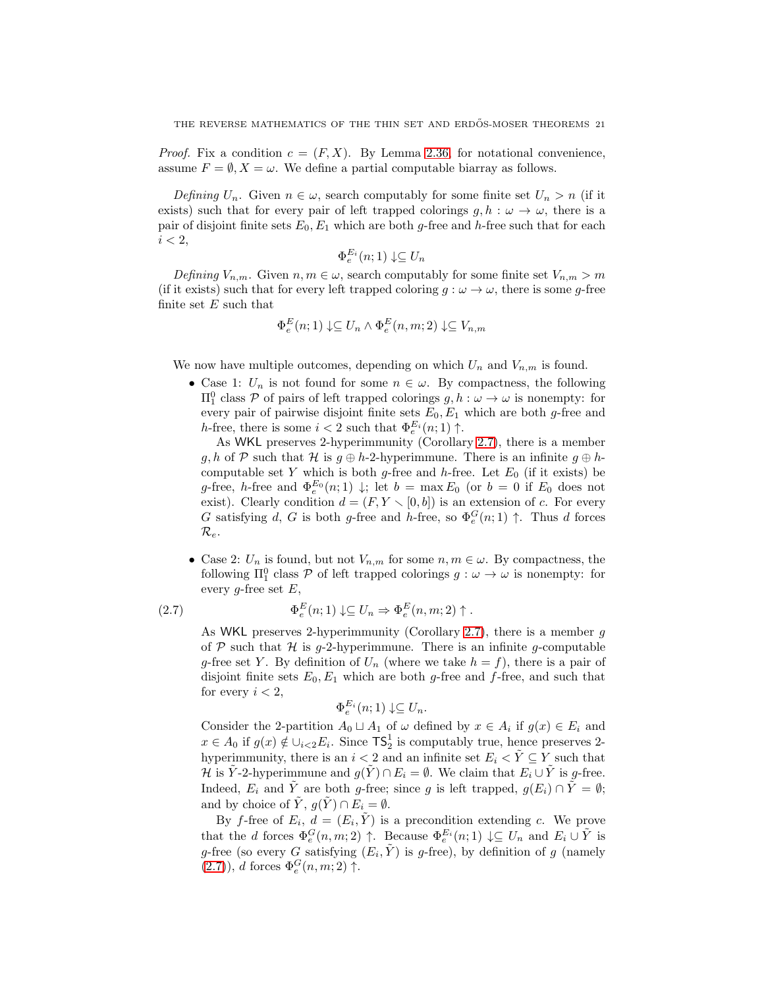*Proof.* Fix a condition  $c = (F, X)$ . By Lemma [2.36,](#page-19-2) for notational convenience, assume  $F = \emptyset$ ,  $X = \omega$ . We define a partial computable biarray as follows.

Defining  $U_n$ . Given  $n \in \omega$ , search computably for some finite set  $U_n > n$  (if it exists) such that for every pair of left trapped colorings  $g, h : \omega \to \omega$ , there is a pair of disjoint finite sets  $E_0, E_1$  which are both g-free and h-free such that for each  $i < 2$ ,

$$
\Phi_e^{E_i}(n;1) \downarrow \subseteq U_n
$$

Defining  $V_{n,m}$ . Given  $n, m \in \omega$ , search computably for some finite set  $V_{n,m} > m$ (if it exists) such that for every left trapped coloring  $g : \omega \to \omega$ , there is some g-free finite set  $E$  such that

$$
\Phi_e^E(n;1) \downarrow \subseteq U_n \land \Phi_e^E(n,m;2) \downarrow \subseteq V_{n,m}
$$

We now have multiple outcomes, depending on which  $U_n$  and  $V_{n,m}$  is found.

• Case 1:  $U_n$  is not found for some  $n \in \omega$ . By compactness, the following  $\Pi<sub>1</sub><sup>0</sup>$  class *P* of pairs of left trapped colorings *g*, *h* : ω → ω is nonempty: for every pair of pairwise disjoint finite sets  $E_0, E_1$  which are both g-free and h-free, there is some  $i < 2$  such that  $\Phi_e^{E_i}(n; 1)$   $\uparrow$ .

As WKL preserves 2-hyperimmunity (Corollary [2.7\)](#page-6-0), there is a member g, h of P such that H is  $g \oplus h-2$ -hyperimmune. There is an infinite  $g \oplus h-2$ computable set Y which is both g-free and h-free. Let  $E_0$  (if it exists) be g-free, h-free and  $\Phi_e^{E_0}(n;1) \downarrow$ ; let  $b = \max E_0$  (or  $b = 0$  if  $E_0$  does not exist). Clearly condition  $d = (F, Y \setminus [0, b])$  is an extension of c. For every G satisfying d, G is both g-free and h-free, so  $\Phi_e^G(n; 1)$   $\uparrow$ . Thus d forces  $\mathcal{R}_e.$ 

• Case 2:  $U_n$  is found, but not  $V_{n,m}$  for some  $n, m \in \omega$ . By compactness, the following  $\Pi_1^0$  class  $P$  of left trapped colorings  $g : \omega \to \omega$  is nonempty: for every g-free set  $E$ ,

<span id="page-20-0"></span>(2.7) 
$$
\Phi_e^E(n;1) \downarrow \subseteq U_n \Rightarrow \Phi_e^E(n,m;2) \uparrow.
$$

As WKL preserves 2-hyperimmunity (Corollary [2.7\)](#page-6-0), there is a member  $g$ of  $P$  such that  $H$  is g-2-hyperimmune. There is an infinite g-computable g-free set Y. By definition of  $U_n$  (where we take  $h = f$ ), there is a pair of disjoint finite sets  $E_0, E_1$  which are both g-free and f-free, and such that for every  $i < 2$ ,

$$
\Phi_e^{E_i}(n;1) \downarrow \subseteq U_n.
$$

Consider the 2-partition  $A_0 \sqcup A_1$  of  $\omega$  defined by  $x \in A_i$  if  $g(x) \in E_i$  and  $x \in A_0$  if  $g(x) \notin \bigcup_{i \leq 2} E_i$ . Since  $\mathsf{TS}_2^1$  is computably true, hence preserves 2hyperimmunity, there is an  $i < 2$  and an infinite set  $E_i < \tilde{Y} \subseteq Y$  such that H is  $\tilde{Y}$ -2-hyperimmune and  $g(\tilde{Y}) \cap E_i = \emptyset$ . We claim that  $E_i \cup \tilde{Y}$  is g-free. Indeed,  $E_i$  and  $\tilde{Y}$  are both g-free; since g is left trapped,  $g(E_i) \cap \tilde{Y} = \emptyset$ ; and by choice of  $\tilde{Y}$ ,  $g(\tilde{Y}) \cap E_i = \emptyset$ .

By f-free of  $E_i$ ,  $d = (E_i, \tilde{Y})$  is a precondition extending c. We prove that the d forces  $\Phi_e^G(n,m;2) \uparrow$ . Because  $\Phi_e^{E_i}(n;1) \downarrow \subseteq U_n$  and  $E_i \cup \tilde{Y}$  is g-free (so every G satisfying  $(E_i, \tilde{Y})$  is g-free), by definition of g (namely  $(2.7)$ , d forces  $\Phi_e^G(n,m;2)$   $\uparrow$ .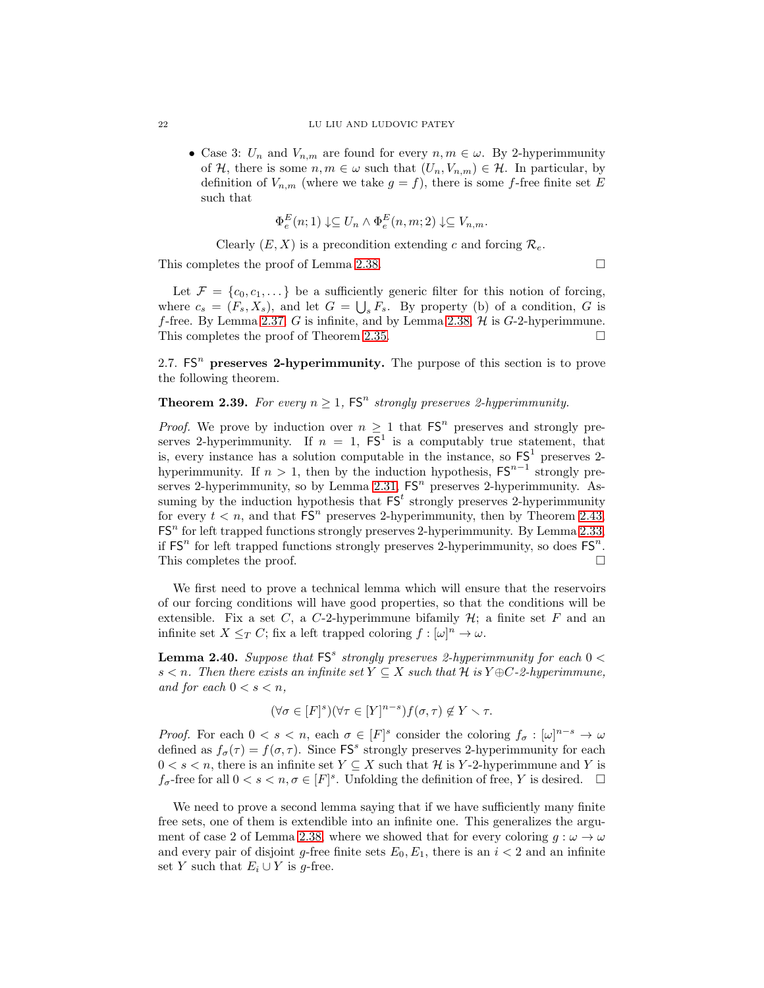• Case 3:  $U_n$  and  $V_{n,m}$  are found for every  $n, m \in \omega$ . By 2-hyperimmunity of H, there is some  $n, m \in \omega$  such that  $(U_n, V_{n,m}) \in \mathcal{H}$ . In particular, by definition of  $V_{n,m}$  (where we take  $g = f$ ), there is some f-free finite set E such that

$$
\Phi_e^E(n;1) \downarrow \subseteq U_n \wedge \Phi_e^E(n,m;2) \downarrow \subseteq V_{n,m}.
$$

Clearly  $(E, X)$  is a precondition extending c and forcing  $\mathcal{R}_e$ .

This completes the proof of Lemma [2.38.](#page-19-0)

Let  $\mathcal{F} = \{c_0, c_1, \dots\}$  be a sufficiently generic filter for this notion of forcing, where  $c_s = (F_s, X_s)$ , and let  $G = \bigcup_s F_s$ . By property (b) of a condition, G is f-free. By Lemma [2.37,](#page-19-3) G is infinite, and by Lemma [2.38,](#page-19-0)  $H$  is G-2-hyperimmune. This completes the proof of Theorem [2.35.](#page-19-4)

<span id="page-21-0"></span>2.7.  $FS<sup>n</sup>$  preserves 2-hyperimmunity. The purpose of this section is to prove the following theorem.

# **Theorem 2.39.** For every  $n \geq 1$ ,  $FS<sup>n</sup>$  strongly preserves 2-hyperimmunity.

*Proof.* We prove by induction over  $n \geq 1$  that  $FS<sup>n</sup>$  preserves and strongly preserves 2-hyperimmunity. If  $n = 1$ ,  $FS<sup>1</sup>$  is a computably true statement, that is, every instance has a solution computable in the instance, so  $FS<sup>1</sup>$  preserves 2hyperimmunity. If  $n > 1$ , then by the induction hypothesis,  $\mathsf{FS}^{n-1}$  strongly pre-serves 2-hyperimmunity, so by Lemma [2.31,](#page-18-1)  $FS<sup>n</sup>$  preserves 2-hyperimmunity. Assuming by the induction hypothesis that  $FS<sup>t</sup>$  strongly preserves 2-hyperimmunity for every  $t < n$ , and that  $\text{FS}^n$  preserves 2-hyperimmunity, then by Theorem [2.43,](#page-22-0)  $FS<sup>n</sup>$  for left trapped functions strongly preserves 2-hyperimmunity. By Lemma [2.33,](#page-18-4) if  $FS<sup>n</sup>$  for left trapped functions strongly preserves 2-hyperimmunity, so does  $FS<sup>n</sup>$ . This completes the proof.

We first need to prove a technical lemma which will ensure that the reservoirs of our forcing conditions will have good properties, so that the conditions will be extensible. Fix a set C, a C-2-hyperimmune bifamily  $H$ ; a finite set F and an infinite set  $X \leq_T C$ ; fix a left trapped coloring  $f : [\omega]^n \to \omega$ .

<span id="page-21-1"></span>**Lemma 2.40.** Suppose that  $FS^s$  strongly preserves 2-hyperimmunity for each  $0 <$ s < n. Then there exists an infinite set  $Y \subseteq X$  such that H is  $Y \oplus C$ -2-hyperimmune, and for each  $0 < s < n$ ,

$$
(\forall \sigma \in [F]^s)(\forall \tau \in [Y]^{n-s})f(\sigma, \tau) \notin Y \setminus \tau.
$$

*Proof.* For each  $0 < s < n$ , each  $\sigma \in [F]^{s}$  consider the coloring  $f_{\sigma} : [\omega]^{n-s} \to \omega$ defined as  $f_{\sigma}(\tau) = f(\sigma, \tau)$ . Since FS<sup>s</sup> strongly preserves 2-hyperimmunity for each  $0 < s < n$ , there is an infinite set  $Y \subseteq X$  such that H is Y-2-hyperimmune and Y is  $f_{\sigma}$ -free for all  $0 < s < n, \sigma \in [F]^{s}$ . Unfolding the definition of free, Y is desired.  $\Box$ 

We need to prove a second lemma saying that if we have sufficiently many finite free sets, one of them is extendible into an infinite one. This generalizes the argu-ment of case 2 of Lemma [2.38,](#page-19-0) where we showed that for every coloring  $g : \omega \to \omega$ and every pair of disjoint g-free finite sets  $E_0, E_1$ , there is an  $i < 2$  and an infinite set Y such that  $E_i \cup Y$  is g-free.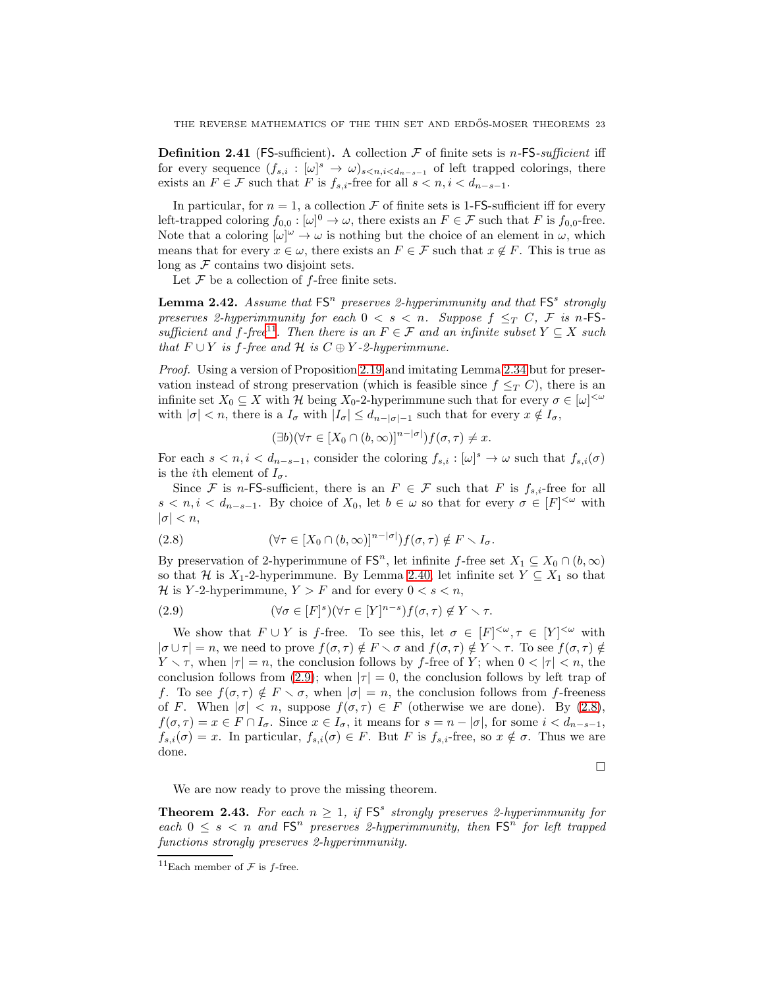<span id="page-22-1"></span>**Definition 2.41** (FS-sufficient). A collection  $\mathcal F$  of finite sets is *n*-FS-sufficient iff for every sequence  $(f_{s,i} : [\omega]^s \to \omega)_{s < n, i < d_{n-s-1}}$  of left trapped colorings, there exists an  $F \in \mathcal{F}$  such that F is  $f_{s,i}$ -free for all  $s < n, i < d_{n-s-1}$ .

In particular, for  $n = 1$ , a collection  $\mathcal F$  of finite sets is 1-FS-sufficient iff for every left-trapped coloring  $f_{0,0} : [\omega]^0 \to \omega$ , there exists an  $F \in \mathcal{F}$  such that F is  $f_{0,0}$ -free. Note that a coloring  $[\omega]^\omega \to \omega$  is nothing but the choice of an element in  $\omega$ , which means that for every  $x \in \omega$ , there exists an  $F \in \mathcal{F}$  such that  $x \notin F$ . This is true as long as  $F$  contains two disjoint sets.

Let  $\mathcal F$  be a collection of  $f$ -free finite sets.

<span id="page-22-2"></span>**Lemma 2.42.** Assume that  $FS^n$  preserves 2-hyperimmunity and that  $FS^s$  strongly preserves 2-hyperimmunity for each  $0 < s < n$ . Suppose  $f \leq_T C$ , F is n-FS-sufficient and f-free<sup>[11](#page-22-3)</sup>. Then there is an  $F \in \mathcal{F}$  and an infinite subset  $Y \subseteq X$  such that  $F ∪ Y$  is f-free and  $H$  is  $C ⊕ Y$ -2-hyperimmune.

Proof. Using a version of Proposition [2.19](#page-12-1) and imitating Lemma [2.34](#page-18-3) but for preservation instead of strong preservation (which is feasible since  $f \leq_T C$ ), there is an infinite set  $X_0 \subseteq X$  with H being  $X_0$ -2-hyperimmune such that for every  $\sigma \in [\omega]^{<\omega}$ with  $|\sigma| < n$ , there is a  $I_{\sigma}$  with  $|I_{\sigma}| \leq d_{n-|\sigma|-1}$  such that for every  $x \notin I_{\sigma}$ ,

$$
(\exists b)(\forall \tau \in [X_0 \cap (b, \infty)]^{n-|\sigma|})f(\sigma, \tau) \neq x.
$$

For each  $s < n, i < d_{n-s-1}$ , consider the coloring  $f_{s,i} : [\omega]^s \to \omega$  such that  $f_{s,i}(\sigma)$ is the *i*th element of  $I_{\sigma}$ .

Since F is n-FS-sufficient, there is an  $F \in \mathcal{F}$  such that F is  $f_{s,i}$ -free for all  $s < n, i < d_{n-s-1}$ . By choice of  $X_0$ , let  $b \in \omega$  so that for every  $\sigma \in [F]^{<\omega}$  with  $|\sigma| < n$ ,

<span id="page-22-5"></span>(2.8) 
$$
(\forall \tau \in [X_0 \cap (b, \infty)]^{n-|\sigma|}) f(\sigma, \tau) \notin F \setminus I_\sigma.
$$

By preservation of 2-hyperimmune of  $\mathsf{FS}^n$ , let infinite f-free set  $X_1 \subseteq X_0 \cap (b, \infty)$ so that H is  $X_1$ -2-hyperimmune. By Lemma [2.40,](#page-21-1) let infinite set  $Y \subseteq X_1$  so that H is Y-2-hyperimmune,  $Y > F$  and for every  $0 < s < n$ ,

<span id="page-22-4"></span>(2.9) 
$$
(\forall \sigma \in [F]^s)(\forall \tau \in [Y]^{n-s})f(\sigma, \tau) \notin Y \setminus \tau.
$$

We show that  $F \cup Y$  is f-free. To see this, let  $\sigma \in [F]^{<\omega}, \tau \in [Y]^{<\omega}$  with  $|\sigma \cup \tau| = n$ , we need to prove  $f(\sigma, \tau) \notin F \setminus \sigma$  and  $f(\sigma, \tau) \notin Y \setminus \tau$ . To see  $f(\sigma, \tau) \notin F$  $Y \setminus \tau$ , when  $|\tau| = n$ , the conclusion follows by f-free of Y; when  $0 < |\tau| < n$ , the conclusion follows from [\(2.9\)](#page-22-4); when  $|\tau|=0$ , the conclusion follows by left trap of f. To see  $f(\sigma, \tau) \notin F \setminus \sigma$ , when  $|\sigma| = n$ , the conclusion follows from f-freeness of F. When  $|\sigma| < n$ , suppose  $f(\sigma, \tau) \in F$  (otherwise we are done). By [\(2.8\)](#page-22-5),  $f(\sigma, \tau) = x \in F \cap I_{\sigma}$ . Since  $x \in I_{\sigma}$ , it means for  $s = n - |\sigma|$ , for some  $i < d_{n-s-1}$ ,  $f_{s,i}(\sigma) = x$ . In particular,  $f_{s,i}(\sigma) \in F$ . But F is  $f_{s,i}$ -free, so  $x \notin \sigma$ . Thus we are done.

 $\Box$ 

We are now ready to prove the missing theorem.

<span id="page-22-0"></span>**Theorem 2.43.** For each  $n \geq 1$ , if  $FS^s$  strongly preserves 2-hyperimmunity for each  $0 \leq s < n$  and  $FS^n$  preserves 2-hyperimmunity, then  $FS^n$  for left trapped functions strongly preserves 2-hyperimmunity.

<span id="page-22-3"></span><sup>&</sup>lt;sup>11</sup>Each member of  $\mathcal F$  is *f*-free.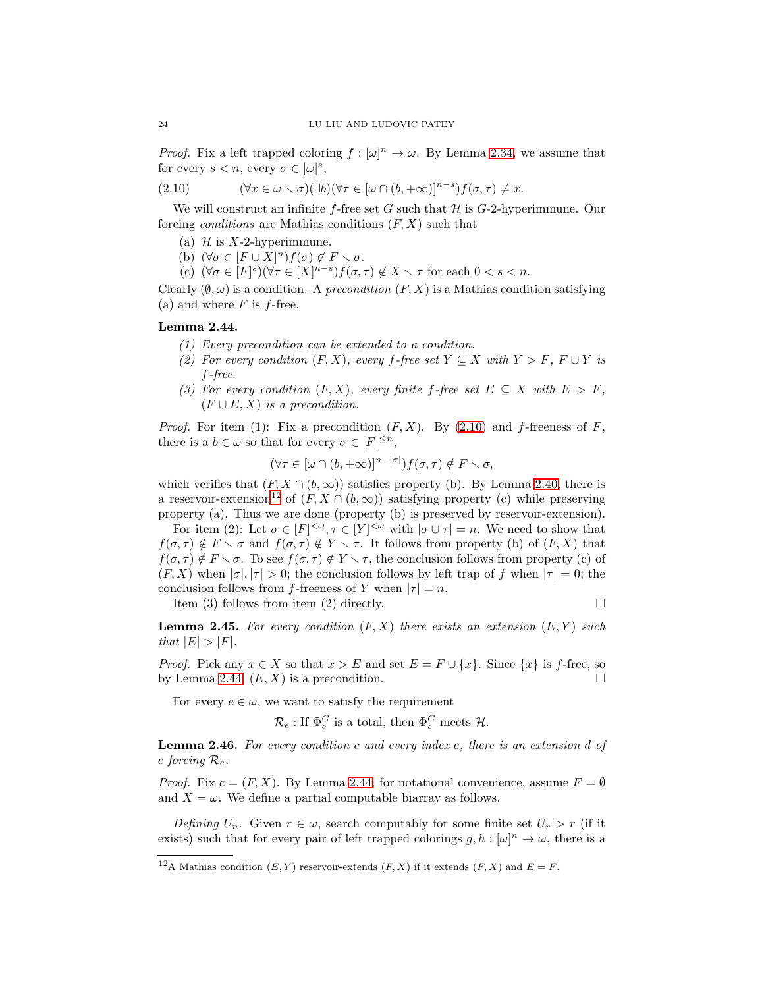*Proof.* Fix a left trapped coloring  $f : [\omega]^n \to \omega$ . By Lemma [2.34,](#page-18-3) we assume that for every  $s < n$ , every  $\sigma \in [\omega]^s$ ,

<span id="page-23-1"></span>(2.10) 
$$
(\forall x \in \omega \setminus \sigma)(\exists b)(\forall \tau \in [\omega \cap (b, +\infty)]^{n-s})f(\sigma, \tau) \neq x.
$$

We will construct an infinite f-free set G such that  $\mathcal H$  is G-2-hyperimmune. Our forcing *conditions* are Mathias conditions  $(F, X)$  such that

- (a)  $\mathcal H$  is X-2-hyperimmune.
- (b)  $(\forall \sigma \in [F \cup X]^n) f(\sigma) \notin F \setminus \sigma$ .
- (c)  $(\forall \sigma \in [F]^s)(\forall \tau \in [X]^{n-s})f(\sigma, \tau) \notin X \setminus \tau$  for each  $0 < s < n$ .

Clearly  $(\emptyset, \omega)$  is a condition. A *precondition*  $(F, X)$  is a Mathias condition satisfying (a) and where  $F$  is  $f$ -free.

# <span id="page-23-3"></span>Lemma 2.44.

- (1) Every precondition can be extended to a condition.
- (2) For every condition  $(F, X)$ , every f-free set  $Y \subseteq X$  with  $Y > F$ ,  $F \cup Y$  is f-free.
- (3) For every condition  $(F, X)$ , every finite f-free set  $E \subseteq X$  with  $E > F$ ,  $(F \cup E, X)$  is a precondition.

*Proof.* For item (1): Fix a precondition  $(F, X)$ . By [\(2.10\)](#page-23-1) and f-freeness of F, there is a  $b \in \omega$  so that for every  $\sigma \in [F]^{\leq n}$ ,

$$
(\forall \tau \in [\omega \cap (b, +\infty)]^{n-|\sigma|}) f(\sigma, \tau) \notin F \setminus \sigma,
$$

which verifies that  $(F, X \cap (b, \infty))$  satisfies property (b). By Lemma [2.40,](#page-21-1) there is a reservoir-extension<sup>[12](#page-23-2)</sup> of  $(F, X \cap (b, \infty))$  satisfying property (c) while preserving property (a). Thus we are done (property (b) is preserved by reservoir-extension).

For item (2): Let  $\sigma \in [F]^{<\omega}, \tau \in [Y]^{<\omega}$  with  $|\sigma \cup \tau| = n$ . We need to show that  $f(\sigma, \tau) \notin F \setminus \sigma$  and  $f(\sigma, \tau) \notin Y \setminus \tau$ . It follows from property (b) of  $(F, X)$  that  $f(\sigma,\tau) \notin F \setminus \sigma$ . To see  $f(\sigma,\tau) \notin Y \setminus \tau$ , the conclusion follows from property (c) of  $(F, X)$  when  $|\sigma|, |\tau| > 0$ ; the conclusion follows by left trap of f when  $|\tau| = 0$ ; the conclusion follows from f-freeness of Y when  $|\tau| = n$ .

Item (3) follows from item (2) directly.

$$
\square
$$

<span id="page-23-4"></span>**Lemma 2.45.** For every condition  $(F, X)$  there exists an extension  $(E, Y)$  such that  $|E| > |F|$ .

*Proof.* Pick any  $x \in X$  so that  $x > E$  and set  $E = F \cup \{x\}$ . Since  $\{x\}$  is f-free, so by Lemma [2.44,](#page-23-3)  $(E, X)$  is a precondition.

For every  $e \in \omega$ , we want to satisfy the requirement

 $\mathcal{R}_e$ : If  $\Phi_e^G$  is a total, then  $\Phi_e^G$  meets  $\mathcal{H}$ .

<span id="page-23-0"></span>**Lemma 2.46.** For every condition c and every index  $e$ , there is an extension d of c forcing  $\mathcal{R}_e$ .

*Proof.* Fix  $c = (F, X)$ . By Lemma [2.44,](#page-23-3) for notational convenience, assume  $F = \emptyset$ and  $X = \omega$ . We define a partial computable biarray as follows.

Defining  $U_n$ . Given  $r \in \omega$ , search computably for some finite set  $U_r > r$  (if it exists) such that for every pair of left trapped colorings  $g, h : [\omega]^n \to \omega$ , there is a

<span id="page-23-2"></span><sup>&</sup>lt;sup>12</sup>A Mathias condition  $(E, Y)$  reservoir-extends  $(F, X)$  if it extends  $(F, X)$  and  $E = F$ .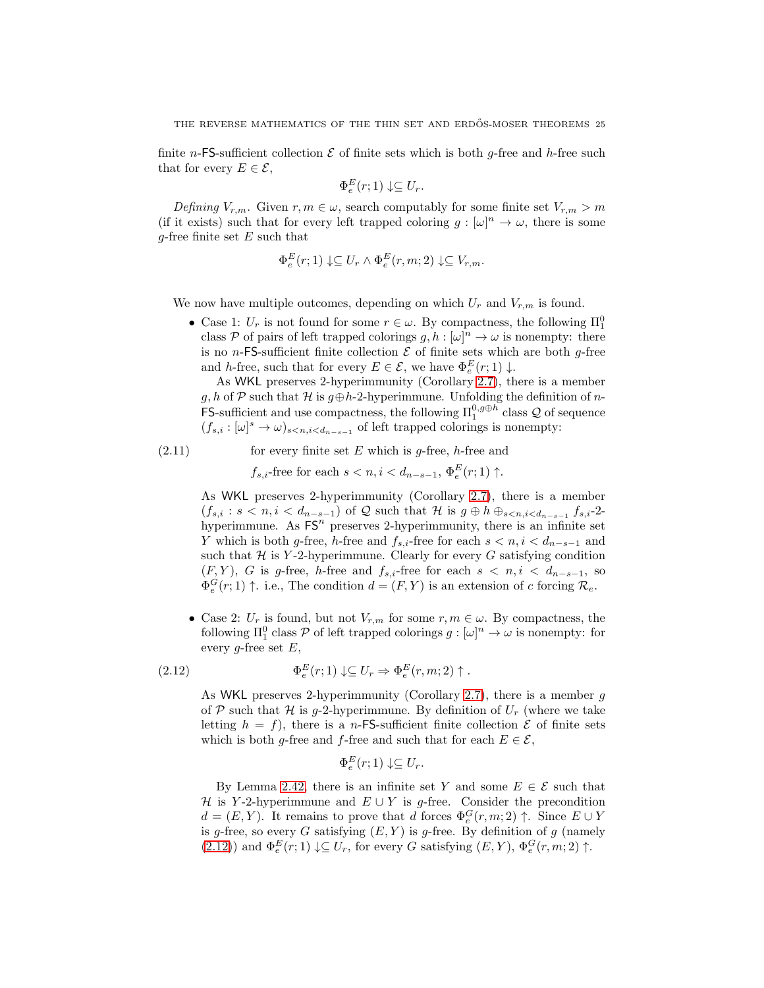finite n-FS-sufficient collection  $\mathcal E$  of finite sets which is both q-free and h-free such that for every  $E \in \mathcal{E}$ ,

$$
\Phi_e^E(r;1) \downarrow \subseteq U_r.
$$

Defining  $V_{r,m}$ . Given  $r, m \in \omega$ , search computably for some finite set  $V_{r,m} > m$ (if it exists) such that for every left trapped coloring  $g : [\omega]^n \to \omega$ , there is some g-free finite set  $E$  such that

$$
\Phi_e^E(r;1) \downarrow \subseteq U_r \wedge \Phi_e^E(r,m;2) \downarrow \subseteq V_{r,m}.
$$

We now have multiple outcomes, depending on which  $U_r$  and  $V_{r,m}$  is found.

• Case 1:  $U_r$  is not found for some  $r \in \omega$ . By compactness, the following  $\Pi_1^0$ class P of pairs of left trapped colorings  $g, h : [\omega]^n \to \omega$  is nonempty: there is no n-FS-sufficient finite collection  $\mathcal E$  of finite sets which are both q-free and h-free, such that for every  $E \in \mathcal{E}$ , we have  $\Phi_e^E(r; 1) \downarrow$ .

As WKL preserves 2-hyperimmunity (Corollary [2.7\)](#page-6-0), there is a member g, h of P such that H is  $g \oplus h-2$ -hyperimmune. Unfolding the definition of n-FS-sufficient and use compactness, the following  $\Pi_1^{0,g\oplus h}$  class  $\mathcal Q$  of sequence  $(f_{s,i}: [\omega]^s \to \omega)_{s \leq n, i \leq d_{n-s-1}}$  of left trapped colorings is nonempty:

$$
(2.11)
$$
 for every finite set *E* which is *g*-free, *h*-free and

 $f_{s,i}$ -free for each  $s < n, i < d_{n-s-1}, \Phi_e^E(r; 1) \uparrow$ .

As WKL preserves 2-hyperimmunity (Corollary [2.7\)](#page-6-0), there is a member  $(f_{s,i}: s < n, i < d_{n-s-1})$  of Q such that H is  $g \oplus h \oplus_{s < n, i < d_{n-s-1}} f_{s,i}$ -2hyperimmune. As  $FS<sup>n</sup>$  preserves 2-hyperimmunity, there is an infinite set Y which is both g-free, h-free and  $f_{s,i}$ -free for each  $s < n, i < d_{n-s-1}$  and such that  $H$  is Y-2-hyperimmune. Clearly for every  $G$  satisfying condition  $(F, Y)$ , G is g-free, h-free and  $f_{s,i}$ -free for each  $s < n, i < d_{n-s-1}$ , so  $\Phi_e^G(r; 1) \uparrow$ . i.e., The condition  $d = (F, Y)$  is an extension of c forcing  $\mathcal{R}_e$ .

• Case 2:  $U_r$  is found, but not  $V_{r,m}$  for some  $r, m \in \omega$ . By compactness, the following  $\Pi_1^0$  class  $P$  of left trapped colorings  $g : [\omega]^n \to \omega$  is nonempty: for every g-free set  $E$ ,

<span id="page-24-0"></span>(2.12) 
$$
\Phi_e^E(r;1) \downarrow \subseteq U_r \Rightarrow \Phi_e^E(r,m;2) \uparrow.
$$

As WKL preserves 2-hyperimmunity (Corollary [2.7\)](#page-6-0), there is a member  $q$ of P such that H is g-2-hyperimmune. By definition of  $U_r$  (where we take letting  $h = f$ , there is a *n*-FS-sufficient finite collection  $\mathcal E$  of finite sets which is both g-free and f-free and such that for each  $E \in \mathcal{E}$ ,

$$
\Phi_e^E(r;1) \downarrow \subseteq U_r.
$$

By Lemma [2.42,](#page-22-2) there is an infinite set Y and some  $E \in \mathcal{E}$  such that H is Y-2-hyperimmune and  $E \cup Y$  is g-free. Consider the precondition  $d = (E, Y)$ . It remains to prove that d forces  $\Phi_e^G(r, m; 2) \uparrow$ . Since  $E \cup Y$ is g-free, so every G satisfying  $(E, Y)$  is g-free. By definition of g (namely [\(2.12\)](#page-24-0)) and  $\Phi_e^E(r;1) \downarrow \subseteq U_r$ , for every G satisfying  $(E, Y)$ ,  $\Phi_e^G(r, m; 2) \uparrow$ .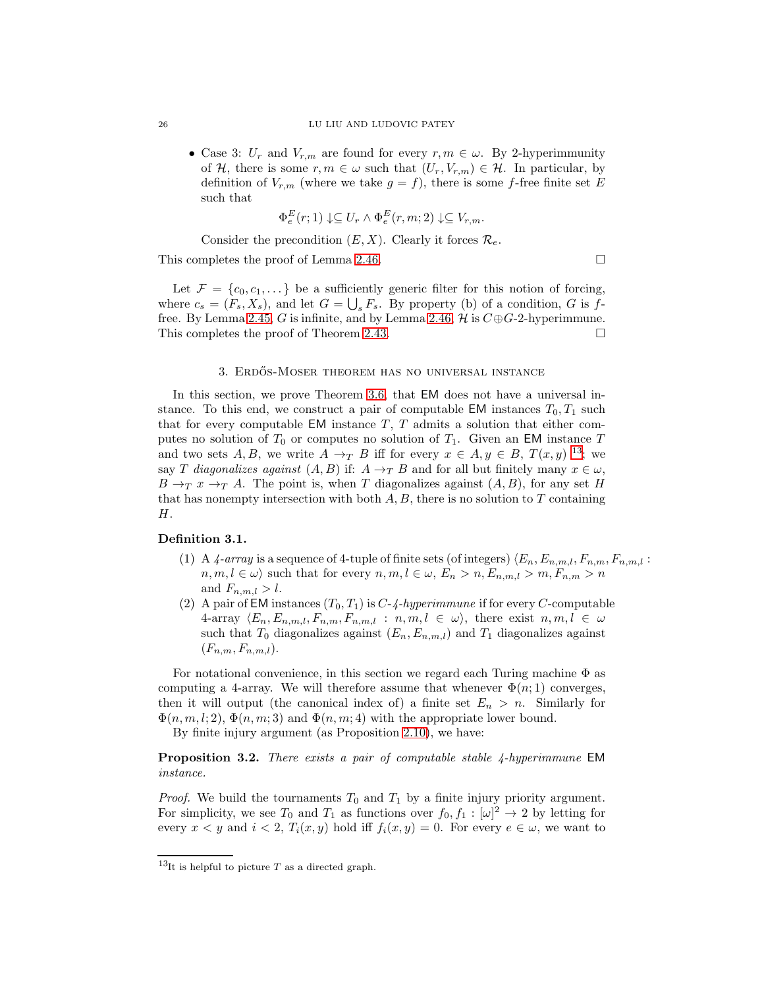• Case 3:  $U_r$  and  $V_{r,m}$  are found for every  $r, m \in \omega$ . By 2-hyperimmunity of H, there is some  $r, m \in \omega$  such that  $(U_r, V_{r,m}) \in \mathcal{H}$ . In particular, by definition of  $V_{r,m}$  (where we take  $g = f$ ), there is some f-free finite set E such that

$$
\Phi_e^E(r;1) \downarrow \subseteq U_r \wedge \Phi_e^E(r,m;2) \downarrow \subseteq V_{r,m}.
$$

Consider the precondition  $(E, X)$ . Clearly it forces  $\mathcal{R}_e$ .

This completes the proof of Lemma [2.46.](#page-23-0)

Let  $\mathcal{F} = \{c_0, c_1, \dots\}$  be a sufficiently generic filter for this notion of forcing, where  $c_s = (F_s, X_s)$ , and let  $G = \bigcup_s F_s$ . By property (b) of a condition, G is f-free. By Lemma [2.45,](#page-23-4) G is infinite, and by Lemma [2.46,](#page-23-0)  $H$  is  $C \oplus G$ -2-hyperimmune. This completes the proof of Theorem [2.43.](#page-22-0)  $\Box$ 

## 3. ERDŐS-MOSER THEOREM HAS NO UNIVERSAL INSTANCE

<span id="page-25-0"></span>In this section, we prove Theorem [3.6,](#page-28-0) that EM does not have a universal instance. To this end, we construct a pair of computable EM instances  $T_0, T_1$  such that for every computable EM instance  $T$ ,  $T$  admits a solution that either computes no solution of  $T_0$  or computes no solution of  $T_1$ . Given an EM instance T and two sets A, B, we write  $A \to_T B$  iff for every  $x \in A, y \in B, T(x,y)$  <sup>[13](#page-25-1)</sup>; we say T diagonalizes against  $(A, B)$  if:  $A \rightarrow_T B$  and for all but finitely many  $x \in \omega$ ,  $B \to_T x \to_T A$ . The point is, when T diagonalizes against  $(A, B)$ , for any set H that has nonempty intersection with both  $A, B$ , there is no solution to  $T$  containing H.

### Definition 3.1.

- (1) A 4-array is a sequence of 4-tuple of finite sets (of integers)  $\langle E_n, E_{n,m,l}, F_{n,m}, F_{n,m,l}$ :  $n, m, l \in \omega$  such that for every  $n, m, l \in \omega$ ,  $E_n > n, E_{n,m,l} > m, F_{n,m} > n$ and  $F_{n,m,l} > l$ .
- (2) A pair of EM instances  $(T_0, T_1)$  is  $C$ - $4$ -hyperimmune if for every  $C$ -computable 4-array  $\langle E_n, E_{n,m,l}, F_{n,m}, F_{n,m,l} : n, m, l \in \omega \rangle$ , there exist  $n, m, l \in \omega$ such that  $T_0$  diagonalizes against  $(E_n, E_{n,m,l})$  and  $T_1$  diagonalizes against  $(F_{n,m}, F_{n,m,l}).$

For notational convenience, in this section we regard each Turing machine Φ as computing a 4-array. We will therefore assume that whenever  $\Phi(n;1)$  converges, then it will output (the canonical index of) a finite set  $E_n > n$ . Similarly for  $\Phi(n, m, l; 2), \Phi(n, m; 3)$  and  $\Phi(n, m; 4)$  with the appropriate lower bound.

By finite injury argument (as Proposition [2.10\)](#page-7-3), we have:

Proposition 3.2. There exists a pair of computable stable 4-hyperimmune EM instance.

*Proof.* We build the tournaments  $T_0$  and  $T_1$  by a finite injury priority argument. For simplicity, we see  $T_0$  and  $T_1$  as functions over  $f_0, f_1 : [\omega]^2 \to 2$  by letting for every  $x < y$  and  $i < 2$ ,  $T_i(x, y)$  hold iff  $f_i(x, y) = 0$ . For every  $e \in \omega$ , we want to

<span id="page-25-1"></span> $13$ It is helpful to picture T as a directed graph.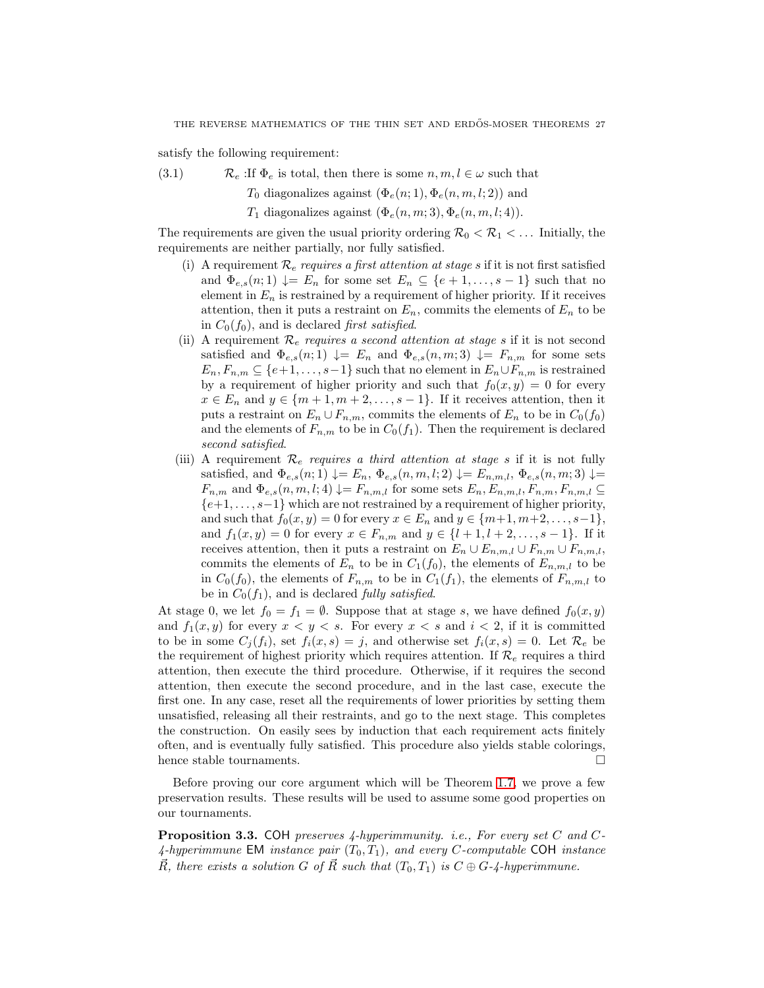satisfy the following requirement:

(3.1)  $\mathcal{R}_e$ : If  $\Phi_e$  is total, then there is some  $n, m, l \in \omega$  such that

 $T_0$  diagonalizes against  $(\Phi_e(n; 1), \Phi_e(n, m, l; 2))$  and

 $T_1$  diagonalizes against  $(\Phi_e(n,m; 3), \Phi_e(n,m,l; 4)).$ 

The requirements are given the usual priority ordering  $\mathcal{R}_0 < \mathcal{R}_1 < \dots$  Initially, the requirements are neither partially, nor fully satisfied.

- (i) A requirement  $\mathcal{R}_e$  requires a first attention at stage s if it is not first satisfied and  $\Phi_{e,s}(n;1) \downarrow = E_n$  for some set  $E_n \subseteq \{e+1,\ldots,s-1\}$  such that no element in  $E_n$  is restrained by a requirement of higher priority. If it receives attention, then it puts a restraint on  $E_n$ , commits the elements of  $E_n$  to be in  $C_0(f_0)$ , and is declared *first satisfied*.
- (ii) A requirement  $\mathcal{R}_e$  requires a second attention at stage s if it is not second satisfied and  $\Phi_{e,s}(n;1) \downarrow = E_n$  and  $\Phi_{e,s}(n,m;3) \downarrow = F_{n,m}$  for some sets  $E_n, F_{n,m} \subseteq \{e+1, \ldots, s-1\}$  such that no element in  $E_n \cup F_{n,m}$  is restrained by a requirement of higher priority and such that  $f_0(x, y) = 0$  for every  $x \in E_n$  and  $y \in \{m+1, m+2, \ldots, s-1\}$ . If it receives attention, then it puts a restraint on  $E_n \cup F_{n,m}$ , commits the elements of  $E_n$  to be in  $C_0(f_0)$ and the elements of  $F_{n,m}$  to be in  $C_0(f_1)$ . Then the requirement is declared second satisfied.
- (iii) A requirement  $\mathcal{R}_e$  requires a third attention at stage s if it is not fully satisfied, and  $\Phi_{e,s}(n;1) \downarrow = E_n$ ,  $\Phi_{e,s}(n,m,l;2) \downarrow = E_{n,m,l}$ ,  $\Phi_{e,s}(n,m;3) \downarrow =$  $F_{n,m}$  and  $\Phi_{e,s}(n,m,l;4) \downarrow = F_{n,m,l}$  for some sets  $E_n, E_{n,m,l}, F_{n,m,l}, F_{n,m,l} \subseteq$  $\{e+1,\ldots,s-1\}$  which are not restrained by a requirement of higher priority, and such that  $f_0(x, y) = 0$  for every  $x \in E_n$  and  $y \in \{m+1, m+2, ..., s-1\},$ and  $f_1(x, y) = 0$  for every  $x \in F_{n,m}$  and  $y \in \{l + 1, l + 2, ..., s - 1\}$ . If it receives attention, then it puts a restraint on  $E_n \cup E_{n,m,l} \cup F_{n,m} \cup F_{n,m,l}$ , commits the elements of  $E_n$  to be in  $C_1(f_0)$ , the elements of  $E_{n,m,l}$  to be in  $C_0(f_0)$ , the elements of  $F_{n,m}$  to be in  $C_1(f_1)$ , the elements of  $F_{n,m,l}$  to be in  $C_0(f_1)$ , and is declared *fully satisfied*.

At stage 0, we let  $f_0 = f_1 = \emptyset$ . Suppose that at stage s, we have defined  $f_0(x, y)$ and  $f_1(x, y)$  for every  $x < y < s$ . For every  $x < s$  and  $i < 2$ , if it is committed to be in some  $C_i(f_i)$ , set  $f_i(x, s) = j$ , and otherwise set  $f_i(x, s) = 0$ . Let  $\mathcal{R}_e$  be the requirement of highest priority which requires attention. If  $\mathcal{R}_e$  requires a third attention, then execute the third procedure. Otherwise, if it requires the second attention, then execute the second procedure, and in the last case, execute the first one. In any case, reset all the requirements of lower priorities by setting them unsatisfied, releasing all their restraints, and go to the next stage. This completes the construction. On easily sees by induction that each requirement acts finitely often, and is eventually fully satisfied. This procedure also yields stable colorings, hence stable tournaments.  $\hfill \square$ 

Before proving our core argument which will be Theorem [1.7,](#page-3-0) we prove a few preservation results. These results will be used to assume some good properties on our tournaments.

<span id="page-26-0"></span>**Proposition 3.3.** COH preserves  $\frac{1}{4}$ -hyperimmunity. i.e., For every set C and C-4-hyperimmune EM instance pair  $(T_0, T_1)$ , and every C-computable COH instance  $\vec{R}$ , there exists a solution G of  $\vec{R}$  such that  $(T_0, T_1)$  is  $C \oplus G$ -4-hyperimmune.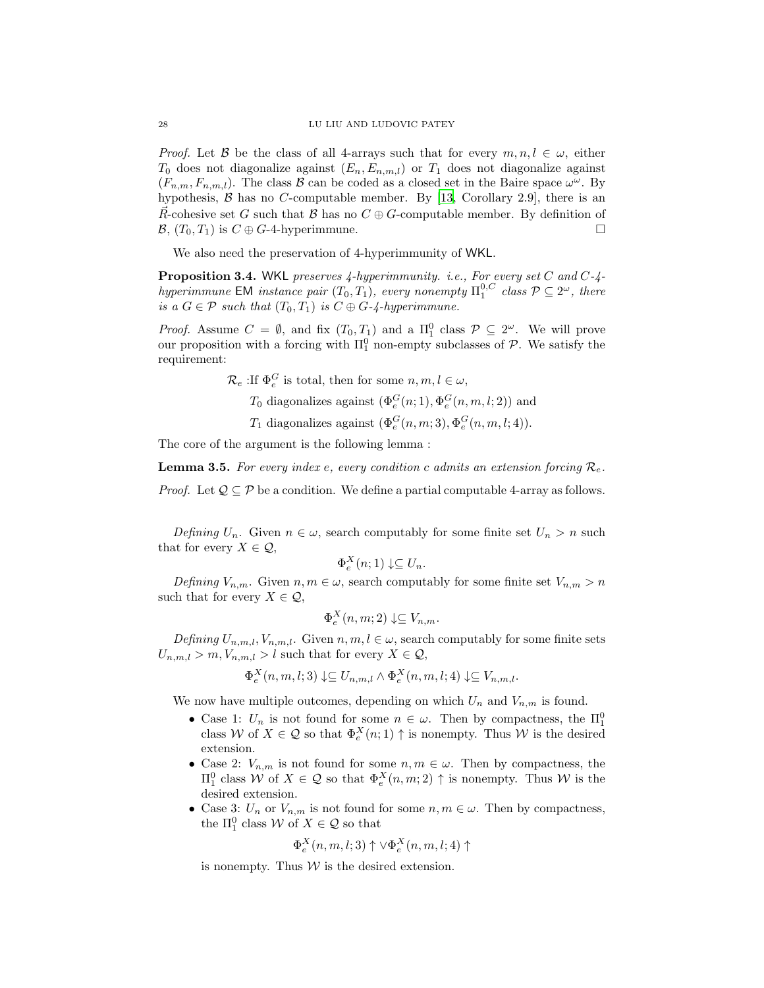*Proof.* Let B be the class of all 4-arrays such that for every  $m, n, l \in \omega$ , either  $T_0$  does not diagonalize against  $(E_n, E_{n,m,l})$  or  $T_1$  does not diagonalize against  $(F_{n,m}, F_{n,m,l})$ . The class  $\beta$  can be coded as a closed set in the Baire space  $\omega^{\omega}$ . By hypothesis,  $\beta$  has no C-computable member. By [\[13](#page-32-8), Corollary 2.9], there is an R-cohesive set G such that B has no  $C \oplus G$ -computable member. By definition of  $\mathcal{B}, (T_0, T_1)$  is  $C \oplus G$ -4-hyperimmune.

We also need the preservation of 4-hyperimmunity of WKL.

<span id="page-27-1"></span>**Proposition 3.4.** WKL preserves  $\mu$ -hyperimmunity. i.e., For every set C and C- $\mu$ hyperimmune EM instance pair  $(T_0, T_1)$ , every nonempty  $\Pi_1^{0,C}$  class  $P \subseteq 2^\omega$ , there is a  $G \in \mathcal{P}$  such that  $(T_0, T_1)$  is  $C \oplus G$ -4-hyperimmune.

*Proof.* Assume  $C = \emptyset$ , and fix  $(T_0, T_1)$  and a  $\Pi_1^0$  class  $\mathcal{P} \subseteq 2^\omega$ . We will prove our proposition with a forcing with  $\Pi_1^0$  non-empty subclasses of  $P$ . We satisfy the requirement:

 $\mathcal{R}_e$ :If  $\Phi_e^G$  is total, then for some  $n, m, l \in \omega$ ,

- $T_0$  diagonalizes against  $(\Phi_e^G(n; 1), \Phi_e^G(n, m, l; 2))$  and
- $T_1$  diagonalizes against  $(\Phi_e^G(n,m;3), \Phi_e^G(n,m,l;4)).$

The core of the argument is the following lemma :

<span id="page-27-0"></span>**Lemma 3.5.** For every index e, every condition c admits an extension forcing  $\mathcal{R}_{e}$ .

*Proof.* Let  $\mathcal{Q} \subseteq \mathcal{P}$  be a condition. We define a partial computable 4-array as follows.

Defining  $U_n$ . Given  $n \in \omega$ , search computably for some finite set  $U_n > n$  such that for every  $X \in \mathcal{Q}$ ,

$$
\Phi_e^X(n;1) \downarrow \subseteq U_n.
$$

Defining  $V_{n,m}$ . Given  $n, m \in \omega$ , search computably for some finite set  $V_{n,m} > n$ such that for every  $X \in \mathcal{Q}$ ,

$$
\Phi_e^X(n, m; 2) \downarrow \subseteq V_{n,m}.
$$

Defining  $U_{n,m,l}, V_{n,m,l}$ . Given  $n, m, l \in \omega$ , search computably for some finite sets  $U_{n,m,l} > m, V_{n,m,l} > l$  such that for every  $X \in \mathcal{Q}$ ,

$$
\Phi_e^X(n,m,l;3) \downarrow \subseteq U_{n,m,l} \land \Phi_e^X(n,m,l;4) \downarrow \subseteq V_{n,m,l}.
$$

We now have multiple outcomes, depending on which  $U_n$  and  $V_{n,m}$  is found.

- Case 1:  $U_n$  is not found for some  $n \in \omega$ . Then by compactness, the  $\Pi_1^0$ class W of  $X \in \mathcal{Q}$  so that  $\Phi_e^X(n;1) \uparrow$  is nonempty. Thus W is the desired extension.
- Case 2:  $V_{n,m}$  is not found for some  $n, m \in \omega$ . Then by compactness, the  $\Pi_1^0$  class *W* of *X* ∈ *Q* so that  $Φ_e^X(n, m; 2)$  ↑ is nonempty. Thus *W* is the desired extension.
- Case 3:  $U_n$  or  $V_{n,m}$  is not found for some  $n, m \in \omega$ . Then by compactness, the  $\Pi_1^0$  class W of  $X \in \mathcal{Q}$  so that

$$
\Phi_e^X(n,m,l;3) \uparrow \vee \Phi_e^X(n,m,l;4) \uparrow
$$

is nonempty. Thus  $W$  is the desired extension.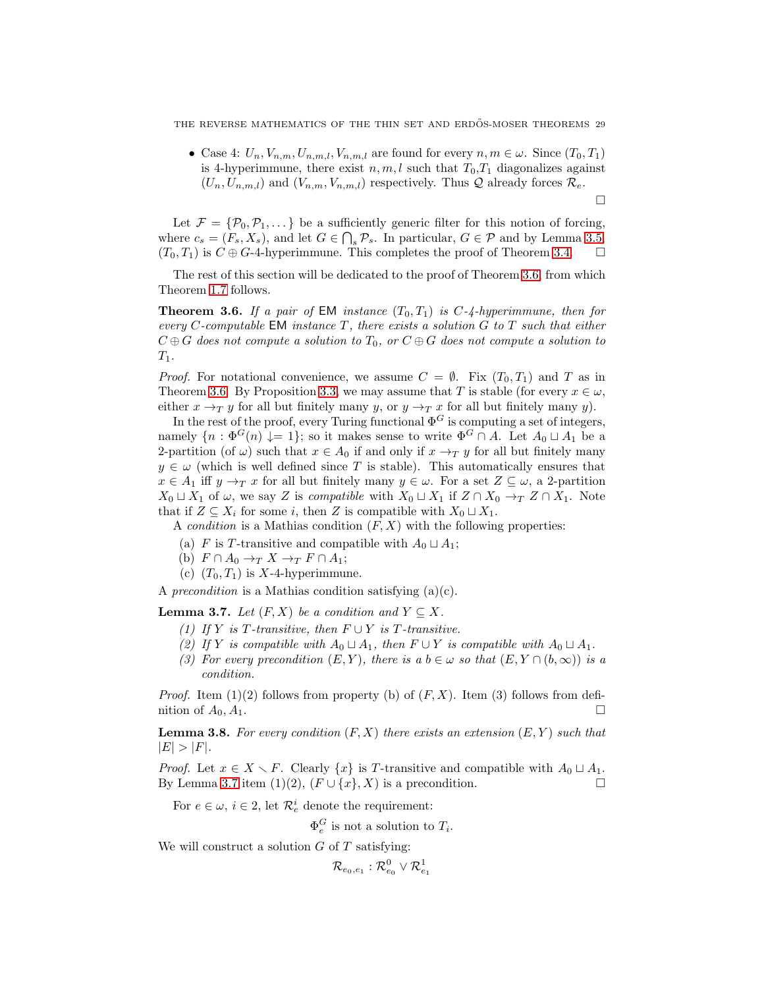THE REVERSE MATHEMATICS OF THE THIN SET AND ERDŐS-MOSER THEOREMS 29

• Case 4:  $U_n, V_{n,m}, U_{n,m,l}, V_{n,m,l}$  are found for every  $n, m \in \omega$ . Since  $(T_0, T_1)$ is 4-hyperimmune, there exist  $n, m, l$  such that  $T_0, T_1$  diagonalizes against  $(U_n, U_{n,m,l})$  and  $(V_{n,m}, V_{n,m,l})$  respectively. Thus  $\mathcal Q$  already forces  $\mathcal R_e$ .

 $\Box$ 

Let  $\mathcal{F} = \{\mathcal{P}_0, \mathcal{P}_1, \dots\}$  be a sufficiently generic filter for this notion of forcing, where  $c_s = (F_s, X_s)$ , and let  $G \in \bigcap_s \mathcal{P}_s$ . In particular,  $G \in \mathcal{P}$  and by Lemma [3.5,](#page-27-0)  $(T_0, T_1)$  is  $C \oplus G$ -4-hyperimmune. This completes the proof of Theorem [3.4.](#page-27-1)

The rest of this section will be dedicated to the proof of Theorem [3.6,](#page-28-0) from which Theorem [1.7](#page-3-0) follows.

<span id="page-28-0"></span>**Theorem 3.6.** If a pair of EM instance  $(T_0, T_1)$  is  $C$ - $\frac{1}{4}$ -hyperimmune, then for every C-computable EM instance  $T$ , there exists a solution  $G$  to  $T$  such that either  $C \oplus G$  does not compute a solution to  $T_0$ , or  $C \oplus G$  does not compute a solution to  $T_1$ .

*Proof.* For notational convenience, we assume  $C = \emptyset$ . Fix  $(T_0, T_1)$  and T as in Theorem [3.6.](#page-28-0) By Proposition [3.3,](#page-26-0) we may assume that T is stable (for every  $x \in \omega$ , either  $x \to_T y$  for all but finitely many y, or  $y \to_T x$  for all but finitely many y).

In the rest of the proof, every Turing functional  $\Phi^G$  is computing a set of integers, namely  $\{n : \Phi^G(n) \downarrow = 1\};$  so it makes sense to write  $\Phi^G \cap A$ . Let  $A_0 \sqcup A_1$  be a 2-partition (of  $\omega$ ) such that  $x \in A_0$  if and only if  $x \to_T y$  for all but finitely many  $y \in \omega$  (which is well defined since T is stable). This automatically ensures that  $x \in A_1$  iff  $y \to_T x$  for all but finitely many  $y \in \omega$ . For a set  $Z \subseteq \omega$ , a 2-partition  $X_0 \sqcup X_1$  of  $\omega$ , we say Z is compatible with  $X_0 \sqcup X_1$  if  $Z \cap X_0 \rightarrow_T Z \cap X_1$ . Note that if  $Z \subseteq X_i$  for some i, then Z is compatible with  $X_0 \sqcup X_1$ .

A *condition* is a Mathias condition  $(F, X)$  with the following properties:

- (a) F is T-transitive and compatible with  $A_0 \sqcup A_1$ ;
- (b)  $F \cap A_0 \rightarrow_T X \rightarrow_T F \cap A_1;$
- (c)  $(T_0, T_1)$  is X-4-hyperimmune.

A precondition is a Mathias condition satisfying  $(a)(c)$ .

<span id="page-28-1"></span>**Lemma 3.7.** Let  $(F, X)$  be a condition and  $Y \subseteq X$ .

- (1) If Y is T-transitive, then  $F \cup Y$  is T-transitive.
- (2) If Y is compatible with  $A_0 \sqcup A_1$ , then  $F \cup Y$  is compatible with  $A_0 \sqcup A_1$ .
- (3) For every precondition  $(E, Y)$ , there is a  $b \in \omega$  so that  $(E, Y \cap (b, \infty))$  is a condition.

*Proof.* Item (1)(2) follows from property (b) of  $(F, X)$ . Item (3) follows from definition of  $A_0, A_1$ .

<span id="page-28-2"></span>**Lemma 3.8.** For every condition  $(F, X)$  there exists an extension  $(E, Y)$  such that  $|E| > |F|.$ 

*Proof.* Let  $x \in X \setminus F$ . Clearly  $\{x\}$  is T-transitive and compatible with  $A_0 \sqcup A_1$ . By Lemma [3.7](#page-28-1) item (1)(2),  $(F \cup \{x\}, X)$  is a precondition.

For  $e \in \omega$ ,  $i \in 2$ , let  $\mathcal{R}_e^i$  denote the requirement:

 $\Phi_e^G$  is not a solution to  $T_i$ .

We will construct a solution  $G$  of  $T$  satisfying:

 $\mathcal{R}_{e_0,e_1}:\mathcal{R}_{e_0}^0\vee\mathcal{R}_{e_1}^1$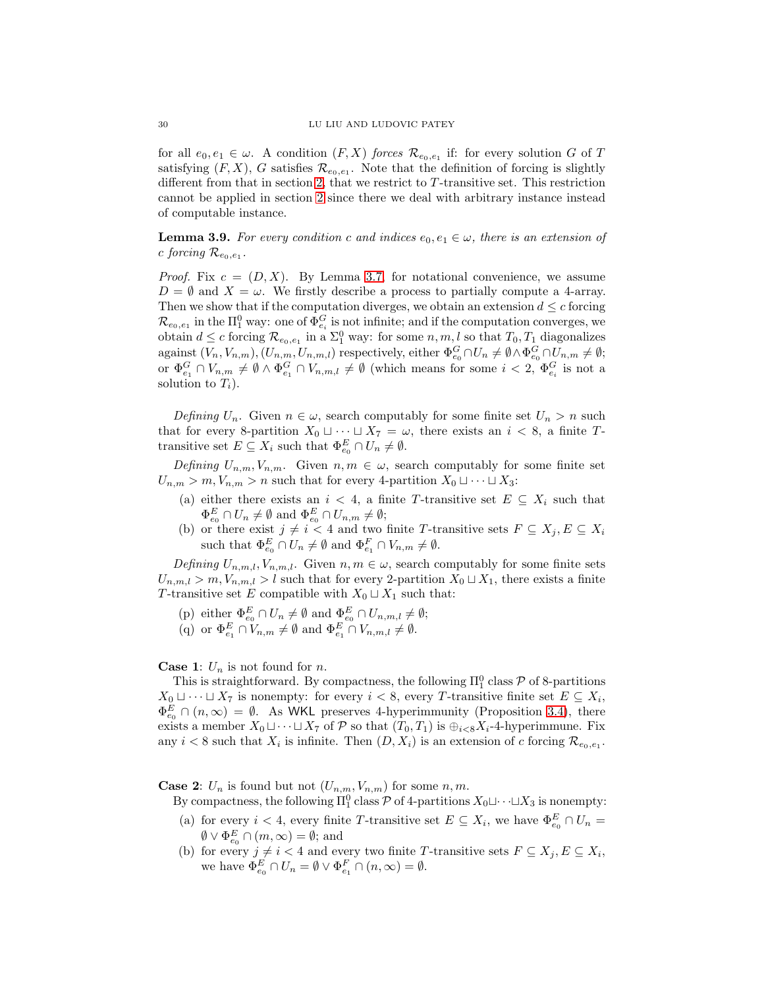for all  $e_0, e_1 \in \omega$ . A condition  $(F, X)$  forces  $\mathcal{R}_{e_0, e_1}$  if: for every solution G of T satisfying  $(F, X)$ , G satisfies  $\mathcal{R}_{e_0, e_1}$ . Note that the definition of forcing is slightly different from that in section [2,](#page-4-0) that we restrict to T -transitive set. This restriction cannot be applied in section [2](#page-4-0) since there we deal with arbitrary instance instead of computable instance.

<span id="page-29-0"></span>**Lemma 3.9.** For every condition c and indices  $e_0, e_1 \in \omega$ , there is an extension of c forcing  $\mathcal{R}_{e_0,e_1}$ .

*Proof.* Fix  $c = (D, X)$ . By Lemma [3.7,](#page-28-1) for notational convenience, we assume  $D = \emptyset$  and  $X = \omega$ . We firstly describe a process to partially compute a 4-array. Then we show that if the computation diverges, we obtain an extension  $d \leq c$  forcing  $\mathcal{R}_{e_0,e_1}$  in the  $\Pi^0_1$  way: one of  $\Phi^G_{e_i}$  is not infinite; and if the computation converges, we obtain  $d \leq c$  forcing  $\mathcal{R}_{e_0,e_1}$  in a  $\Sigma_1^0$  way: for some  $n, m, l$  so that  $T_0, T_1$  diagonalizes against  $(V_n, V_{n,m})$ ,  $(U_{n,m}, U_{n,m,l})$  respectively, either  $\Phi_{e_0}^G \cap U_n \neq \emptyset \wedge \Phi_{e_0}^G \cap U_{n,m} \neq \emptyset$ ; or  $\Phi_{e_1}^G \cap V_{n,m} \neq \emptyset \wedge \Phi_{e_1}^G \cap V_{n,m,l} \neq \emptyset$  (which means for some  $i < 2$ ,  $\Phi_{e_i}^G$  is not a solution to  $T_i$ ).

Defining  $U_n$ . Given  $n \in \omega$ , search computably for some finite set  $U_n > n$  such that for every 8-partition  $X_0 \sqcup \cdots \sqcup X_7 = \omega$ , there exists an  $i < 8$ , a finite Ttransitive set  $E \subseteq X_i$  such that  $\Phi_{e_0}^E \cap U_n \neq \emptyset$ .

Defining  $U_{n,m}, V_{n,m}$ . Given  $n, m \in \omega$ , search computably for some finite set  $U_{n,m} > m, V_{n,m} > n$  such that for every 4-partition  $X_0 \sqcup \cdots \sqcup X_3$ :

- (a) either there exists an  $i < 4$ , a finite T-transitive set  $E \subseteq X_i$  such that  $\Phi_{e_0}^E \cap U_n \neq \emptyset$  and  $\Phi_{e_0}^E \cap U_{n,m} \neq \emptyset$ ;
- (b) or there exist  $j \neq i < 4$  and two finite T-transitive sets  $F \subseteq X_j, E \subseteq X_i$ such that  $\Phi_{e_0}^E \cap U_n \neq \emptyset$  and  $\Phi_{e_1}^F \cap V_{n,m} \neq \emptyset$ .

Defining  $U_{n,m,l}, V_{n,m,l}$ . Given  $n, m \in \omega$ , search computably for some finite sets  $U_{n,m,l} > m, V_{n,m,l} > l$  such that for every 2-partition  $X_0 \sqcup X_1$ , there exists a finite T-transitive set E compatible with  $X_0 \sqcup X_1$  such that:

- (p) either  $\Phi_{e_0}^E \cap U_n \neq \emptyset$  and  $\Phi_{e_0}^E \cap U_{n,m,l} \neq \emptyset$ ;
- (q) or  $\Phi_{e_1}^E \cap V_{n,m} \neq \emptyset$  and  $\Phi_{e_1}^E \cap V_{n,m,l} \neq \emptyset$ .

## **Case 1:**  $U_n$  is not found for *n*.

This is straightforward. By compactness, the following  $\Pi_1^0$  class  $P$  of 8-partitions  $X_0 \sqcup \cdots \sqcup X_7$  is nonempty: for every  $i < 8$ , every T-transitive finite set  $E \subseteq X_i$ ,  $\Phi_{e_0}^E \cap (n,\infty) = \emptyset$ . As WKL preserves 4-hyperimmunity (Proposition [3.4\)](#page-27-1), there exists a member  $X_0 \sqcup \cdots \sqcup X_7$  of P so that  $(T_0, T_1)$  is  $\bigoplus_{i < 8} X_i$ -4-hyperimmune. Fix any  $i < 8$  such that  $X_i$  is infinite. Then  $(D, X_i)$  is an extension of c forcing  $\mathcal{R}_{e_0, e_1}$ .

**Case 2:**  $U_n$  is found but not  $(U_{n,m}, V_{n,m})$  for some  $n, m$ .

By compactness, the following  $\Pi_1^0$  class  $\mathcal P$  of 4-partitions  $X_0 \sqcup \cdots \sqcup X_3$  is nonempty:

- (a) for every  $i < 4$ , every finite T-transitive set  $E \subseteq X_i$ , we have  $\Phi_{e_0}^E \cap U_n =$  $\emptyset \vee \Phi_{e_0}^E \cap (m, \infty) = \emptyset$ ; and
- (b) for every  $j \neq i < 4$  and every two finite T-transitive sets  $F \subseteq X_j, E \subseteq X_i$ , we have  $\Phi_{e_0}^E \cap U_n = \emptyset \vee \Phi_{e_1}^F \cap (n, \infty) = \emptyset$ .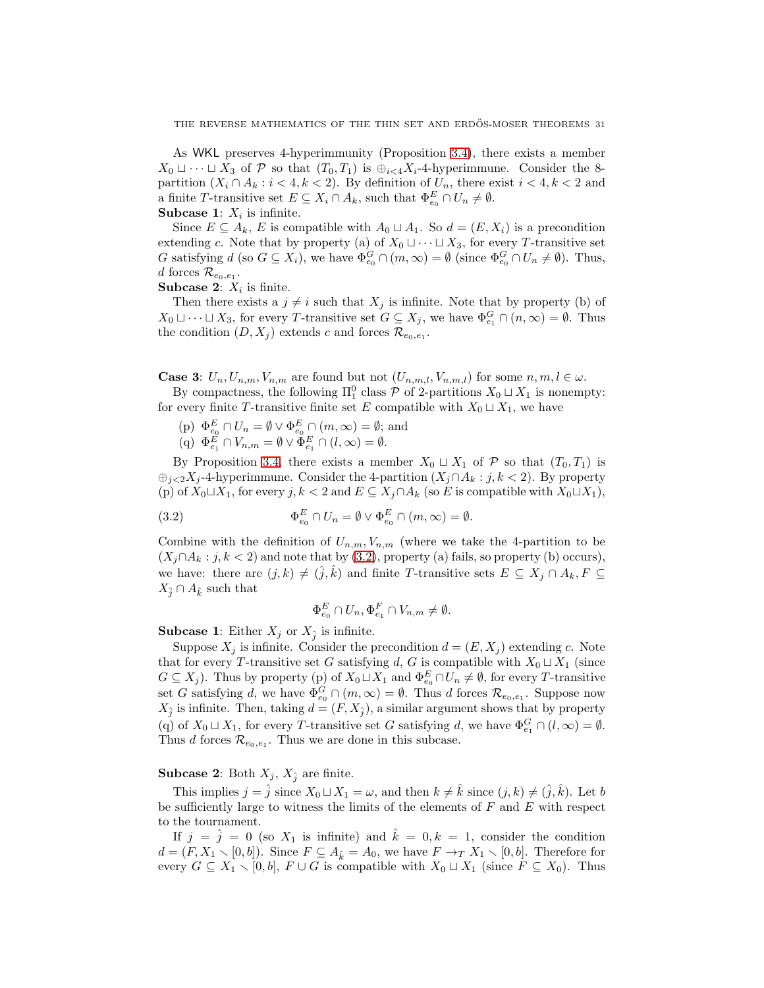As WKL preserves 4-hyperimmunity (Proposition [3.4\)](#page-27-1), there exists a member  $X_0 \sqcup \cdots \sqcup X_3$  of P so that  $(T_0, T_1)$  is  $\bigoplus_{i \leq 4} X_i$ -4-hyperimmune. Consider the 8partition  $(X_i \cap A_k : i < 4, k < 2)$ . By definition of  $U_n$ , there exist  $i < 4, k < 2$  and a finite T-transitive set  $E \subseteq X_i \cap A_k$ , such that  $\Phi_{e_0}^E \cap U_n \neq \emptyset$ .

# **Subcase 1:**  $X_i$  is infinite.

Since  $E \subseteq A_k$ , E is compatible with  $A_0 \sqcup A_1$ . So  $d = (E, X_i)$  is a precondition extending c. Note that by property (a) of  $X_0 \sqcup \cdots \sqcup X_3$ , for every T-transitive set G satisfying  $d$  (so  $G \subseteq X_i$ ), we have  $\Phi_{e_0}^G \cap (m, \infty) = \emptyset$  (since  $\Phi_{e_0}^G \cap U_n \neq \emptyset$ ). Thus, d forces  $\mathcal{R}_{e_0,e_1}.$ 

**Subcase 2:**  $X_i$  is finite.

Then there exists a  $j \neq i$  such that  $X_j$  is infinite. Note that by property (b) of  $X_0 \sqcup \cdots \sqcup X_3$ , for every T-transitive set  $G \subseteq X_j$ , we have  $\Phi_{e_1}^G \cap (n, \infty) = \emptyset$ . Thus the condition  $(D, X_j)$  extends c and forces  $\mathcal{R}_{e_0, e_1}$ .

**Case 3:**  $U_n, U_{n,m}, V_{n,m}$  are found but not  $(U_{n,m,l}, V_{n,m,l})$  for some  $n, m, l \in \omega$ .

By compactness, the following  $\Pi_1^0$  class  $\mathcal P$  of 2-partitions  $X_0 \sqcup X_1$  is nonempty: for every finite T-transitive finite set E compatible with  $X_0 \sqcup X_1$ , we have

(p)  $\Phi_{e_0}^E \cap U_n = \emptyset \vee \Phi_{e_0}^E \cap (m, \infty) = \emptyset$ ; and (q)  $\Phi_{e_1}^E \cap V_{n,m} = \emptyset \vee \Phi_{e_1}^E \cap (l,\infty) = \emptyset.$ 

By Proposition [3.4,](#page-27-1) there exists a member  $X_0 \sqcup X_1$  of  $P$  so that  $(T_0, T_1)$  is  $\bigoplus_{j\leq 2} X_j$ -4-hyperimmune. Consider the 4-partition  $(X_j \cap A_k : j, k < 2)$ . By property (p) of  $X_0 \sqcup X_1$ , for every  $j, k < 2$  and  $E \subseteq X_j \cap A_k$  (so E is compatible with  $X_0 \sqcup X_1$ ),

<span id="page-30-0"></span>(3.2) 
$$
\Phi_{e_0}^E \cap U_n = \emptyset \vee \Phi_{e_0}^E \cap (m, \infty) = \emptyset.
$$

Combine with the definition of  $U_{n,m}$ ,  $V_{n,m}$  (where we take the 4-partition to be  $(X_i \cap A_k : j, k < 2)$  and note that by [\(3.2\)](#page-30-0), property (a) fails, so property (b) occurs), we have: there are  $(j, k) \neq (\hat{j}, \hat{k})$  and finite T-transitive sets  $E \subseteq X_j \cap A_k, F \subseteq$  $X_{\hat{i}} \cap A_{\hat{k}}$  such that

$$
\Phi_{e_0}^E \cap U_n, \Phi_{e_1}^F \cap V_{n,m} \neq \emptyset.
$$

**Subcase 1:** Either  $X_j$  or  $X_j$  is infinite.

Suppose  $X_i$  is infinite. Consider the precondition  $d = (E, X_i)$  extending c. Note that for every T-transitive set G satisfying d, G is compatible with  $X_0 \sqcup X_1$  (since  $G \subseteq X_j$ ). Thus by property (p) of  $X_0 \sqcup X_1$  and  $\Phi_{e_0}^E \cap U_n \neq \emptyset$ , for every T-transitive set G satisfying d, we have  $\Phi_{e_0}^G \cap (m, \infty) = \emptyset$ . Thus d forces  $\mathcal{R}_{e_0, e_1}$ . Suppose now  $X_{\hat{j}}$  is infinite. Then, taking  $d = (F, X_{\hat{j}})$ , a similar argument shows that by property (q) of  $X_0 \sqcup X_1$ , for every T-transitive set G satisfying d, we have  $\Phi_{e_1}^G \cap (l, \infty) = \emptyset$ . Thus d forces  $\mathcal{R}_{e_0,e_1}$ . Thus we are done in this subcase.

# **Subcase 2:** Both  $X_j$ ,  $X_{\hat{j}}$  are finite.

This implies  $j = \hat{j}$  since  $X_0 \sqcup X_1 = \omega$ , and then  $k \neq \hat{k}$  since  $(j, k) \neq (\hat{j}, \hat{k})$ . Let b be sufficiently large to witness the limits of the elements of  $F$  and  $E$  with respect to the tournament.

If  $j = \hat{j} = 0$  (so  $X_1$  is infinite) and  $\hat{k} = 0, k = 1$ , consider the condition  $d = (F, X_1 \setminus [0, b])$ . Since  $F \subseteq A_{\hat{k}} = A_0$ , we have  $F \to_T X_1 \setminus [0, b]$ . Therefore for every  $G \subseteq X_1 \setminus [0, b], F \cup G$  is compatible with  $X_0 \sqcup X_1$  (since  $F \subseteq X_0$ ). Thus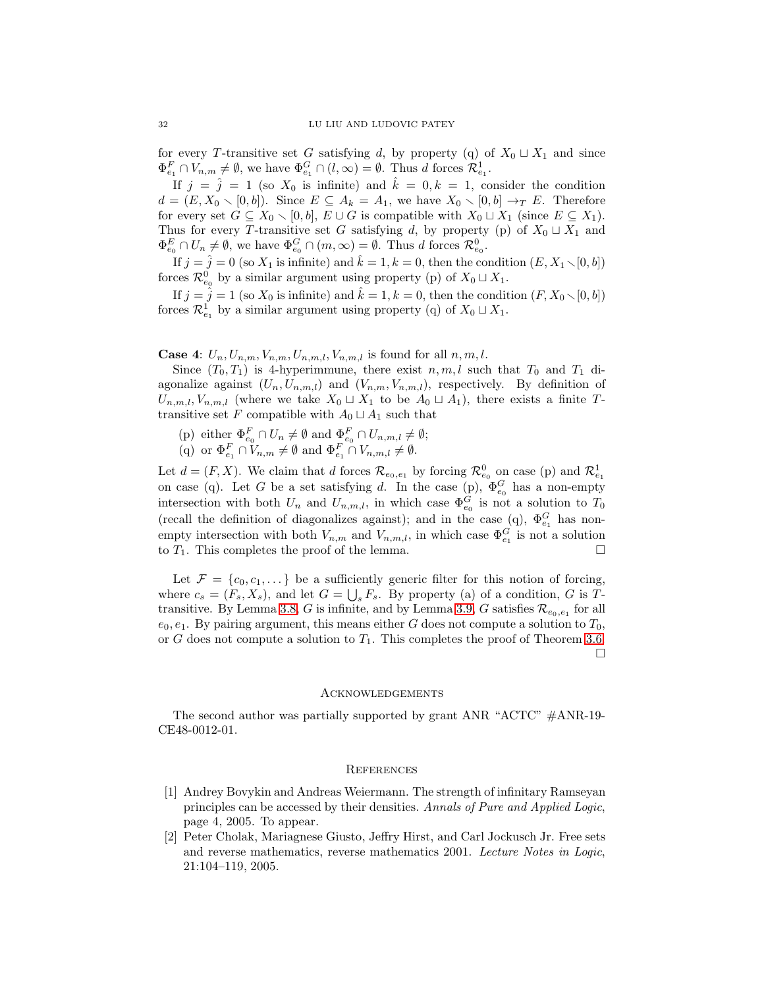for every T-transitive set G satisfying d, by property (q) of  $X_0 \sqcup X_1$  and since  $\Phi_{e_1}^F \cap V_{n,m} \neq \emptyset$ , we have  $\Phi_{e_1}^G \cap (l,\infty) = \emptyset$ . Thus d forces  $\mathcal{R}_{e_1}^1$ .

If  $j = \hat{j} = 1$  (so  $X_0$  is infinite) and  $\hat{k} = 0, k = 1$ , consider the condition  $d = (E, X_0 \setminus [0, b])$ . Since  $E \subseteq A_k = A_1$ , we have  $X_0 \setminus [0, b] \rightarrow_T E$ . Therefore for every set  $G \subseteq X_0 \setminus [0, b], E \cup G$  is compatible with  $X_0 \sqcup X_1$  (since  $E \subseteq X_1$ ). Thus for every T-transitive set G satisfying d, by property (p) of  $X_0 \sqcup X_1$  and  $\Phi_{e_0}^E \cap U_n \neq \emptyset$ , we have  $\Phi_{e_0}^G \cap (m, \infty) = \emptyset$ . Thus d forces  $\mathcal{R}_{e_0}^0$ .

If  $j = \hat{j} = 0$  (so  $X_1$  is infinite) and  $\hat{k} = 1, k = 0$ , then the condition  $(E, X_1 \setminus [0, b])$ forces  $\mathcal{R}_{e_0}^0$  by a similar argument using property (p) of  $X_0 \sqcup X_1$ .

If  $j = \hat{j} = 1$  (so  $X_0$  is infinite) and  $\hat{k} = 1, k = 0$ , then the condition  $(F, X_0 \setminus [0, b])$ forces  $\mathcal{R}^1_{e_1}$  by a similar argument using property (q) of  $X_0 \sqcup X_1$ .

**Case 4:**  $U_n, U_{n,m}, V_{n,m}, U_{n,m,l}, V_{n,m,l}$  is found for all  $n, m, l$ .

Since  $(T_0, T_1)$  is 4-hyperimmune, there exist  $n, m, l$  such that  $T_0$  and  $T_1$  diagonalize against  $(U_n, U_{n,m,l})$  and  $(V_{n,m}, V_{n,m,l})$ , respectively. By definition of  $U_{n,m,l}, V_{n,m,l}$  (where we take  $X_0 \sqcup X_1$  to be  $A_0 \sqcup A_1$ ), there exists a finite Ttransitive set F compatible with  $A_0 \sqcup A_1$  such that

- (p) either  $\Phi_{e_0}^F \cap U_n \neq \emptyset$  and  $\Phi_{e_0}^F \cap U_{n,m,l} \neq \emptyset$ ;
- (q) or  $\Phi_{e_1}^F \cap V_{n,m} \neq \emptyset$  and  $\Phi_{e_1}^F \cap V_{n,m,l} \neq \emptyset$ .

Let  $d = (F, X)$ . We claim that d forces  $\mathcal{R}_{e_0,e_1}$  by forcing  $\mathcal{R}_{e_0}^0$  on case (p) and  $\mathcal{R}_{e_1}^1$ on case (q). Let G be a set satisfying d. In the case (p),  $\Phi_{e_0}^G$  has a non-empty intersection with both  $U_n$  and  $U_{n,m,l}$ , in which case  $\Phi_{e_0}^G$  is not a solution to  $T_0$ (recall the definition of diagonalizes against); and in the case (q),  $\Phi_{e_1}^G$  has nonempty intersection with both  $V_{n,m}$  and  $V_{n,m,l}$ , in which case  $\Phi_{e_1}^G$  is not a solution to  $T_1$ . This completes the proof of the lemma.

Let  $\mathcal{F} = \{c_0, c_1, \dots\}$  be a sufficiently generic filter for this notion of forcing, where  $c_s = (F_s, X_s)$ , and let  $G = \bigcup_s F_s$ . By property (a) of a condition, G is T-transitive. By Lemma [3.8,](#page-28-2) G is infinite, and by Lemma [3.9,](#page-29-0) G satisfies  $\mathcal{R}_{e_0,e_1}$  for all  $e_0, e_1$ . By pairing argument, this means either G does not compute a solution to  $T_0$ , or G does not compute a solution to  $T_1$ . This completes the proof of Theorem [3.6.](#page-28-0)  $\Box$ 

#### **ACKNOWLEDGEMENTS**

The second author was partially supported by grant ANR "ACTC" #ANR-19- CE48-0012-01.

#### **REFERENCES**

- <span id="page-31-1"></span>[1] Andrey Bovykin and Andreas Weiermann. The strength of infinitary Ramseyan principles can be accessed by their densities. Annals of Pure and Applied Logic, page 4, 2005. To appear.
- <span id="page-31-0"></span>[2] Peter Cholak, Mariagnese Giusto, Jeffry Hirst, and Carl Jockusch Jr. Free sets and reverse mathematics, reverse mathematics 2001. Lecture Notes in Logic, 21:104–119, 2005.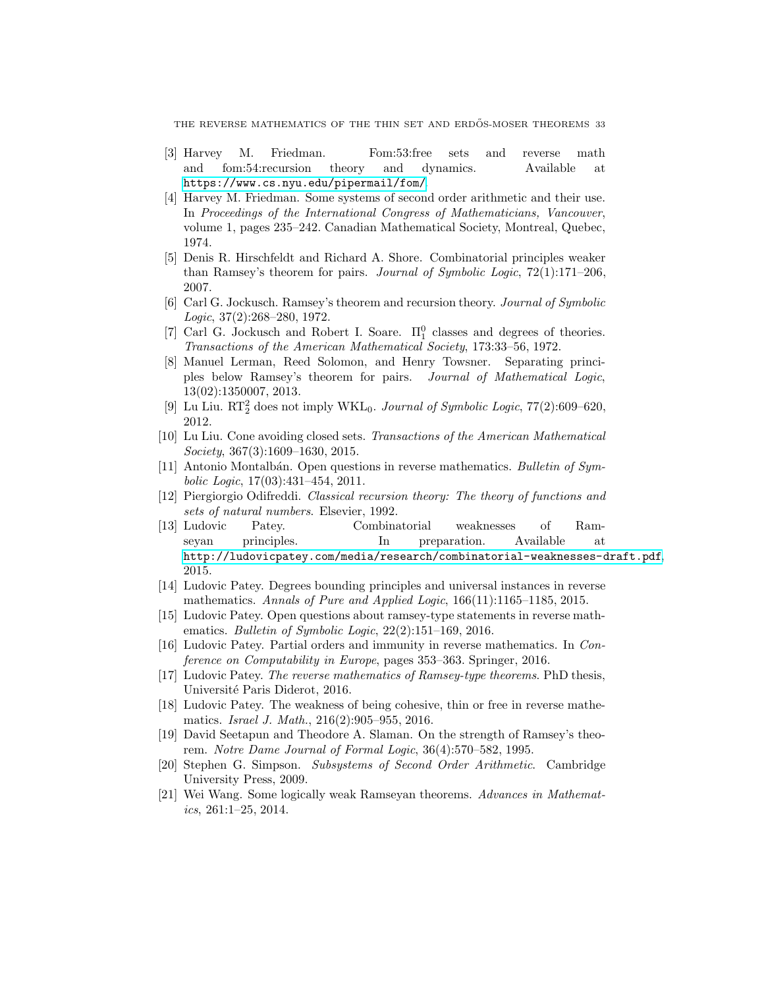THE REVERSE MATHEMATICS OF THE THIN SET AND ERDŐS-MOSER THEOREMS 33

- <span id="page-32-6"></span>[3] Harvey M. Friedman. Fom:53:free sets and reverse math and fom:54:recursion theory and dynamics. Available at <https://www.cs.nyu.edu/pipermail/fom/>.
- <span id="page-32-0"></span>[4] Harvey M. Friedman. Some systems of second order arithmetic and their use. In Proceedings of the International Congress of Mathematicians, Vancouver, volume 1, pages 235–242. Canadian Mathematical Society, Montreal, Quebec, 1974.
- <span id="page-32-12"></span>[5] Denis R. Hirschfeldt and Richard A. Shore. Combinatorial principles weaker than Ramsey's theorem for pairs. Journal of Symbolic Logic, 72(1):171–206, 2007.
- <span id="page-32-3"></span>[6] Carl G. Jockusch. Ramsey's theorem and recursion theory. Journal of Symbolic Logic, 37(2):268–280, 1972.
- <span id="page-32-18"></span>[7] Carl G. Jockusch and Robert I. Soare.  $\Pi_1^0$  classes and degrees of theories. Transactions of the American Mathematical Society, 173:33–56, 1972.
- <span id="page-32-11"></span>[8] Manuel Lerman, Reed Solomon, and Henry Towsner. Separating principles below Ramsey's theorem for pairs. Journal of Mathematical Logic, 13(02):1350007, 2013.
- <span id="page-32-5"></span>[9] Lu Liu.  $\mathop{\mathrm {RT}}\nolimits_2^2$  does not imply WKL<sub>0</sub>. Journal of Symbolic Logic, 77(2):609–620, 2012.
- <span id="page-32-14"></span>[10] Lu Liu. Cone avoiding closed sets. Transactions of the American Mathematical Society, 367(3):1609–1630, 2015.
- <span id="page-32-1"></span>[11] Antonio Montalbán. Open questions in reverse mathematics. Bulletin of Symbolic Logic, 17(03):431–454, 2011.
- <span id="page-32-17"></span>[12] Piergiorgio Odifreddi. Classical recursion theory: The theory of functions and sets of natural numbers. Elsevier, 1992.
- <span id="page-32-8"></span>[13] Ludovic Patey. Combinatorial weaknesses of Ramseyan principles. In preparation. Available at <http://ludovicpatey.com/media/research/combinatorial-weaknesses-draft.pdf>, 2015.
- <span id="page-32-10"></span>[14] Ludovic Patey. Degrees bounding principles and universal instances in reverse mathematics. Annals of Pure and Applied Logic, 166(11):1165-1185, 2015.
- <span id="page-32-13"></span>[15] Ludovic Patey. Open questions about ramsey-type statements in reverse mathematics. Bulletin of Symbolic Logic, 22(2):151–169, 2016.
- <span id="page-32-16"></span>[16] Ludovic Patey. Partial orders and immunity in reverse mathematics. In Conference on Computability in Europe, pages 353–363. Springer, 2016.
- <span id="page-32-15"></span>[17] Ludovic Patey. The reverse mathematics of Ramsey-type theorems. PhD thesis, Université Paris Diderot, 2016.
- <span id="page-32-9"></span>[18] Ludovic Patey. The weakness of being cohesive, thin or free in reverse mathematics. Israel J. Math., 216(2):905–955, 2016.
- <span id="page-32-4"></span>[19] David Seetapun and Theodore A. Slaman. On the strength of Ramsey's theorem. Notre Dame Journal of Formal Logic, 36(4):570–582, 1995.
- <span id="page-32-2"></span>[20] Stephen G. Simpson. Subsystems of Second Order Arithmetic. Cambridge University Press, 2009.
- <span id="page-32-7"></span>[21] Wei Wang. Some logically weak Ramseyan theorems. Advances in Mathematics, 261:1–25, 2014.